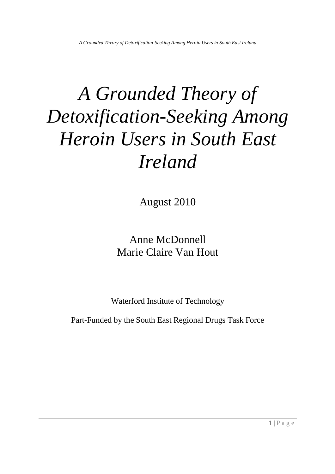August 2010

Anne McDonnell Marie Claire Van Hout

Waterford Institute of Technology

Part-Funded by the South East Regional Drugs Task Force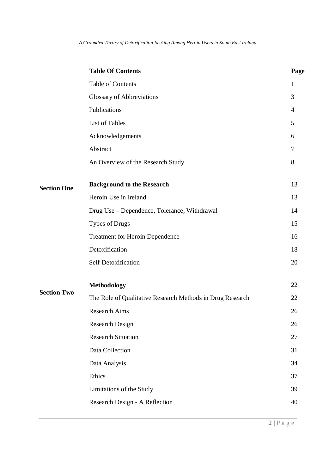|                                          | <b>Table Of Contents</b>                                                                                                                                                                                                                                                                                                                                                        | Page                                                                                   |
|------------------------------------------|---------------------------------------------------------------------------------------------------------------------------------------------------------------------------------------------------------------------------------------------------------------------------------------------------------------------------------------------------------------------------------|----------------------------------------------------------------------------------------|
|                                          | Table of Contents                                                                                                                                                                                                                                                                                                                                                               | 1                                                                                      |
|                                          | <b>Glossary of Abbreviations</b>                                                                                                                                                                                                                                                                                                                                                | 3                                                                                      |
|                                          | Publications                                                                                                                                                                                                                                                                                                                                                                    | $\overline{4}$                                                                         |
|                                          | List of Tables                                                                                                                                                                                                                                                                                                                                                                  | 5                                                                                      |
|                                          | Acknowledgements                                                                                                                                                                                                                                                                                                                                                                | 6                                                                                      |
|                                          | Abstract                                                                                                                                                                                                                                                                                                                                                                        | $\overline{7}$                                                                         |
|                                          | An Overview of the Research Study                                                                                                                                                                                                                                                                                                                                               | 8                                                                                      |
|                                          | <b>Background to the Research</b>                                                                                                                                                                                                                                                                                                                                               | 13                                                                                     |
|                                          | Heroin Use in Ireland                                                                                                                                                                                                                                                                                                                                                           | 13                                                                                     |
|                                          | Drug Use – Dependence, Tolerance, Withdrawal                                                                                                                                                                                                                                                                                                                                    | 14<br>15<br>16<br>18<br>20<br>22<br>22<br>26<br>26<br>27<br>31<br>34<br>37<br>39<br>40 |
|                                          | Types of Drugs<br><b>Treatment for Heroin Dependence</b><br>Detoxification<br>Self-Detoxification<br><b>Methodology</b><br>The Role of Qualitative Research Methods in Drug Research<br><b>Research Aims</b><br><b>Research Design</b><br><b>Research Situation</b><br>Data Collection<br>Data Analysis<br>Ethics<br>Limitations of the Study<br>Research Design - A Reflection |                                                                                        |
| <b>Section One</b><br><b>Section Two</b> |                                                                                                                                                                                                                                                                                                                                                                                 |                                                                                        |
|                                          |                                                                                                                                                                                                                                                                                                                                                                                 |                                                                                        |
|                                          |                                                                                                                                                                                                                                                                                                                                                                                 |                                                                                        |
|                                          |                                                                                                                                                                                                                                                                                                                                                                                 |                                                                                        |
|                                          |                                                                                                                                                                                                                                                                                                                                                                                 |                                                                                        |
|                                          |                                                                                                                                                                                                                                                                                                                                                                                 |                                                                                        |
|                                          |                                                                                                                                                                                                                                                                                                                                                                                 |                                                                                        |
|                                          |                                                                                                                                                                                                                                                                                                                                                                                 |                                                                                        |
|                                          |                                                                                                                                                                                                                                                                                                                                                                                 |                                                                                        |
|                                          |                                                                                                                                                                                                                                                                                                                                                                                 |                                                                                        |
|                                          |                                                                                                                                                                                                                                                                                                                                                                                 |                                                                                        |
|                                          |                                                                                                                                                                                                                                                                                                                                                                                 |                                                                                        |
|                                          |                                                                                                                                                                                                                                                                                                                                                                                 |                                                                                        |
|                                          |                                                                                                                                                                                                                                                                                                                                                                                 |                                                                                        |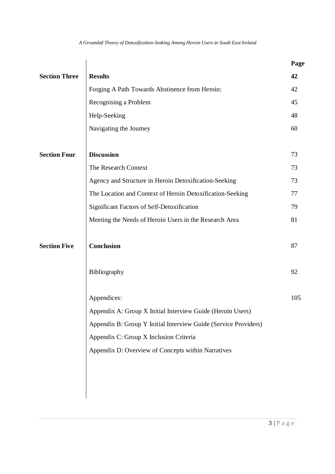|                      |                                                                 | Page |
|----------------------|-----------------------------------------------------------------|------|
| <b>Section Three</b> | <b>Results</b>                                                  | 42   |
|                      | Forging A Path Towards Abstinence from Heroin:                  | 42   |
|                      | Recognising a Problem                                           | 45   |
|                      | Help-Seeking                                                    | 48   |
|                      | Navigating the Journey                                          | 60   |
|                      |                                                                 |      |
| <b>Section Four</b>  | <b>Discussion</b>                                               | 73   |
|                      | The Research Context                                            | 73   |
|                      | Agency and Structure in Heroin Detoxification-Seeking           | 73   |
|                      | The Location and Context of Heroin Detoxification-Seeking       | 77   |
|                      | Significant Factors of Self-Detoxification                      | 79   |
|                      | Meeting the Needs of Heroin Users in the Research Area          | 81   |
|                      |                                                                 |      |
| <b>Section Five</b>  | <b>Conclusion</b>                                               | 87   |
|                      |                                                                 |      |
|                      | Bibliography                                                    | 92   |
|                      |                                                                 |      |
|                      | Appendices:                                                     | 105  |
|                      | Appendix A: Group X Initial Interview Guide (Heroin Users)      |      |
|                      | Appendix B: Group Y Initial Interview Guide (Service Providers) |      |
|                      | Appendix C: Group X Inclusion Criteria                          |      |
|                      | Appendix D: Overview of Concepts within Narratives              |      |
|                      |                                                                 |      |
|                      |                                                                 |      |
|                      |                                                                 |      |
|                      |                                                                 |      |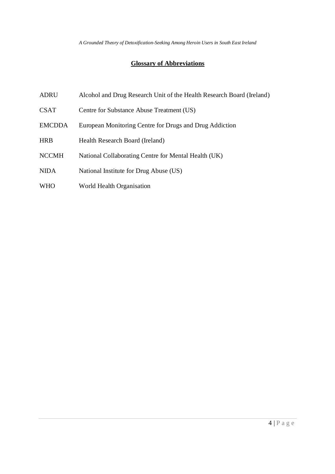# **Glossary of Abbreviations**

- ADRU Alcohol and Drug Research Unit of the Health Research Board (Ireland)
- CSAT Centre for Substance Abuse Treatment (US)
- EMCDDA European Monitoring Centre for Drugs and Drug Addiction
- HRB Health Research Board (Ireland)
- NCCMH National Collaborating Centre for Mental Health (UK)
- NIDA National Institute for Drug Abuse (US)
- WHO World Health Organisation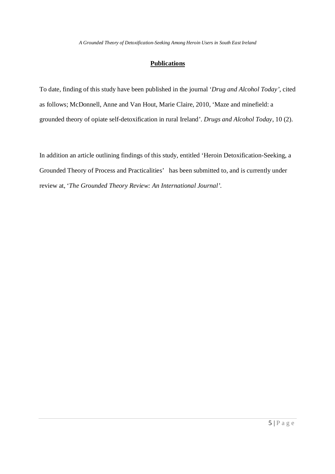# **Publications**

To date, finding of this study have been published in the journal '*Drug and Alcohol Today'*, cited as follows; McDonnell, Anne and Van Hout, Marie Claire, 2010, 'Maze and minefield: a grounded theory of opiate self-detoxification in rural Ireland'. *Drugs and Alcohol Today*, 10 (2).

In addition an article outlining findings of this study, entitled 'Heroin Detoxification-Seeking, a Grounded Theory of Process and Practicalities' has been submitted to, and is currently under review at, '*The Grounded Theory Review: An International Journal'*.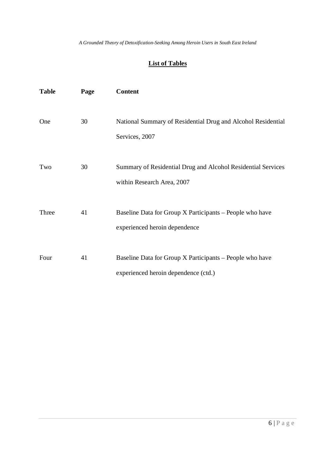# **List of Tables**

| <b>Table</b> | Page | <b>Content</b>                                                                                   |
|--------------|------|--------------------------------------------------------------------------------------------------|
| One          | 30   | National Summary of Residential Drug and Alcohol Residential<br>Services, 2007                   |
| Two          | 30   | Summary of Residential Drug and Alcohol Residential Services<br>within Research Area, 2007       |
| Three        | 41   | Baseline Data for Group X Participants – People who have<br>experienced heroin dependence        |
| Four         | 41   | Baseline Data for Group X Participants – People who have<br>experienced heroin dependence (ctd.) |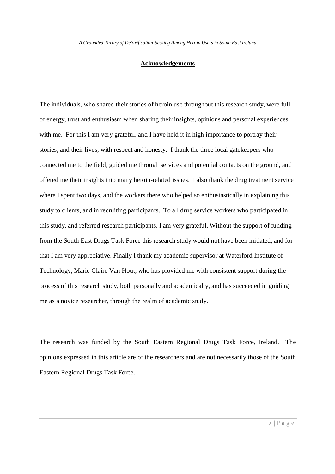# **Acknowledgements**

The individuals, who shared their stories of heroin use throughout this research study, were full of energy, trust and enthusiasm when sharing their insights, opinions and personal experiences with me. For this I am very grateful, and I have held it in high importance to portray their stories, and their lives, with respect and honesty. I thank the three local gatekeepers who connected me to the field, guided me through services and potential contacts on the ground, and offered me their insights into many heroin-related issues. I also thank the drug treatment service where I spent two days, and the workers there who helped so enthusiastically in explaining this study to clients, and in recruiting participants. To all drug service workers who participated in this study, and referred research participants, I am very grateful. Without the support of funding from the South East Drugs Task Force this research study would not have been initiated, and for that I am very appreciative. Finally I thank my academic supervisor at Waterford Institute of Technology, Marie Claire Van Hout, who has provided me with consistent support during the process of this research study, both personally and academically, and has succeeded in guiding me as a novice researcher, through the realm of academic study.

The research was funded by the South Eastern Regional Drugs Task Force, Ireland. The opinions expressed in this article are of the researchers and are not necessarily those of the South Eastern Regional Drugs Task Force.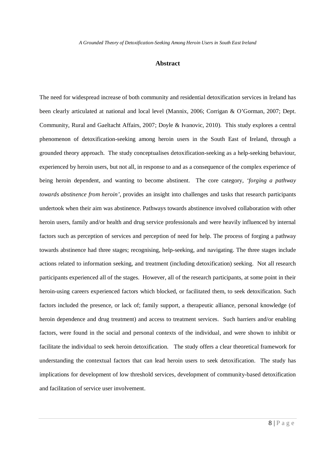## **Abstract**

The need for widespread increase of both community and residential detoxification services in Ireland has been clearly articulated at national and local level (Mannix, 2006; Corrigan & O'Gorman, 2007; Dept. Community, Rural and Gaeltacht Affairs, 2007; Doyle & Ivanovic, 2010). This study explores a central phenomenon of detoxification-seeking among heroin users in the South East of Ireland, through a grounded theory approach. The study conceptualises detoxification-seeking as a help-seeking behaviour, experienced by heroin users, but not all, in response to and as a consequence of the complex experience of being heroin dependent, and wanting to become abstinent. The core category, *'forging a pathway towards abstinence from heroin'*, provides an insight into challenges and tasks that research participants undertook when their aim was abstinence. Pathways towards abstinence involved collaboration with other heroin users, family and/or health and drug service professionals and were heavily influenced by internal factors such as perception of services and perception of need for help. The process of forging a pathway towards abstinence had three stages; recognising, help-seeking, and navigating. The three stages include actions related to information seeking, and treatment (including detoxification) seeking. Not all research participants experienced all of the stages. However, all of the research participants, at some point in their heroin-using careers experienced factors which blocked, or facilitated them, to seek detoxification. Such factors included the presence, or lack of; family support, a therapeutic alliance, personal knowledge (of heroin dependence and drug treatment) and access to treatment services. Such barriers and/or enabling factors, were found in the social and personal contexts of the individual, and were shown to inhibit or facilitate the individual to seek heroin detoxification. The study offers a clear theoretical framework for understanding the contextual factors that can lead heroin users to seek detoxification. The study has implications for development of low threshold services, development of community-based detoxification and facilitation of service user involvement.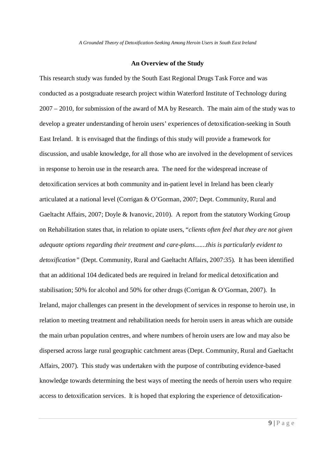## **An Overview of the Study**

This research study was funded by the South East Regional Drugs Task Force and was conducted as a postgraduate research project within Waterford Institute of Technology during 2007 – 2010, for submission of the award of MA by Research. The main aim of the study was to develop a greater understanding of heroin users' experiences of detoxification-seeking in South East Ireland. It is envisaged that the findings of this study will provide a framework for discussion, and usable knowledge, for all those who are involved in the development of services in response to heroin use in the research area. The need for the widespread increase of detoxification services at both community and in-patient level in Ireland has been clearly articulated at a national level (Corrigan & O'Gorman, 2007; Dept. Community, Rural and Gaeltacht Affairs, 2007; Doyle & Ivanovic, 2010). A report from the statutory Working Group on Rehabilitation states that, in relation to opiate users, "*clients often feel that they are not given adequate options regarding their treatment and care-plans.......this is particularly evident to detoxification"* (Dept. Community, Rural and Gaeltacht Affairs, 2007:35)*.* It has been identified that an additional 104 dedicated beds are required in Ireland for medical detoxification and stabilisation; 50% for alcohol and 50% for other drugs (Corrigan & O'Gorman, 2007). In Ireland, major challenges can present in the development of services in response to heroin use, in relation to meeting treatment and rehabilitation needs for heroin users in areas which are outside the main urban population centres, and where numbers of heroin users are low and may also be dispersed across large rural geographic catchment areas (Dept. Community, Rural and Gaeltacht Affairs, 2007). This study was undertaken with the purpose of contributing evidence-based knowledge towards determining the best ways of meeting the needs of heroin users who require access to detoxification services. It is hoped that exploring the experience of detoxification-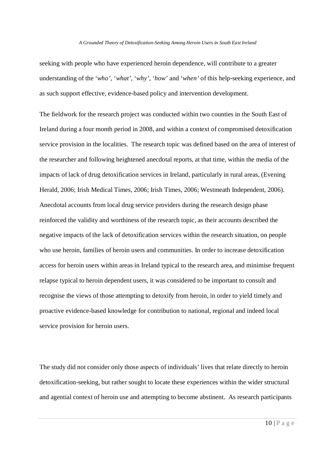seeking with people who have experienced heroin dependence, will contribute to a greater understanding of the '*who'*, '*what'*, '*why'*, '*how'* and '*when'* of this help-seeking experience, and as such support effective, evidence-based policy and intervention development.

The fieldwork for the research project was conducted within two counties in the South East of Ireland during a four month period in 2008, and within a context of compromised detoxification service provision in the localities. The research topic was defined based on the area of interest of the researcher and following heightened anecdotal reports, at that time, within the media of the impacts of lack of drug detoxification services in Ireland, particularly in rural areas, (Evening Herald, 2006; Irish Medical Times, 2006; Irish Times, 2006; Westmeath Independent, 2006). Anecdotal accounts from local drug service providers during the research design phase reinforced the validity and worthiness of the research topic, as their accounts described the negative impacts of the lack of detoxification services within the research situation, on people who use heroin, families of heroin users and communities. In order to increase detoxification access for heroin users within areas in Ireland typical to the research area, and minimise frequent relapse typical to heroin dependent users, it was considered to be important to consult and recognise the views of those attempting to detoxify from heroin, in order to yield timely and proactive evidence-based knowledge for contribution to national, regional and indeed local service provision for heroin users.

The study did not consider only those aspects of individuals' lives that relate directly to heroin detoxification-seeking, but rather sought to locate these experiences within the wider structural and agential context of heroin use and attempting to become abstinent. As research participants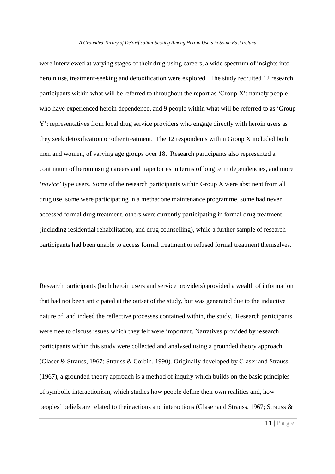were interviewed at varying stages of their drug-using careers, a wide spectrum of insights into heroin use, treatment-seeking and detoxification were explored. The study recruited 12 research participants within what will be referred to throughout the report as 'Group X'; namely people who have experienced heroin dependence, and 9 people within what will be referred to as 'Group Y'; representatives from local drug service providers who engage directly with heroin users as they seek detoxification or other treatment. The 12 respondents within Group X included both men and women, of varying age groups over 18. Research participants also represented a continuum of heroin using careers and trajectories in terms of long term dependencies, and more *'novice'* type users. Some of the research participants within Group X were abstinent from all drug use, some were participating in a methadone maintenance programme, some had never accessed formal drug treatment, others were currently participating in formal drug treatment (including residential rehabilitation, and drug counselling), while a further sample of research participants had been unable to access formal treatment or refused formal treatment themselves.

Research participants (both heroin users and service providers) provided a wealth of information that had not been anticipated at the outset of the study, but was generated due to the inductive nature of, and indeed the reflective processes contained within, the study. Research participants were free to discuss issues which they felt were important. Narratives provided by research participants within this study were collected and analysed using a grounded theory approach (Glaser & Strauss, 1967; Strauss & Corbin, 1990). Originally developed by Glaser and Strauss (1967), a grounded theory approach is a method of inquiry which builds on the basic principles of symbolic interactionism*,* which studies how people define their own realities and, how peoples' beliefs are related to their actions and interactions (Glaser and Strauss, 1967; Strauss &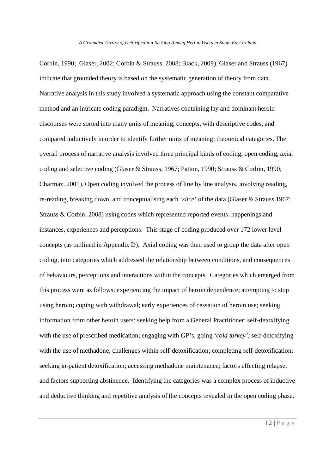Corbin, 1990;Glaser, 2002; Corbin & Strauss, 2008; Black, 2009). Glaser and Strauss (1967) indicate that grounded theory is based on the systematic generation of theory from data. Narrative analysis in this study involved a systematic approach using the constant comparative method and an intricate coding paradigm. Narratives containing lay and dominant heroin discourses were sorted into many units of meaning; concepts, with descriptive codes, and compared inductively in order to identify further units of meaning; theoretical categories. The overall process of narrative analysis involved three principal kinds of coding; open coding, axial coding and selective coding (Glaser & Strauss, 1967; Patton, 1990; Strauss & Corbin, 1990; Charmaz, 2001). Open coding involved the process of line by line analysis, involving reading, re-reading, breaking down, and conceptualising each '*slice*' of the data (Glaser & Strauss 1967; Strauss & Corbin, 2008) using codes which represented reported events, happenings and instances, experiences and perceptions. This stage of coding produced over 172 lower level concepts (as outlined in Appendix D). Axial coding was then used to group the data after open coding, into categories which addressed the relationship between conditions, and consequences of behaviours, perceptions and interactions within the concepts. Categories which emerged from this process were as follows; experiencing the impact of heroin dependence; attempting to stop using heroin**;** coping with withdrawal; early experiences of cessation of heroin use; seeking information from other heroin users; seeking help from a General Practitioner; self-detoxifying with the use of prescribed medication; engaging with GP's; going '*cold turkey';* self-detoxifying with the use of methadone; challenges within self-detoxification; completing self-detoxification; seeking in-patient detoxification; accessing methadone maintenance; factors effecting relapse, and factors supporting abstinence. Identifying the categories was a complex process of inductive and deductive thinking and repetitive analysis of the concepts revealed in the open coding phase.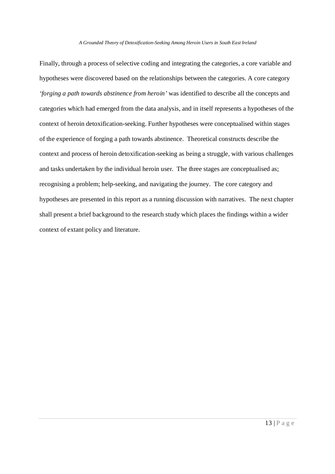Finally, through a process of selective coding and integrating the categories, a core variable and hypotheses were discovered based on the relationships between the categories. A core category *'forging a path towards abstinence from heroin'* was identified to describe all the concepts and categories which had emerged from the data analysis, and in itself represents a hypotheses of the context of heroin detoxification-seeking. Further hypotheses were conceptualised within stages of the experience of forging a path towards abstinence. Theoretical constructs describe the context and process of heroin detoxification-seeking as being a struggle, with various challenges and tasks undertaken by the individual heroin user. The three stages are conceptualised as; recognising a problem; help-seeking, and navigating the journey. The core category and hypotheses are presented in this report as a running discussion with narratives. The next chapter shall present a brief background to the research study which places the findings within a wider context of extant policy and literature.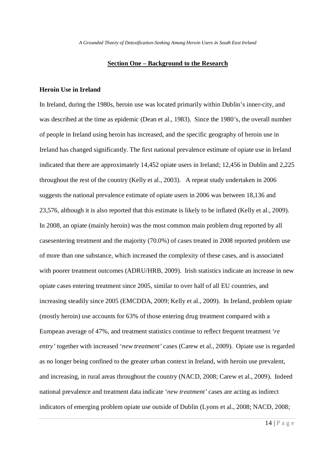## **Section One – Background to the Research**

# **Heroin Use in Ireland**

In Ireland, during the 1980s, heroin use was located primarily within Dublin's inner-city, and was described at the time as epidemic (Dean et al., 1983). Since the 1980's, the overall number of people in Ireland using heroin has increased, and the specific geography of heroin use in Ireland has changed significantly. The first national prevalence estimate of opiate use in Ireland indicated that there are approximately 14,452 opiate users in Ireland; 12,456 in Dublin and 2,225 throughout the rest of the country (Kelly et al., 2003). A repeat study undertaken in 2006 suggests the national prevalence estimate of opiate users in 2006 was between 18,136 and 23,576, although it is also reported that this estimate is likely to be inflated (Kelly et al., 2009). In 2008, an opiate (mainly heroin) was the most common main problem drug reported by all casesentering treatment and the majority (70.0%) of cases treated in 2008 reported problem use of more than one substance, which increased the complexity of these cases, and is associated with poorer treatment outcomes (ADRU/HRB, 2009). Irish statistics indicate an increase in new opiate cases entering treatment since 2005, similar to over half of all EU countries, and increasing steadily since 2005 (EMCDDA, 2009; Kelly et al., 2009). In Ireland, problem opiate (mostly heroin) use accounts for 63% of those entering drug treatment compared with a European average of 47%, and treatment statistics continue to reflect frequent treatment '*re entry'* together with increased '*new treatment'* cases (Carew et al., 2009). Opiate use is regarded as no longer being confined to the greater urban context in Ireland, with heroin use prevalent, and increasing, in rural areas throughout the country (NACD, 2008; Carew et al., 2009). Indeed national prevalence and treatment data indicate '*new treatment'* cases are acting as indirect indicators of emerging problem opiate use outside of Dublin (Lyons et al., 2008; NACD, 2008;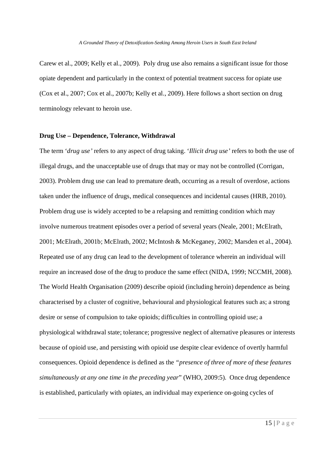Carew et al., 2009; Kelly et al., 2009). Poly drug use also remains a significant issue for those opiate dependent and particularly in the context of potential treatment success for opiate use (Cox et al., 2007; Cox et al., 2007b; Kelly et al., 2009). Here follows a short section on drug terminology relevant to heroin use.

# **Drug Use – Dependence, Tolerance, Withdrawal**

The term '*drug use'* refers to any aspect of drug taking. '*Illicit drug use'* refers to both the use of illegal drugs, and the unacceptable use of drugs that may or may not be controlled (Corrigan, 2003). Problem drug use can lead to premature death, occurring as a result of overdose, actions taken under the influence of drugs, medical consequences and incidental causes (HRB, 2010). Problem drug use is widely accepted to be a relapsing and remitting condition which may involve numerous treatment episodes over a period of several years (Neale, 2001; McElrath, 2001; McElrath, 2001b; McElrath, 2002; McIntosh & McKeganey, 2002; Marsden et al., 2004). Repeated use of any drug can lead to the development of tolerance wherein an individual will require an increased dose of the drug to produce the same effect (NIDA, 1999; NCCMH, 2008). The World Health Organisation (2009) describe opioid (including heroin) dependence as being characterised by a cluster of cognitive, behavioural and physiological features such as; a strong desire or sense of compulsion to take opioids; difficulties in controlling opioid use; a physiological withdrawal state; tolerance; progressive neglect of alternative pleasures or interests because of opioid use, and persisting with opioid use despite clear evidence of overtly harmful consequences. Opioid dependence is defined as the *"presence of three of more of these features simultaneously at any one time in the preceding year*" (WHO, 2009:5). Once drug dependence is established, particularly with opiates, an individual may experience on-going cycles of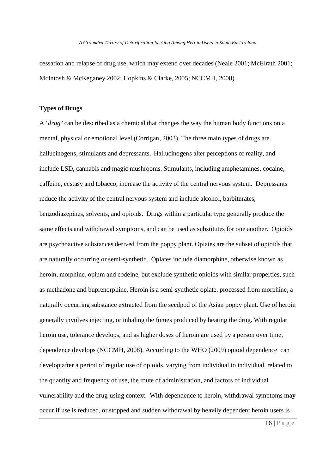cessation and relapse of drug use, which may extend over decades (Neale 2001; McElrath 2001; McIntosh & McKeganey 2002; Hopkins & Clarke, 2005; NCCMH, 2008).

# **Types of Drugs**

A '*drug'* can be described as a chemical that changes the way the human body functions on a mental, physical or emotional level (Corrigan, 2003). The three main types of drugs are hallucinogens, stimulants and depressants. Hallucinogens alter perceptions of reality, and include LSD, cannabis and magic mushrooms. Stimulants, including amphetamines, cocaine, caffeine, ecstasy and tobacco, increase the activity of the central nervous system. Depressants reduce the activity of the central nervous system and include alcohol, barbiturates, benzodiazepines, solvents, and opioids. Drugs within a particular type generally produce the same effects and withdrawal symptoms, and can be used as substitutes for one another. Opioids are psychoactive substances derived from the poppy plant. Opiates are the subset of opioids that are naturally occurring or semi-synthetic. Opiates include diamorphine, otherwise known as heroin, morphine, opium and codeine, but exclude synthetic opioids with similar properties, such as methadone and buprenorphine. Heroin is a semi-synthetic opiate, processed from morphine, a naturally occurring substance extracted from the seedpod of the Asian poppy plant. Use of heroin generally involves injecting, or inhaling the fumes produced by heating the drug. With regular heroin use, tolerance develops, and as higher doses of heroin are used by a person over time, dependence develops (NCCMH, 2008). According to the WHO (2009) opioid dependence can develop after a period of regular use of opioids, varying from individual to individual, related to the quantity and frequency of use, the route of administration, and factors of individual vulnerability and the drug-using context. With dependence to heroin, withdrawal symptoms may occur if use is reduced, or stopped and *s*udden withdrawal by heavily dependent heroin users is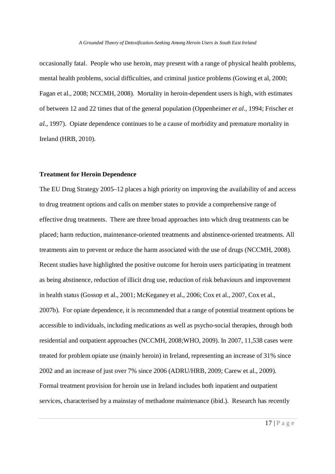occasionally fatal.People who use heroin, may present with a range of physical health problems, mental health problems, social difficulties, and criminal justice problems (Gowing et al, 2000; Fagan et al., 2008; NCCMH, 2008). Mortality in heroin-dependent users is high, with estimates of between 12 and 22 times that of the general population (Oppenheimer *et al.*, 1994; Frischer *et al.*, 1997). Opiate dependence continues to be a cause of morbidity and premature mortality in Ireland (HRB, 2010).

# **Treatment for Heroin Dependence**

The EU Drug Strategy 2005–12 places a high priority on improving the availability of and access to drug treatment options and calls on member states to provide a comprehensive range of effective drug treatments. There are three broad approaches into which drug treatments can be placed; harm reduction, maintenance-oriented treatments and abstinence-oriented treatments. All treatments aim to prevent or reduce the harm associated with the use of drugs (NCCMH, 2008). Recent studies have highlighted the positive outcome for heroin users participating in treatment as being abstinence, reduction of illicit drug use, reduction of risk behaviours and improvement in health status (Gossop et al., 2001; McKeganey et al., 2006; Cox et al., 2007, Cox et al., 2007b). For opiate dependence, it is recommended that a range of potential treatment options be accessible to individuals, including medications as well as psycho-social therapies, through both residential and outpatient approaches (NCCMH, 2008;WHO, 2009). In 2007, 11,538 cases were treated for problem opiate use (mainly heroin) in Ireland, representing an increase of 31% since 2002 and an increase of just over 7% since 2006 (ADRU/HRB, 2009; Carew et al., 2009). Formal treatment provision for heroin use in Ireland includes both inpatient and outpatient services, characterised by a mainstay of methadone maintenance (ibid.). Research has recently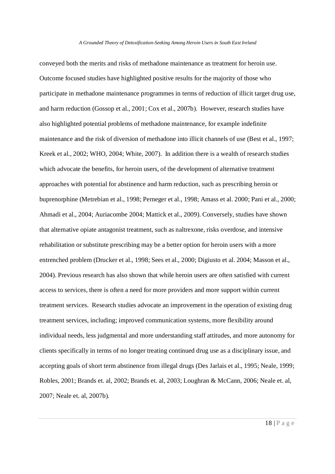conveyed both the merits and risks of methadone maintenance as treatment for heroin use. Outcome focused studies have highlighted positive results for the majority of those who participate in methadone maintenance programmes in terms of reduction of illicit target drug use, and harm reduction (Gossop et al., 2001; Cox et al., 2007b). However, research studies have also highlighted potential problems of methadone maintenance, for example indefinite maintenance and the risk of diversion of methadone into illicit channels of use (Best et al., 1997; Kreek et al., 2002; WHO, 2004; White, 2007). In addition there is a wealth of research studies which advocate the benefits, for heroin users, of the development of alternative treatment approaches with potential for abstinence and harm reduction, such as prescribing heroin or buprenorphine (Metrebian et al., 1998; Perneger et al., 1998; Amass et al. 2000; Pani et al., 2000; Ahmadi et al., 2004; Auriacombe 2004; Mattick et al., 2009). Conversely, studies have shown that alternative opiate antagonist treatment, such as naltrexone, risks overdose, and intensive rehabilitation or substitute prescribing may be a better option for heroin users with a more entrenched problem (Drucker et al., 1998; Sees et al., 2000; Digiusto et al. 2004; Masson et al., 2004). Previous research has also shown that while heroin users are often satisfied with current access to services, there is often a need for more providers and more support within current treatment services. Research studies advocate an improvement in the operation of existing drug treatment services, including; improved communication systems, more flexibility around individual needs, less judgmental and more understanding staff attitudes, and more autonomy for clients specifically in terms of no longer treating continued drug use as a disciplinary issue, and accepting goals of short term abstinence from illegal drugs (Des Jarlais et al., 1995; Neale, 1999; Robles, 2001; Brands et. al, 2002; Brands et. al, 2003; Loughran & McCann, 2006; Neale et. al, 2007; Neale et. al, 2007b).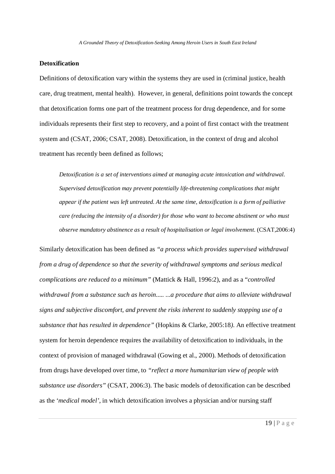# **Detoxification**

Definitions of detoxification vary within the systems they are used in (criminal justice, health care, drug treatment, mental health). However, in general, definitions point towards the concept that detoxification forms one part of the treatment process for drug dependence, and for some individuals represents their first step to recovery, and a point of first contact with the treatment system and (CSAT, 2006; CSAT, 2008). Detoxification, in the context of drug and alcohol treatment has recently been defined as follows;

*Detoxification is a set of interventions aimed at managing acute intoxication and withdrawal. Supervised detoxification may prevent potentially life-threatening complications that might appear if the patient was left untreated. At the same time, detoxification is a form of palliative care (reducing the intensity of a disorder) for those who want to become abstinent or who must observe mandatory abstinence as a result of hospitalisation or legal involvement.* (CSAT,2006:4)

Similarly detoxification has been defined as *"a process which provides supervised withdrawal from a drug of dependence so that the severity of withdrawal symptoms and serious medical complications are reduced to a minimum"* (Mattick & Hall, 1996:2), and as a "*controlled withdrawal from a substance such as heroin..... ...a procedure that aims to alleviate withdrawal signs and subjective discomfort, and prevent the risks inherent to suddenly stopping use of a substance that has resulted in dependence"* (Hopkins & Clarke, 2005:18*).* An effective treatment system for heroin dependence requires the availability of detoxification to individuals, in the context of provision of managed withdrawal (Gowing et al., 2000). Methods of detoxification from drugs have developed over time, to *"reflect a more humanitarian view of people with substance use disorders"* (CSAT, 2006:3). The basic models of detoxification can be described as the '*medical model'*, in which detoxification involves a physician and/or nursing staff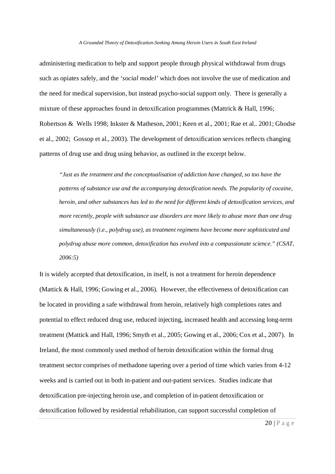administering medication to help and support people through physical withdrawal from drugs such as opiates safely, and the '*social model'* which does not involve the use of medication and the need for medical supervision, but instead psycho-social support only. There is generally a mixture of these approaches found in detoxification programmes (Mattrick & Hall, 1996; Robertson & Wells 1998; Inkster & Matheson, 2001; Keen et al., 2001; Rae et al.. 2001; Ghodse et al., 2002; Gossop et al., 2003). The development of detoxification services reflects changing patterns of drug use and drug using behavior, as outlined in the excerpt below.

*"Just as the treatment and the conceptualisation of addiction have changed, so too have the patterns of substance use and the accompanying detoxification needs. The popularity of cocaine, heroin, and other substances has led to the need for different kinds of detoxification services, and more recently, people with substance use disorders are more likely to abuse more than one drug simultaneously (i.e., polydrug use), as treatment regimens have become more sophisticated and polydrug abuse more common, detoxification has evolved into a compassionate science." (CSAT, 2006:5)*

It is widely accepted that detoxification, in itself, is not a treatment for heroin dependence (Mattick & Hall, 1996; Gowing et al., 2006). However, the effectiveness of detoxification can be located in providing a safe withdrawal from heroin, relatively high completions rates and potential to effect reduced drug use, reduced injecting, increased health and accessing long-term treatment (Mattick and Hall, 1996; Smyth et al., 2005; Gowing et al., 2006; Cox et al., 2007). In Ireland, the most commonly used method of heroin detoxification within the formal drug treatment sector comprises of methadone tapering over a period of time which varies from 4-12 weeks and is carried out in both in-patient and out-patient services. Studies indicate that detoxification pre-injecting heroin use, and completion of in-patient detoxification or detoxification followed by residential rehabilitation, can support successful completion of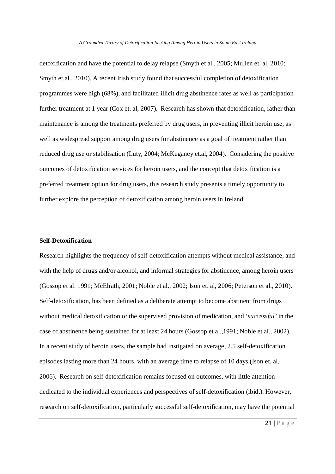detoxification and have the potential to delay relapse (Smyth et al., 2005; Mullen et. al, 2010; Smyth et al., 2010). A recent Irish study found that successful completion of detoxification programmes were high (68%), and facilitated illicit drug abstinence rates as well as participation further treatment at 1 year (Cox et. al, 2007). Research has shown that detoxification, rather than maintenance is among the treatments preferred by drug users, in preventing illicit heroin use, as well as widespread support among drug users for abstinence as a goal of treatment rather than reduced drug use or stabilisation (Luty, 2004; McKeganey et.al, 2004). Considering the positive outcomes of detoxification services for heroin users, and the concept that detoxification is a preferred treatment option for drug users, this research study presents a timely opportunity to further explore the perception of detoxification among heroin users in Ireland.

# **Self-Detoxification**

Research highlights the frequency of self-detoxification attempts without medical assistance, and with the help of drugs and/or alcohol, and informal strategies for abstinence, among heroin users (Gossop et al. 1991; McElrath, 2001; Noble et al., 2002; Ison et. al, 2006; Peterson et al., 2010). Self-detoxification, has been defined as a deliberate attempt to become abstinent from drugs without medical detoxification or the supervised provision of medication, and '*successful'* in the case of abstinence being sustained for at least 24 hours (Gossop et al.,1991; Noble et al., 2002). In a recent study of heroin users, the sample had instigated on average, 2.5 self-detoxification episodes lasting more than 24 hours, with an average time to relapse of 10 days (Ison et. al, 2006). Research on self-detoxification remains focused on outcomes, with little attention dedicated to the individual experiences and perspectives of self-detoxification (ibid.). However, research on self-detoxification, particularly successful self-detoxification, may have the potential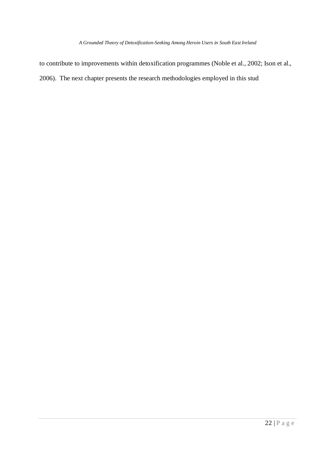to contribute to improvements within detoxification programmes (Noble et al., 2002; Ison et al., 2006). The next chapter presents the research methodologies employed in this stud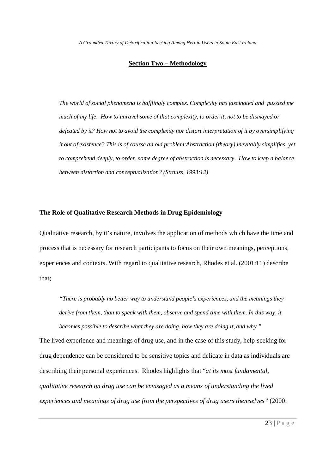# **Section Two – Methodology**

*The world of social phenomena is bafflingly complex. Complexity has fascinated and puzzled me much of my life. How to unravel some of that complexity, to order it, not to be dismayed or defeated by it? How not to avoid the complexity nor distort interpretation of it by oversimplifying it out of existence? This is of course an old problem:Abstraction (theory) inevitably simplifies, yet to comprehend deeply, to order, some degree of abstraction is necessary. How to keep a balance between distortion and conceptualization? (Strauss, 1993:12)*

# **The Role of Qualitative Research Methods in Drug Epidemiology**

Qualitative research, by it's nature, involves the application of methods which have the time and process that is necessary for research participants to focus on their own meanings, perceptions, experiences and contexts. With regard to qualitative research, Rhodes et al. (2001:11) describe that;

*"There is probably no better way to understand people's experiences, and the meanings they derive from them, than to speak with them, observe and spend time with them. In this way, it becomes possible to describe what they are doing, how they are doing it, and why."*

The lived experience and meanings of drug use, and in the case of this study, help-seeking for drug dependence can be considered to be sensitive topics and delicate in data as individuals are describing their personal experiences. Rhodes highlights that "*at its most fundamental, qualitative research on drug use can be envisaged as a means of understanding the lived experiences and meanings of drug use from the perspectives of drug users themselves"* (2000: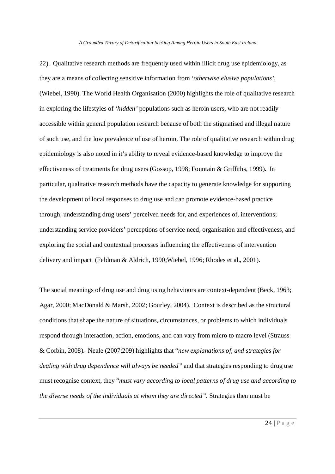22). Qualitative research methods are frequently used within illicit drug use epidemiology, as they are a means of collecting sensitive information from '*otherwise elusive populations'*, (Wiebel, 1990). The World Health Organisation (2000) highlights the role of qualitative research in exploring the lifestyles of '*hidden'* populations such as heroin users, who are not readily accessible within general population research because of both the stigmatised and illegal nature of such use, and the low prevalence of use of heroin. The role of qualitative research within drug epidemiology is also noted in it's ability to reveal evidence-based knowledge to improve the effectiveness of treatments for drug users (Gossop, 1998; Fountain & Griffiths, 1999). In particular, qualitative research methods have the capacity to generate knowledge for supporting the development of local responses to drug use and can promote evidence-based practice through; understanding drug users' perceived needs for, and experiences of, interventions; understanding service providers' perceptions of service need, organisation and effectiveness, and exploring the social and contextual processes influencing the effectiveness of intervention delivery and impact (Feldman & Aldrich, 1990;Wiebel, 1996; Rhodes et al., 2001).

The social meanings of drug use and drug using behaviours are context-dependent (Beck, 1963; Agar, 2000; MacDonald & Marsh, 2002; Gourley, 2004). Context is described as the structural conditions that shape the nature of situations, circumstances, or problems to which individuals respond through interaction, action, emotions, and can vary from micro to macro level (Strauss & Corbin, 2008). Neale (2007:209) highlights that "*new explanations of, and strategies for dealing with drug dependence will always be needed"* and that strategies responding to drug use must recognise context, they "*must vary according to local patterns of drug use and according to the diverse needs of the individuals at whom they are directed".* Strategies then must be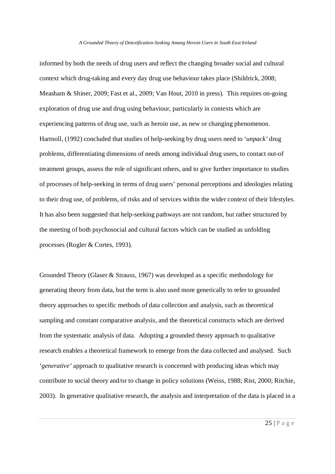informed by both the needs of drug users and reflect the changing broader social and cultural context which drug-taking and every day drug use behaviour takes place (Shildrick, 2008; Measham & Shiner, 2009; Fast et al., 2009; Van Hout, 2010 in press). This requires on-going exploration of drug use and drug using behaviour, particularly in contexts which are experiencing patterns of drug use, such as heroin use, as new or changing phenomenon. Hartnoll, (1992) concluded that studies of help-seeking by drug users need to '*unpack'* drug problems, differentiating dimensions of needs among individual drug users, to contact out-of treatment groups, assess the role of significant others, and to give further importance to studies of processes of help-seeking in terms of drug users' personal perceptions and ideologies relating to their drug use, of problems, of risks and of services within the wider context of their lifestyles. It has also been suggested that help-seeking pathways are not random, but rather structured by the meeting of both psychosocial and cultural factors which can be studied as unfolding processes (Rogler & Cortes, 1993).

Grounded Theory (Glaser & Strauss, 1967) was developed as a specific methodology for generating theory from data, but the term is also used more generically to refer to grounded theory approaches to specific methods of data collection and analysis, such as theoretical sampling and constant comparative analysis, and the theoretical constructs which are derived from the systematic analysis of data. Adopting a grounded theory approach to qualitative research enables a theoretical framework to emerge from the data collected and analysed. Such '*generative'* approach to qualitative research is concerned with producing ideas which may contribute to social theory and/or to change in policy solutions (Weiss, 1988; Rist, 2000; Ritchie, 2003). In generative qualitative research, the analysis and interpretation of the data is placed in a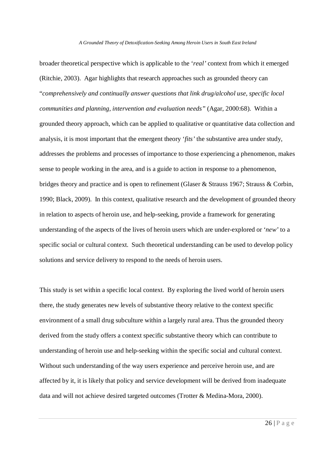broader theoretical perspective which is applicable to the '*real'* context from which it emerged (Ritchie, 2003). Agar highlights that research approaches such as grounded theory can "*comprehensively and continually answer questions that link drug/alcohol use, specific local communities and planning, intervention and evaluation needs"* (Agar, 2000:68). Within a grounded theory approach, which can be applied to qualitative or quantitative data collection and analysis, it is most important that the emergent theory '*fits'* the substantive area under study, addresses the problems and processes of importance to those experiencing a phenomenon, makes sense to people working in the area, and is a guide to action in response to a phenomenon, bridges theory and practice and is open to refinement (Glaser & Strauss 1967; Strauss & Corbin, 1990; Black, 2009). In this context, qualitative research and the development of grounded theory in relation to aspects of heroin use, and help-seeking, provide a framework for generating understanding of the aspects of the lives of heroin users which are under-explored or '*new'* to a specific social or cultural context. Such theoretical understanding can be used to develop policy solutions and service delivery to respond to the needs of heroin users.

This study is set within a specific local context. By exploring the lived world of heroin users there, the study generates new levels of substantive theory relative to the context specific environment of a small drug subculture within a largely rural area. Thus the grounded theory derived from the study offers a context specific substantive theory which can contribute to understanding of heroin use and help-seeking within the specific social and cultural context. Without such understanding of the way users experience and perceive heroin use, and are affected by it, it is likely that policy and service development will be derived from inadequate data and will not achieve desired targeted outcomes (Trotter & Medina-Mora, 2000).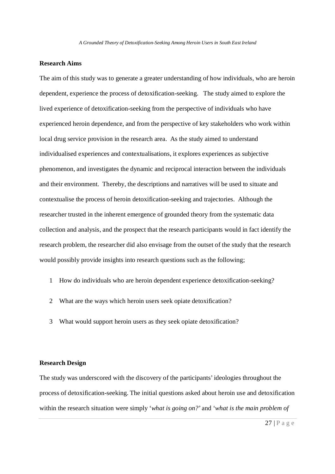# **Research Aims**

The aim of this study was to generate a greater understanding of how individuals, who are heroin dependent, experience the process of detoxification-seeking. The study aimed to explore the lived experience of detoxification-seeking from the perspective of individuals who have experienced heroin dependence, and from the perspective of key stakeholders who work within local drug service provision in the research area. As the study aimed to understand individualised experiences and contextualisations, it explores experiences as subjective phenomenon, and investigates the dynamic and reciprocal interaction between the individuals and their environment. Thereby, the descriptions and narratives will be used to situate and contextualise the process of heroin detoxification-seeking and trajectories. Although the researcher trusted in the inherent emergence of grounded theory from the systematic data collection and analysis, and the prospect that the research participants would in fact identify the research problem, the researcher did also envisage from the outset of the study that the research would possibly provide insights into research questions such as the following;

- 1 How do individuals who are heroin dependent experience detoxification-seeking?
- 2 What are the ways which heroin users seek opiate detoxification?
- 3 What would support heroin users as they seek opiate detoxification?

# **Research Design**

The study was underscored with the discovery of the participants' ideologies throughout the process of detoxification-seeking. The initial questions asked about heroin use and detoxification within the research situation were simply '*what is going on?*' and '*what is the main problem of*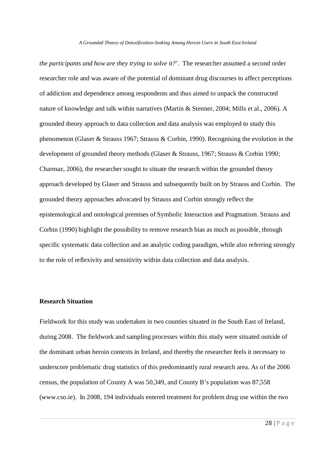*the participants and how are they trying to solve it?*'. The researcher assumed a second order researcher role and was aware of the potential of dominant drug discourses to affect perceptions of addiction and dependence among respondents and thus aimed to unpack the constructed nature of knowledge and talk within narratives (Martin & Stenner, 2004; Mills et al., 2006). A grounded theory approach to data collection and data analysis was employed to study this phenomenon (Glaser & Strauss 1967; Strauss & Corbin, 1990). Recognising the evolution in the development of grounded theory methods (Glaser & Strauss, 1967; Strauss & Corbin 1990; Charmaz, 2006), the researcher sought to situate the research within the grounded theory approach developed by Glaser and Strauss and subsequently built on by Strauss and Corbin. The grounded theory approaches advocated by Strauss and Corbin strongly reflect the epistemological and ontological premises of Symbolic Interaction and Pragmatism. Strauss and Corbin (1990) highlight the possibility to remove research bias as much as possible, through specific systematic data collection and an analytic coding paradigm, while also referring strongly to the role of reflexivity and sensitivity within data collection and data analysis.

# **Research Situation**

Fieldwork for this study was undertaken in two counties situated in the South East of Ireland, during 2008. The fieldwork and sampling processes within this study were situated outside of the dominant urban heroin contexts in Ireland, and thereby the researcher feels it necessary to underscore problematic drug statistics of this predominantly rural research area. As of the 2006 census, the population of County A was 50,349, and County B's population was 87,558 (www.cso.ie). In 2008, 194 individuals entered treatment for problem drug use within the two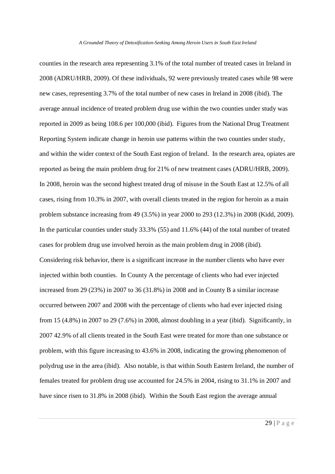counties in the research area representing 3.1% of the total number of treated cases in Ireland in 2008 (ADRU/HRB, 2009). Of these individuals, 92 were previously treated cases while 98 were new cases, representing 3.7% of the total number of new cases in Ireland in 2008 (ibid). The average annual incidence of treated problem drug use within the two counties under study was reported in 2009 as being 108.6 per 100,000 (ibid). Figures from the National Drug Treatment Reporting System indicate change in heroin use patterns within the two counties under study, and within the wider context of the South East region of Ireland. In the research area, opiates are reported as being the main problem drug for 21% of new treatment cases (ADRU/HRB, 2009). In 2008, heroin was the second highest treated drug of misuse in the South East at 12.5% of all cases, rising from 10.3% in 2007, with overall clients treated in the region for heroin as a main problem substance increasing from 49 (3.5%) in year 2000 to 293 (12.3%) in 2008 (Kidd, 2009). In the particular counties under study 33.3% (55) and 11.6% (44) of the total number of treated cases for problem drug use involved heroin as the main problem drug in 2008 (ibid). Considering risk behavior, there is a significant increase in the number clients who have ever injected within both counties. In County A the percentage of clients who had ever injected increased from 29 (23%) in 2007 to 36 (31.8%) in 2008 and in County B a similar increase occurred between 2007 and 2008 with the percentage of clients who had ever injected rising from 15 (4.8%) in 2007 to 29 (7.6%) in 2008, almost doubling in a year (ibid). Significantly, in 2007 42.9% of all clients treated in the South East were treated for more than one substance or problem, with this figure increasing to 43.6% in 2008, indicating the growing phenomenon of polydrug use in the area (ibid). Also notable, is that within South Eastern Ireland, the number of females treated for problem drug use accounted for 24.5% in 2004, rising to 31.1% in 2007 and have since risen to 31.8% in 2008 (ibid). Within the South East region the average annual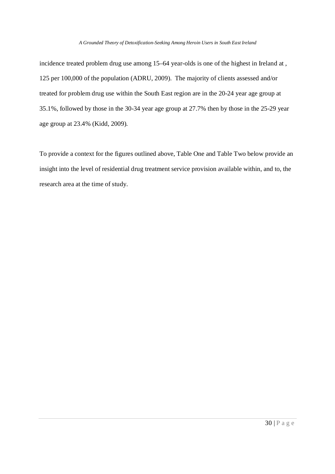incidence treated problem drug use among 15–64 year-olds is one of the highest in Ireland at , 125 per 100,000 of the population (ADRU, 2009). The majority of clients assessed and/or treated for problem drug use within the South East region are in the 20-24 year age group at 35.1%, followed by those in the 30-34 year age group at 27.7% then by those in the 25-29 year age group at 23.4% (Kidd, 2009).

To provide a context for the figures outlined above, Table One and Table Two below provide an insight into the level of residential drug treatment service provision available within, and to, the research area at the time of study.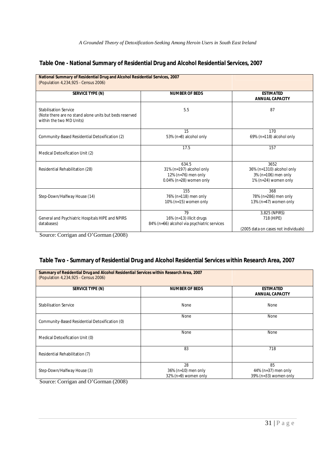# **Table One - National Summary of Residential Drug and Alcohol Residential Services, 2007**

| National Summary of Residential Drug and Alcohol Residential Services, 2007<br>(Population 4,234,925 - Census 2006) |                                                                                        |                                                                                  |  |  |  |
|---------------------------------------------------------------------------------------------------------------------|----------------------------------------------------------------------------------------|----------------------------------------------------------------------------------|--|--|--|
| <b>SERVICE TYPE (N)</b>                                                                                             | <b>NUMBER OF BEDS</b>                                                                  | <b>ESTIMATED</b><br><b>ANNUAL CAPACITY</b>                                       |  |  |  |
| Stabilisation Service<br>(Note there are no stand alone units but beds reserved<br>within the two MD Units)         | 5.5                                                                                    | 87                                                                               |  |  |  |
| Community-Based Residential Detoxification (2)                                                                      | 15<br>53% (n=8) alcohol only                                                           | 170<br>69% (n=118) alcohol only                                                  |  |  |  |
| Medical Detoxification Unit (2)                                                                                     | 17.5                                                                                   | 157                                                                              |  |  |  |
| Residential Rehabilitation (28)                                                                                     | 634.5<br>31% (n=197) alcohol only<br>12% (n=76) men only<br>$0.04\%$ (n=28) women only | 3652<br>36% (n=1310) alcohol only<br>3% (n=106) men only<br>1% (n=24) women only |  |  |  |
| Step-Down/Halfway House (14)                                                                                        | 155<br>76% (n=118) men only<br>10% (n=15) women only                                   | 368<br>78% (n=286) men only<br>13% (n=47) women only                             |  |  |  |
| General and Psychiatric Hospitals HIPE and NPIRS<br>databases)<br>$\alpha$ $\alpha$ $\alpha$<br>(0.000)<br>$\sim$   | 79<br>16% (n=13) illicit drugs<br>84% (n=66) alcohol via psychiatric services          | 3,825 (NPIRS)<br>718 (HIPE)<br>(2005 data on cases not individuals)              |  |  |  |

Source: Corrigan and O'Gorman (2008)

# **Table Two - Summary of Residential Drug and Alcohol Residential Services within Research Area, 2007**

| Summary of Residential Drug and Alcohol Residential Services within Research Area, 2007<br>(Population 4,234,925 - Census 2006) |                                                   |                                                    |  |  |  |
|---------------------------------------------------------------------------------------------------------------------------------|---------------------------------------------------|----------------------------------------------------|--|--|--|
| SERVICE TYPE (N)                                                                                                                | <b>NUMBER OF BEDS</b>                             | <b>ESTIMATED</b><br><b>ANNUAL CAPACITY</b>         |  |  |  |
| <b>Stabilisation Service</b>                                                                                                    | None                                              | None                                               |  |  |  |
| Community-Based Residential Detoxification (0)                                                                                  | None                                              | None                                               |  |  |  |
| Medical Detoxification Unit (0)                                                                                                 | None                                              | None                                               |  |  |  |
| Residential Rehabilitation (7)                                                                                                  | 83                                                | 718                                                |  |  |  |
| Step-Down/Halfway House (3)                                                                                                     | 28<br>36% (n=10) men only<br>32% (n=9) women only | 85<br>44% (n=37) men only<br>39% (n=33) women only |  |  |  |

Source: Corrigan and O'Gorman (2008)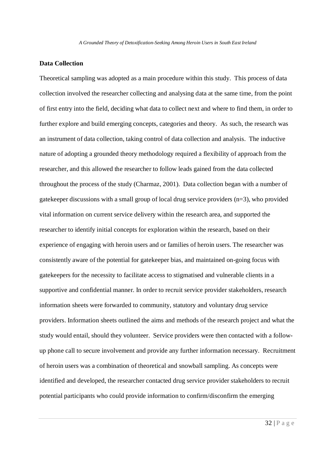# **Data Collection**

Theoretical sampling was adopted as a main procedure within this study. This process of data collection involved the researcher collecting and analysing data at the same time, from the point of first entry into the field, deciding what data to collect next and where to find them, in order to further explore and build emerging concepts, categories and theory. As such, the research was an instrument of data collection, taking control of data collection and analysis. The inductive nature of adopting a grounded theory methodology required a flexibility of approach from the researcher, and this allowed the researcher to follow leads gained from the data collected throughout the process of the study (Charmaz, 2001). Data collection began with a number of gatekeeper discussions with a small group of local drug service providers (n=3), who provided vital information on current service delivery within the research area, and supported the researcher to identify initial concepts for exploration within the research, based on their experience of engaging with heroin users and or families of heroin users. The researcher was consistently aware of the potential for gatekeeper bias, and maintained on-going focus with gatekeepers for the necessity to facilitate access to stigmatised and vulnerable clients in a supportive and confidential manner. In order to recruit service provider stakeholders, research information sheets were forwarded to community, statutory and voluntary drug service providers. Information sheets outlined the aims and methods of the research project and what the study would entail, should they volunteer. Service providers were then contacted with a followup phone call to secure involvement and provide any further information necessary. Recruitment of heroin users was a combination of theoretical and snowball sampling. As concepts were identified and developed, the researcher contacted drug service provider stakeholders to recruit potential participants who could provide information to confirm/disconfirm the emerging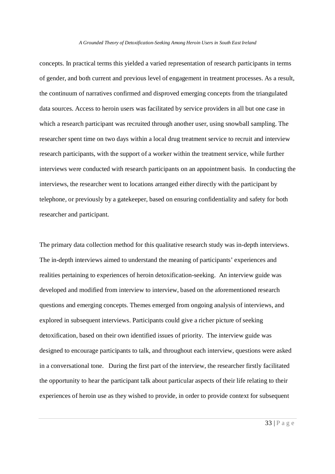concepts. In practical terms this yielded a varied representation of research participants in terms of gender, and both current and previous level of engagement in treatment processes. As a result, the continuum of narratives confirmed and disproved emerging concepts from the triangulated data sources. Access to heroin users was facilitated by service providers in all but one case in which a research participant was recruited through another user, using snowball sampling. The researcher spent time on two days within a local drug treatment service to recruit and interview research participants, with the support of a worker within the treatment service, while further interviews were conducted with research participants on an appointment basis. In conducting the interviews, the researcher went to locations arranged either directly with the participant by telephone, or previously by a gatekeeper, based on ensuring confidentiality and safety for both researcher and participant.

The primary data collection method for this qualitative research study was in-depth interviews. The in-depth interviews aimed to understand the meaning of participants' experiences and realities pertaining to experiences of heroin detoxification-seeking. An interview guide was developed and modified from interview to interview, based on the aforementioned research questions and emerging concepts. Themes emerged from ongoing analysis of interviews, and explored in subsequent interviews. Participants could give a richer picture of seeking detoxification, based on their own identified issues of priority. The interview guide was designed to encourage participants to talk, and throughout each interview, questions were asked in a conversational tone. During the first part of the interview, the researcher firstly facilitated the opportunity to hear the participant talk about particular aspects of their life relating to their experiences of heroin use as they wished to provide, in order to provide context for subsequent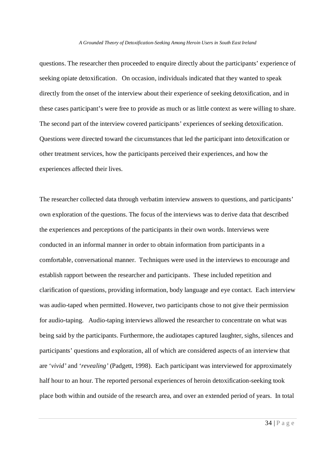questions. The researcher then proceeded to enquire directly about the participants' experience of seeking opiate detoxification. On occasion, individuals indicated that they wanted to speak directly from the onset of the interview about their experience of seeking detoxification, and in these cases participant's were free to provide as much or as little context as were willing to share. The second part of the interview covered participants' experiences of seeking detoxification. Questions were directed toward the circumstances that led the participant into detoxification or other treatment services, how the participants perceived their experiences, and how the experiences affected their lives.

The researcher collected data through verbatim interview answers to questions, and participants' own exploration of the questions. The focus of the interviews was to derive data that described the experiences and perceptions of the participants in their own words. Interviews were conducted in an informal manner in order to obtain information from participants in a comfortable, conversational manner. Techniques were used in the interviews to encourage and establish rapport between the researcher and participants. These included repetition and clarification of questions, providing information, body language and eye contact. Each interview was audio-taped when permitted. However, two participants chose to not give their permission for audio-taping. Audio-taping interviews allowed the researcher to concentrate on what was being said by the participants. Furthermore, the audiotapes captured laughter, sighs, silences and participants' questions and exploration, all of which are considered aspects of an interview that are '*vivid'* and '*revealing'* (Padgett, 1998). Each participant was interviewed for approximately half hour to an hour. The reported personal experiences of heroin detoxification-seeking took place both within and outside of the research area, and over an extended period of years. In total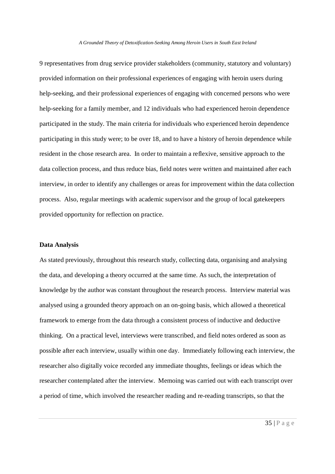9 representatives from drug service provider stakeholders (community, statutory and voluntary) provided information on their professional experiences of engaging with heroin users during help-seeking, and their professional experiences of engaging with concerned persons who were help-seeking for a family member, and 12 individuals who had experienced heroin dependence participated in the study. The main criteria for individuals who experienced heroin dependence participating in this study were; to be over 18, and to have a history of heroin dependence while resident in the chose research area. In order to maintain a reflexive, sensitive approach to the data collection process, and thus reduce bias, field notes were written and maintained after each interview, in order to identify any challenges or areas for improvement within the data collection process. Also, regular meetings with academic supervisor and the group of local gatekeepers provided opportunity for reflection on practice.

# **Data Analysis**

As stated previously, throughout this research study, collecting data, organising and analysing the data, and developing a theory occurred at the same time. As such, the interpretation of knowledge by the author was constant throughout the research process. Interview material was analysed using a grounded theory approach on an on-going basis, which allowed a theoretical framework to emerge from the data through a consistent process of inductive and deductive thinking. On a practical level, interviews were transcribed, and field notes ordered as soon as possible after each interview, usually within one day. Immediately following each interview, the researcher also digitally voice recorded any immediate thoughts, feelings or ideas which the researcher contemplated after the interview. Memoing was carried out with each transcript over a period of time, which involved the researcher reading and re-reading transcripts, so that the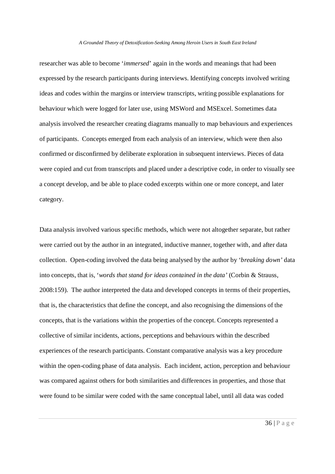researcher was able to become '*immersed*' again in the words and meanings that had been expressed by the research participants during interviews. Identifying concepts involved writing ideas and codes within the margins or interview transcripts, writing possible explanations for behaviour which were logged for later use, using MSWord and MSExcel. Sometimes data analysis involved the researcher creating diagrams manually to map behaviours and experiences of participants. Concepts emerged from each analysis of an interview, which were then also confirmed or disconfirmed by deliberate exploration in subsequent interviews. Pieces of data were copied and cut from transcripts and placed under a descriptive code, in order to visually see a concept develop, and be able to place coded excerpts within one or more concept, and later category.

Data analysis involved various specific methods, which were not altogether separate, but rather were carried out by the author in an integrated, inductive manner, together with, and after data collection. Open-coding involved the data being analysed by the author by '*breaking down'* data into concepts, that is, '*words that stand for ideas contained in the data'* (Corbin & Strauss, 2008:159). The author interpreted the data and developed concepts in terms of their properties, that is, the characteristics that define the concept, and also recognising the dimensions of the concepts, that is the variations within the properties of the concept. Concepts represented a collective of similar incidents, actions, perceptions and behaviours within the described experiences of the research participants. Constant comparative analysis was a key procedure within the open-coding phase of data analysis. Each incident, action, perception and behaviour was compared against others for both similarities and differences in properties, and those that were found to be similar were coded with the same conceptual label, until all data was coded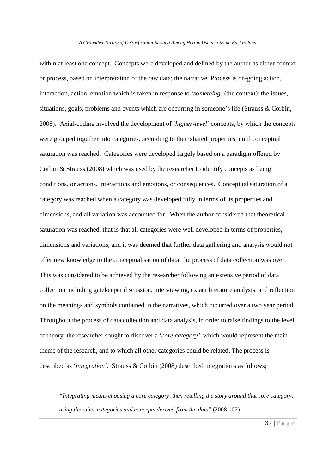within at least one concept. Concepts were developed and defined by the author as either context or process, based on interpretation of the raw data; the narrative. Process is on-going action, interaction, action, emotion which is taken in response to '*something'* (the context); the issues, situations, goals, problems and events which are occurring in someone's life (Strauss & Corbin, 2008). Axial-coding involved the development of '*higher-level'* concepts, by which the concepts were grouped together into categories, according to their shared properties, until conceptual saturation was reached. Categories were developed largely based on a paradigm offered by Corbin & Strauss (2008) which was used by the researcher to identify concepts as being conditions, or actions, interactions and emotions, or consequences. Conceptual saturation of a category was reached when a category was developed fully in terms of its properties and dimensions, and all variation was accounted for. When the author considered that theoretical saturation was reached, that is that all categories were well developed in terms of properties, dimensions and variations, and it was deemed that further data gathering and analysis would not offer new knowledge to the conceptualisation of data, the process of data collection was over. This was considered to be achieved by the researcher following an extensive period of data collection including gatekeeper discussion, interviewing, extant literature analysis, and reflection on the meanings and symbols contained in the narratives, which occurred over a two year period. Throughout the process of data collection and data analysis, in order to raise findings to the level of theory, the researcher sought to discover a '*core category'*, which would represent the main theme of the research, and to which all other categories could be related. The process is described as '*integration'*. Strauss & Corbin (2008) described integrations as follows;

*"Integrating means choosing a core category, then retelling the story around that core category, using the other categories and concepts derived from the data*" (2008:107)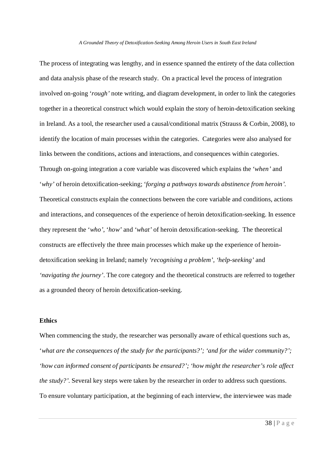The process of integrating was lengthy, and in essence spanned the entirety of the data collection and data analysis phase of the research study. On a practical level the process of integration involved on-going '*rough'* note writing, and diagram development, in order to link the categories together in a theoretical construct which would explain the story of heroin-detoxification seeking in Ireland. As a tool, the researcher used a causal/conditional matrix (Strauss & Corbin, 2008), to identify the location of main processes within the categories. Categories were also analysed for links between the conditions, actions and interactions, and consequences within categories. Through on-going integration a core variable was discovered which explains the '*when'* and '*why'* of heroin detoxification-seeking; '*forging a pathways towards abstinence from heroin'.* Theoretical constructs explain the connections between the core variable and conditions, actions and interactions, and consequences of the experience of heroin detoxification-seeking. In essence they represent the '*who'*, '*how'* and '*what'* of heroin detoxification-seeking. The theoretical constructs are effectively the three main processes which make up the experience of heroindetoxification seeking in Ireland; namely *'recognising a problem', 'help-seeking'* and *'navigating the journey'*. The core category and the theoretical constructs are referred to together as a grounded theory of heroin detoxification-seeking.

# **Ethics**

When commencing the study, the researcher was personally aware of ethical questions such as, '*what are the consequences of the study for the participants?'; 'and for the wider community?'; 'how can informed consent of participants be ensured?'; 'how might the researcher's role affect the study?'.* Several key steps were taken by the researcher in order to address such questions. To ensure voluntary participation, at the beginning of each interview, the interviewee was made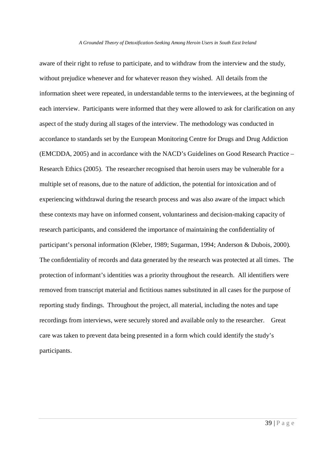aware of their right to refuse to participate, and to withdraw from the interview and the study, without prejudice whenever and for whatever reason they wished. All details from the information sheet were repeated, in understandable terms to the interviewees, at the beginning of each interview. Participants were informed that they were allowed to ask for clarification on any aspect of the study during all stages of the interview. The methodology was conducted in accordance to standards set by the European Monitoring Centre for Drugs and Drug Addiction (EMCDDA, 2005) and in accordance with the NACD's Guidelines on Good Research Practice – Research Ethics (2005). The researcher recognised that heroin users may be vulnerable for a multiple set of reasons, due to the nature of addiction, the potential for intoxication and of experiencing withdrawal during the research process and was also aware of the impact which these contexts may have on informed consent, voluntariness and decision-making capacity of research participants, and considered the importance of maintaining the confidentiality of participant's personal information (Kleber, 1989; Sugarman, 1994; Anderson & Dubois, 2000). The confidentiality of records and data generated by the research was protected at all times. The protection of informant's identities was a priority throughout the research. All identifiers were removed from transcript material and fictitious names substituted in all cases for the purpose of reporting study findings. Throughout the project, all material, including the notes and tape recordings from interviews, were securely stored and available only to the researcher. Great care was taken to prevent data being presented in a form which could identify the study's participants.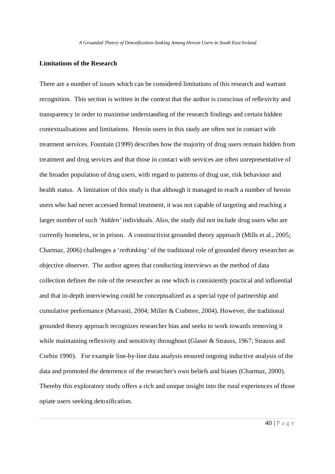## **Limitations of the Research**

There are a number of issues which can be considered limitations of this research and warrant recognition. This section is written in the context that the author is conscious of reflexivity and transparency in order to maximise understanding of the research findings and certain hidden contextualisations and limitations. Heroin users in this study are often not in contact with treatment services. Fountain (1999) describes how the majority of drug users remain hidden from treatment and drug services and that those in contact with services are often unrepresentative of the broader population of drug users, with regard to patterns of drug use, risk behaviour and health status. A limitation of this study is that although it managed to reach a number of heroin users who had never accessed formal treatment, it was not capable of targeting and reaching a larger number of such '*hidden'* individuals. Also, the study did not include drug users who are currently homeless, or in prison. A constructivist grounded theory approach (Mills et al., 2005; Charmaz, 2006) challenges a '*rethinking'* of the traditional role of grounded theory researcher as objective observer. The author agrees that conducting interviews as the method of data collection defines the role of the researcher as one which is consistently practical and influential and that in-depth interviewing could be conceptualized as a special type of partnership and cumulative performance (Marvasti, 2004; Miller & Crabtree, 2004). However, the traditional grounded theory approach recognizes researcher bias and seeks to work towards removing it while maintaining reflexivity and sensitivity throughout (Glaser & Strauss, 1967; Strauss and Corbin 1990). For example line-by-line data analysis ensured ongoing inductive analysis of the data and promoted the deterrence of the researcher's own beliefs and biases (Charmaz, 2000). Thereby this exploratory study offers a rich and unique insight into the rural experiences of those opiate users seeking detoxification.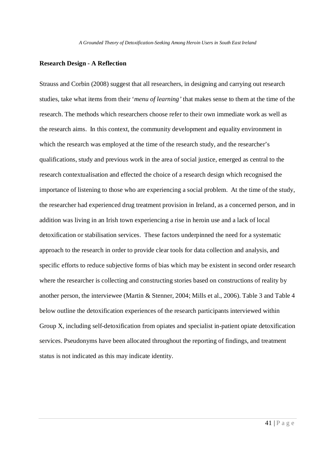## **Research Design - A Reflection**

Strauss and Corbin (2008) suggest that all researchers, in designing and carrying out research studies, take what items from their '*menu of learning'* that makes sense to them at the time of the research. The methods which researchers choose refer to their own immediate work as well as the research aims. In this context, the community development and equality environment in which the research was employed at the time of the research study, and the researcher's qualifications, study and previous work in the area of social justice, emerged as central to the research contextualisation and effected the choice of a research design which recognised the importance of listening to those who are experiencing a social problem. At the time of the study, the researcher had experienced drug treatment provision in Ireland, as a concerned person, and in addition was living in an Irish town experiencing a rise in heroin use and a lack of local detoxification or stabilisation services. These factors underpinned the need for a systematic approach to the research in order to provide clear tools for data collection and analysis, and specific efforts to reduce subjective forms of bias which may be existent in second order research where the researcher is collecting and constructing stories based on constructions of reality by another person, the interviewee (Martin & Stenner, 2004; Mills et al., 2006). Table 3 and Table 4 below outline the detoxification experiences of the research participants interviewed within Group X, including self-detoxification from opiates and specialist in-patient opiate detoxification services. Pseudonyms have been allocated throughout the reporting of findings, and treatment status is not indicated as this may indicate identity.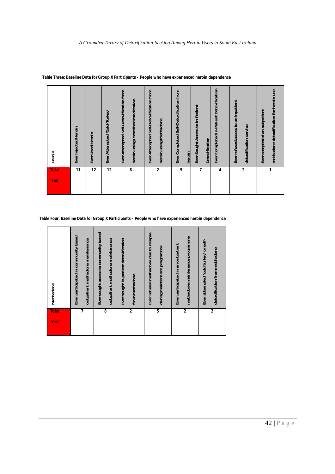| <b>Total</b><br>'Yes | Heroin                                                                        |
|----------------------|-------------------------------------------------------------------------------|
| 11                   | Ever Injected Heroin                                                          |
| 12                   | Ever Used Heroin                                                              |
| 12                   | Ever Attempted 'Cold-Turkey'                                                  |
| 8                    | Ever Attempted Self-Detoxification from<br>heroin using Prescribed Medication |
|                      |                                                                               |
|                      | Ever Attempted Self-Detoxification from                                       |
| 2                    | heroin using Methadone                                                        |
| 9                    | Ever Completed Self-Detoxification from                                       |
|                      | heroin                                                                        |
| $\overline{7}$       | Ever Sought Access to In-Patient                                              |
|                      | Detoxification                                                                |
| 4                    | Ever Completed In-Patient Detoxification                                      |
|                      | Ever refused access to an inpatient                                           |
| $\boldsymbol{2}$     | detoxification service                                                        |
|                      | Ever completed an outpatient                                                  |
| 1                    | methadone detoxification for heroin use                                       |

 **Table Three: Baseline Data for Group X Participants – People who have experienced heroin dependence**

**Table Four: Baseline Data for Group X Participants – People who have experienced heroin dependence**

| <b>Total</b><br>'Yes'   | Methadone                             |
|-------------------------|---------------------------------------|
|                         | Ever participated in community based  |
| 7                       | outpatient methadone maintenance      |
|                         | Ever sought access to community based |
| 8                       | outpatient methadone maintenance      |
|                         | Ever sought in-patient detoxification |
| $\overline{2}$          | from methadone                        |
|                         | Ever refused methadone due to relapse |
| 5                       | during maintenance programme          |
|                         | Ever participated in an outpatient    |
| $\overline{\mathbf{c}}$ | methadone maintenance programme       |
|                         | Ever attempted 'cold turkey' or self- |
| $\mathbf{2}$            | detoxification from methadone         |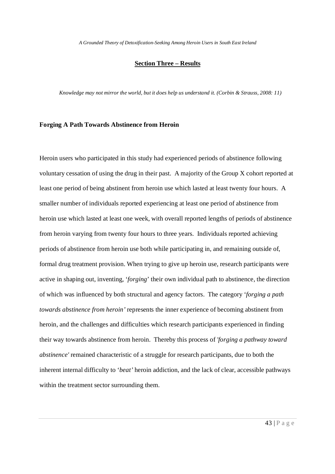## **Section Three – Results**

*Knowledge may not mirror the world, but it does help us understand it. (Corbin & Strauss, 2008: 11)*

## **Forging A Path Towards Abstinence from Heroin**

Heroin users who participated in this study had experienced periods of abstinence following voluntary cessation of using the drug in their past. A majority of the Group X cohort reported at least one period of being abstinent from heroin use which lasted at least twenty four hours. A smaller number of individuals reported experiencing at least one period of abstinence from heroin use which lasted at least one week, with overall reported lengths of periods of abstinence from heroin varying from twenty four hours to three years. Individuals reported achieving periods of abstinence from heroin use both while participating in, and remaining outside of, formal drug treatment provision. When trying to give up heroin use, research participants were active in shaping out, inventing, '*forging*' their own individual path to abstinence, the direction of which was influenced by both structural and agency factors. The category '*forging a path towards abstinence from heroin'* represents the inner experience of becoming abstinent from heroin, and the challenges and difficulties which research participants experienced in finding their way towards abstinence from heroin. Thereby this process of *'forging a pathway toward abstinence'* remained characteristic of a struggle for research participants, due to both the inherent internal difficulty to '*beat'* heroin addiction, and the lack of clear, accessible pathways within the treatment sector surrounding them.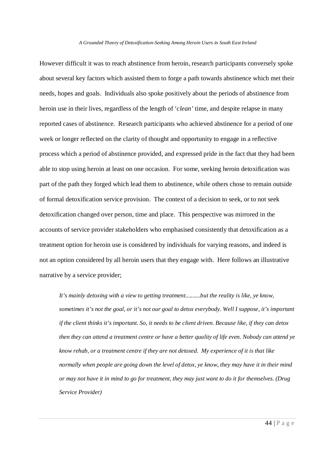However difficult it was to reach abstinence from heroin, research participants conversely spoke about several key factors which assisted them to forge a path towards abstinence which met their needs, hopes and goals. Individuals also spoke positively about the periods of abstinence from heroin use in their lives, regardless of the length of '*clean'* time, and despite relapse in many reported cases of abstinence. Research participants who achieved abstinence for a period of one week or longer reflected on the clarity of thought and opportunity to engage in a reflective process which a period of abstinence provided, and expressed pride in the fact that they had been able to stop using heroin at least on one occasion. For some, seeking heroin detoxification was part of the path they forged which lead them to abstinence, while others chose to remain outside of formal detoxification service provision. The context of a decision to seek, or to not seek detoxification changed over person, time and place. This perspective was mirrored in the accounts of service provider stakeholders who emphasised consistently that detoxification as a treatment option for heroin use is considered by individuals for varying reasons, and indeed is not an option considered by all heroin users that they engage with. Here follows an illustrative narrative by a service provider;

*It's mainly detoxing with a view to getting treatment..........but the reality is like, ye know, sometimes it's not the goal, or it's not our goal to detox everybody. Well I suppose, it's important if the client thinks it's important. So, it needs to be client driven. Because like, if they can detox then they can attend a treatment centre or have a better quality of life even. Nobody can attend ye know rehab, or a treatment centre if they are not detoxed. My experience of it is that like normally when people are going down the level of detox, ye know, they may have it in their mind or may not have it in mind to go for treatment, they may just want to do it for themselves. (Drug Service Provider)*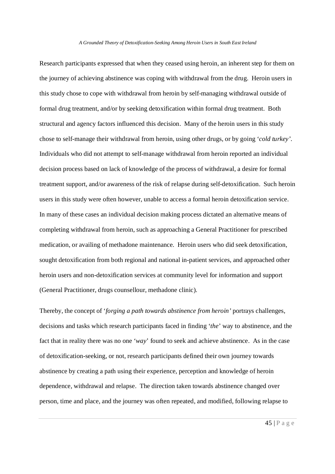Research participants expressed that when they ceased using heroin, an inherent step for them on the journey of achieving abstinence was coping with withdrawal from the drug. Heroin users in this study chose to cope with withdrawal from heroin by self-managing withdrawal outside of formal drug treatment, and/or by seeking detoxification within formal drug treatment. Both structural and agency factors influenced this decision. Many of the heroin users in this study chose to self-manage their withdrawal from heroin, using other drugs, or by going '*cold turkey'*. Individuals who did not attempt to self-manage withdrawal from heroin reported an individual decision process based on lack of knowledge of the process of withdrawal, a desire for formal treatment support, and/or awareness of the risk of relapse during self-detoxification. Such heroin users in this study were often however, unable to access a formal heroin detoxification service. In many of these cases an individual decision making process dictated an alternative means of completing withdrawal from heroin, such as approaching a General Practitioner for prescribed medication, or availing of methadone maintenance. Heroin users who did seek detoxification, sought detoxification from both regional and national in-patient services, and approached other heroin users and non-detoxification services at community level for information and support (General Practitioner, drugs counsellour, methadone clinic).

Thereby, the concept of '*forging a path towards abstinence from heroin'* portrays challenges, decisions and tasks which research participants faced in finding '*the*' way to abstinence, and the fact that in reality there was no one '*way*' found to seek and achieve abstinence. As in the case of detoxification-seeking, or not, research participants defined their own journey towards abstinence by creating a path using their experience, perception and knowledge of heroin dependence, withdrawal and relapse. The direction taken towards abstinence changed over person, time and place, and the journey was often repeated, and modified, following relapse to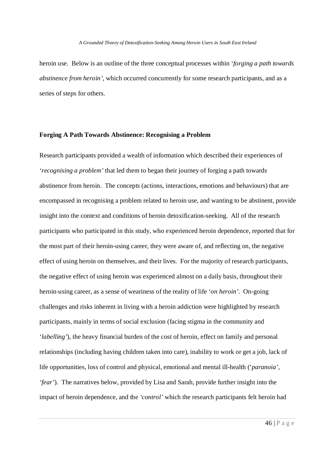heroin use. Below is an outline of the three conceptual processes within '*forging a path towards abstinence from heroin'*, which occurred concurrently for some research participants, and as a series of steps for others.

## **Forging A Path Towards Abstinence: Recognising a Problem**

Research participants provided a wealth of information which described their experiences of '*recognising a problem'* that led them to began their journey of forging a path towards abstinence from heroin. The concepts (actions, interactions, emotions and behaviours) that are encompassed in recognising a problem related to heroin use, and wanting to be abstinent, provide insight into the context and conditions of heroin detoxification-seeking. All of the research participants who participated in this study, who experienced heroin dependence, reported that for the most part of their heroin-using career, they were aware of, and reflecting on, the negative effect of using heroin on themselves, and their lives. For the majority of research participants, the negative effect of using heroin was experienced almost on a daily basis, throughout their heroin-using career, as a sense of weariness of the reality of life '*on heroin'*. On-going challenges and risks inherent in living with a heroin addiction were highlighted by research participants, mainly in terms of social exclusion (facing stigma in the community and '*labelling'*), the heavy financial burden of the cost of heroin, effect on family and personal relationships (including having children taken into care), inability to work or get a job, lack of life opportunities, loss of control and physical, emotional and mental ill-health ('*paranoia', 'fear'*). The narratives below, provided by Lisa and Sarah, provide further insight into the impact of heroin dependence, and the *'control'* which the research participants felt heroin had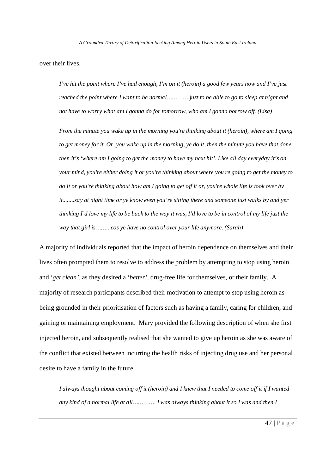over their lives.

*I've hit the point where I've had enough, I'm on it (heroin) a good few years now and I've just reached the point where I want to be normal………….just to be able to go to sleep at night and not have to worry what am I gonna do for tomorrow, who am I gonna borrow off. (Lisa)*

*From the minute you wake up in the morning you're thinking about it (heroin), where am I going to get money for it. Or, you wake up in the morning, ye do it, then the minute you have that done then it's 'where am I going to get the money to have my next hit'. Like all day everyday it's on your mind, you're either doing it or you're thinking about where you're going to get the money to do it or you're thinking about how am I going to get off it or, you're whole life is took over by it........say at night time or ye know even you're sitting there and someone just walks by and yer thinking I'd love my life to be back to the way it was, I'd love to be in control of my life just the way that girl is…….. cos ye have no control over your life anymore. (Sarah)*

A majority of individuals reported that the impact of heroin dependence on themselves and their lives often prompted them to resolve to address the problem by attempting to stop using heroin and '*get clean',* as they desired a '*better'*, drug-free life for themselves, or their family. A majority of research participants described their motivation to attempt to stop using heroin as being grounded in their prioritisation of factors such as having a family, caring for children, and gaining or maintaining employment. Mary provided the following description of when she first injected heroin, and subsequently realised that she wanted to give up heroin as she was aware of the conflict that existed between incurring the health risks of injecting drug use and her personal desire to have a family in the future.

*I always thought about coming off it (heroin) and I knew that I needed to come off it if I wanted any kind of a normal life at all…………. I was always thinking about it so I was and then I*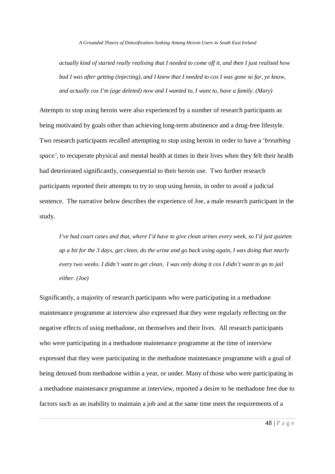*actually kind of started really realising that I needed to come off it, and then I just realised how bad I was after getting (injecting), and I knew that I needed to cos I was gone so far, ye know, and actually cos I'm (age deleted) now and I wanted to, I want to, have a family. (Mary)*

Attempts to stop using heroin were also experienced by a number of research participants as being motivated by goals other than achieving long-term abstinence and a drug-free lifestyle. Two research participants recalled attempting to stop using heroin in order to have a '*breathing space',* to recuperate physical and mental health at times in their lives when they felt their health had deteriorated significantly, consequential to their heroin use. Two further research participants reported their attempts to try to stop using heroin, in order to avoid a judicial sentence. The narrative below describes the experience of Joe, a male research participant in the study.

*I've had court cases and that, where I'd have to give clean urines every week, so I'd just quieten up a bit for the 3 days, get clean, do the urine and go back using again, I was doing that nearly every two weeks. I didn't want to get clean, I was only doing it cos I didn't want to go to jail either. (Joe)*

Significantly, a majority of research participants who were participating in a methadone maintenance programme at interview also expressed that they were regularly reflecting on the negative effects of using methadone, on themselves and their lives. All research participants who were participating in a methadone maintenance programme at the time of interview expressed that they were participating in the methadone maintenance programme with a goal of being detoxed from methadone within a year, or under. Many of those who were participating in a methadone maintenance programme at interview, reported a desire to be methadone free due to factors such as an inability to maintain a job and at the same time meet the requirements of a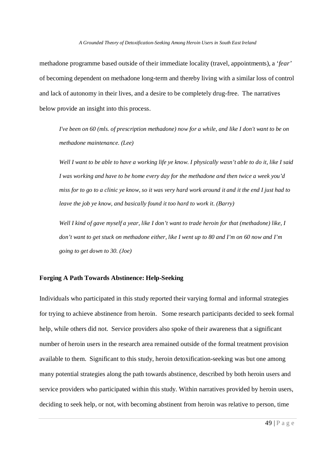methadone programme based outside of their immediate locality (travel, appointments), a '*fear'* of becoming dependent on methadone long-term and thereby living with a similar loss of control and lack of autonomy in their lives, and a desire to be completely drug-free. The narratives below provide an insight into this process.

*I've been on 60 (mls. of prescription methadone) now for a while, and like I don't want to be on methadone maintenance. (Lee)*

*Well I want to be able to have a working life ye know. I physically wasn't able to do it, like I said I was working and have to be home every day for the methadone and then twice a week you'd miss for to go to a clinic ye know, so it was very hard work around it and it the end I just had to leave the job ye know, and basically found it too hard to work it. (Barry)*

*Well I kind of gave myself a year, like I don't want to trade heroin for that (methadone) like, I don't want to get stuck on methadone either, like I went up to 80 and I'm on 60 now and I'm going to get down to 30. (Joe)*

## **Forging A Path Towards Abstinence: Help-Seeking**

Individuals who participated in this study reported their varying formal and informal strategies for trying to achieve abstinence from heroin. Some research participants decided to seek formal help, while others did not. Service providers also spoke of their awareness that a significant number of heroin users in the research area remained outside of the formal treatment provision available to them. Significant to this study, heroin detoxification-seeking was but one among many potential strategies along the path towards abstinence, described by both heroin users and service providers who participated within this study. Within narratives provided by heroin users, deciding to seek help, or not, with becoming abstinent from heroin was relative to person, time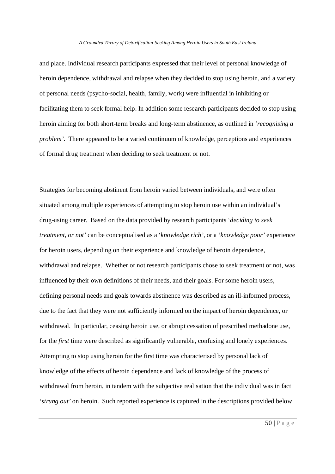and place. Individual research participants expressed that their level of personal knowledge of heroin dependence, withdrawal and relapse when they decided to stop using heroin, and a variety of personal needs (psycho-social, health, family, work) were influential in inhibiting or facilitating them to seek formal help. In addition some research participants decided to stop using heroin aiming for both short-term breaks and long-term abstinence, as outlined in '*recognising a problem'*. There appeared to be a varied continuum of knowledge, perceptions and experiences of formal drug treatment when deciding to seek treatment or not.

Strategies for becoming abstinent from heroin varied between individuals, and were often situated among multiple experiences of attempting to stop heroin use within an individual's drug-using career. Based on the data provided by research participants '*deciding to seek treatment, or not'* can be conceptualised as a '*knowledge rich'*, or a '*knowledge poor'* experience for heroin users, depending on their experience and knowledge of heroin dependence, withdrawal and relapse. Whether or not research participants chose to seek treatment or not, was influenced by their own definitions of their needs, and their goals. For some heroin users, defining personal needs and goals towards abstinence was described as an ill-informed process, due to the fact that they were not sufficiently informed on the impact of heroin dependence, or withdrawal. In particular, ceasing heroin use, or abrupt cessation of prescribed methadone use, for the *first* time were described as significantly vulnerable, confusing and lonely experiences. Attempting to stop using heroin for the first time was characterised by personal lack of knowledge of the effects of heroin dependence and lack of knowledge of the process of withdrawal from heroin, in tandem with the subjective realisation that the individual was in fact '*strung out'* on heroin. Such reported experience is captured in the descriptions provided below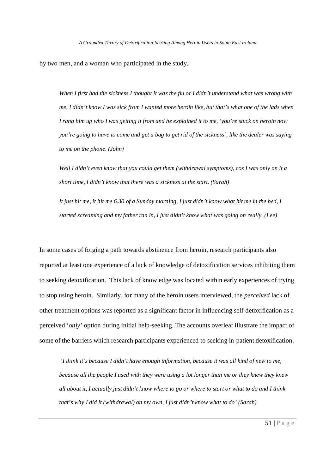by two men, and a woman who participated in the study.

*When I first had the sickness I thought it was the flu or I didn't understand what was wrong with me, I didn't know I was sick from I wanted more heroin like, but that's what one of the lads when I rang him up who I was getting it from and he explained it to me, 'you're stuck on heroin now you're going to have to come and get a bag to get rid of the sickness', like the dealer was saying to me on the phone. (John)*

*Well I didn't even know that you could get them (withdrawal symptoms), cos I was only on it a short time, I didn't know that there was a sickness at the start. (Sarah)*

*It just hit me, it hit me 6.30 of a Sunday morning, I just didn't know what hit me in the bed, I started screaming and my father ran in, I just didn't know what was going on really. (Lee)*

In some cases of forging a path towards abstinence from heroin, research participants also reported at least one experience of a lack of knowledge of detoxification services inhibiting them to seeking detoxification. This lack of knowledge was located within early experiences of trying to stop using heroin. Similarly, for many of the heroin users interviewed, the *perceived* lack of other treatment options was reported as a significant factor in influencing self-detoxification as a perceived '*only*' option during initial help-seeking. The accounts overleaf illustrate the impact of some of the barriers which research participants experienced to seeking in-patient detoxification.

*'I think it's because I didn't have enough information, because it was all kind of new to me, because all the people I used with they were using a lot longer than me or they knew they knew all about it, I actually just didn't know where to go or where to start or what to do and I think that's why I did it (withdrawal) on my own, I just didn't know what to do' (Sarah)*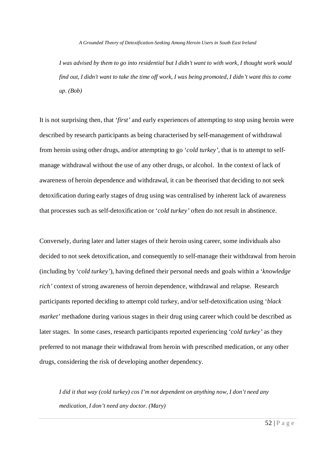*I was advised by them to go into residential but I didn't want to with work, I thought work would find out, I didn't want to take the time off work, I was being promoted, I didn't want this to come up. (Bob)*

It is not surprising then, that '*first'* and early experiences of attempting to stop using heroin were described by research participants as being characterised by self-management of withdrawal from heroin using other drugs, and/or attempting to go '*cold turkey'*, that is to attempt to selfmanage withdrawal without the use of any other drugs, or alcohol. In the context of lack of awareness of heroin dependence and withdrawal, it can be theorised that deciding to not seek detoxification during early stages of drug using was centralised by inherent lack of awareness that processes such as self-detoxification or '*cold turkey'* often do not result in abstinence.

Conversely, during later and latter stages of their heroin using career, some individuals also decided to not seek detoxification, and consequently to self-manage their withdrawal from heroin (including by '*cold turkey'*), having defined their personal needs and goals within a '*knowledge rich'* context of strong awareness of heroin dependence, withdrawal and relapse. Research participants reported deciding to attempt cold turkey, and/or self-detoxification using '*black market'* methadone during various stages in their drug using career which could be described as later stages. In some cases, research participants reported experiencing '*cold turkey'* as they preferred to not manage their withdrawal from heroin with prescribed medication, or any other drugs, considering the risk of developing another dependency.

*I did it that way (cold turkey) cos I'm not dependent on anything now, I don't need any medication, I don't need any doctor. (Mary)*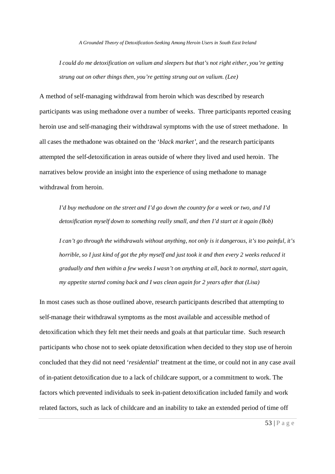*I could do me detoxification on valium and sleepers but that's not right either, you're getting strung out on other things then, you're getting strung out on valium. (Lee)*

A method of self-managing withdrawal from heroin which was described by research participants was using methadone over a number of weeks. Three participants reported ceasing heroin use and self-managing their withdrawal symptoms with the use of street methadone. In all cases the methadone was obtained on the '*black market'*, and the research participants attempted the self-detoxification in areas outside of where they lived and used heroin. The narratives below provide an insight into the experience of using methadone to manage withdrawal from heroin.

*I'd buy methadone on the street and I'd go down the country for a week or two, and I'd detoxification myself down to something really small, and then I'd start at it again (Bob)*

*I can't go through the withdrawals without anything, not only is it dangerous, it's too painful, it's horrible, so I just kind of got the phy myself and just took it and then every 2 weeks reduced it gradually and then within a few weeks I wasn't on anything at all, back to normal, start again, my appetite started coming back and I was clean again for 2 years after that (Lisa)*

In most cases such as those outlined above, research participants described that attempting to self-manage their withdrawal symptoms as the most available and accessible method of detoxification which they felt met their needs and goals at that particular time. Such research participants who chose not to seek opiate detoxification when decided to they stop use of heroin concluded that they did not need '*residential*' treatment at the time, or could not in any case avail of in-patient detoxification due to a lack of childcare support, or a commitment to work. The factors which prevented individuals to seek in-patient detoxification included family and work related factors, such as lack of childcare and an inability to take an extended period of time off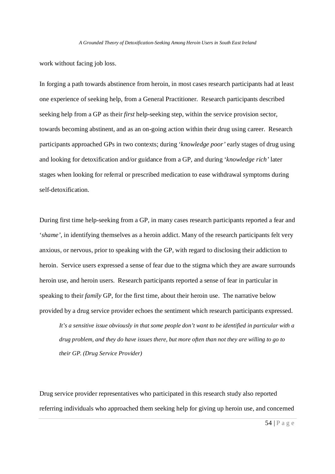work without facing job loss.

In forging a path towards abstinence from heroin, in most cases research participants had at least one experience of seeking help, from a General Practitioner. Research participants described seeking help from a GP as their *first* help-seeking step, within the service provision sector, towards becoming abstinent, and as an on-going action within their drug using career. Research participants approached GPs in two contexts; during '*knowledge poor'* early stages of drug using and looking for detoxification and/or guidance from a GP, and during '*knowledge rich'* later stages when looking for referral or prescribed medication to ease withdrawal symptoms during self-detoxification.

During first time help-seeking from a GP, in many cases research participants reported a fear and '*shame'*, in identifying themselves as a heroin addict. Many of the research participants felt very anxious, or nervous, prior to speaking with the GP, with regard to disclosing their addiction to heroin. Service users expressed a sense of fear due to the stigma which they are aware surrounds heroin use, and heroin users. Research participants reported a sense of fear in particular in speaking to their *family* GP, for the first time, about their heroin use. The narrative below provided by a drug service provider echoes the sentiment which research participants expressed.

*It's a sensitive issue obviously in that some people don't want to be identified in particular with a drug problem, and they do have issues there, but more often than not they are willing to go to their GP. (Drug Service Provider)*

Drug service provider representatives who participated in this research study also reported referring individuals who approached them seeking help for giving up heroin use, and concerned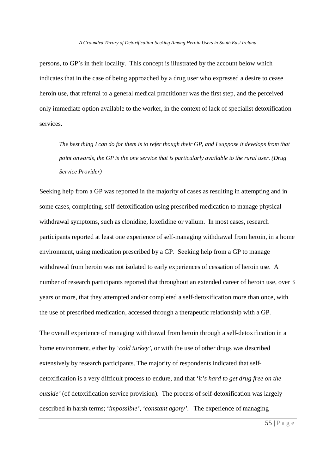persons, to GP's in their locality. This concept is illustrated by the account below which indicates that in the case of being approached by a drug user who expressed a desire to cease heroin use, that referral to a general medical practitioner was the first step, and the perceived only immediate option available to the worker, in the context of lack of specialist detoxification services.

*The best thing I can do for them is to refer though their GP, and I suppose it develops from that point onwards, the GP is the one service that is particularly available to the rural user. (Drug Service Provider)*

Seeking help from a GP was reported in the majority of cases as resulting in attempting and in some cases, completing, self-detoxification using prescribed medication to manage physical withdrawal symptoms, such as clonidine, loxefidine or valium. In most cases, research participants reported at least one experience of self-managing withdrawal from heroin, in a home environment, using medication prescribed by a GP. Seeking help from a GP to manage withdrawal from heroin was not isolated to early experiences of cessation of heroin use. A number of research participants reported that throughout an extended career of heroin use, over 3 years or more, that they attempted and/or completed a self-detoxification more than once, with the use of prescribed medication, accessed through a therapeutic relationship with a GP.

The overall experience of managing withdrawal from heroin through a self-detoxification in a home environment, either by '*cold turkey'*, or with the use of other drugs was described extensively by research participants. The majority of respondents indicated that selfdetoxification is a very difficult process to endure, and that '*it's hard to get drug free on the outside'* (of detoxification service provision). The process of self-detoxification was largely described in harsh terms; '*impossible', 'constant agony'*. The experience of managing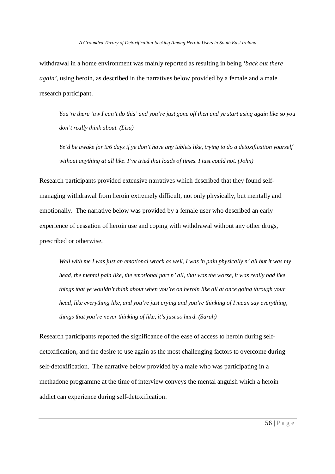withdrawal in a home environment was mainly reported as resulting in being '*back out there again'*, using heroin, as described in the narratives below provided by a female and a male research participant.

*You're there 'aw I can't do this' and you're just gone off then and ye start using again like so you don't really think about. (Lisa)*

*Ye'd be awake for 5/6 days if ye don't have any tablets like, trying to do a detoxification yourself without anything at all like. I've tried that loads of times. I just could not. (John)*

Research participants provided extensive narratives which described that they found selfmanaging withdrawal from heroin extremely difficult, not only physically, but mentally and emotionally. The narrative below was provided by a female user who described an early experience of cessation of heroin use and coping with withdrawal without any other drugs, prescribed or otherwise.

*Well with me I was just an emotional wreck as well, I was in pain physically n' all but it was my head, the mental pain like, the emotional part n' all, that was the worse, it was really bad like things that ye wouldn't think about when you're on heroin like all at once going through your head, like everything like, and you're just crying and you're thinking of I mean say everything, things that you're never thinking of like, it's just so hard. (Sarah)*

Research participants reported the significance of the ease of access to heroin during selfdetoxification, and the desire to use again as the most challenging factors to overcome during self-detoxification. The narrative below provided by a male who was participating in a methadone programme at the time of interview conveys the mental anguish which a heroin addict can experience during self-detoxification.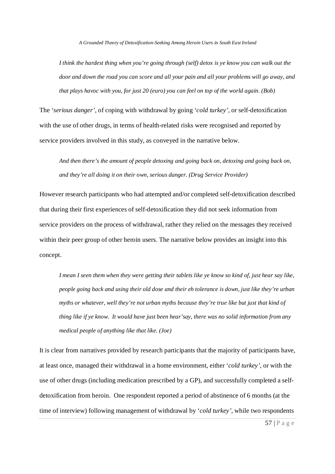*I think the hardest thing when you're going through (self) detox is ye know you can walk out the door and down the road you can score and all your pain and all your problems will go away, and that plays havoc with you, for just 20 (euro) you can feel on top of the world again. (Bob)*

The '*serious danger'*, of coping with withdrawal by going '*cold turkey',* or self-detoxification with the use of other drugs, in terms of health-related risks were recognised and reported by service providers involved in this study, as conveyed in the narrative below.

*And then there's the amount of people detoxing and going back on, detoxing and going back on, and they're all doing it on their own, serious danger. (Drug Service Provider)*

However research participants who had attempted and/or completed self-detoxification described that during their first experiences of self-detoxification they did not seek information from service providers on the process of withdrawal, rather they relied on the messages they received within their peer group of other heroin users. The narrative below provides an insight into this concept.

*I mean I seen them when they were getting their tablets like ye know so kind of, just hear say like, people going back and using their old dose and their eh tolerance is down, just like they're urban myths or whatever, well they're not urban myths because they're true like but just that kind of thing like if ye know. It would have just been hear'say, there was no solid information from any medical people of anything like that like. (Joe)*

It is clear from narratives provided by research participants that the majority of participants have, at least once, managed their withdrawal in a home environment, either '*cold turkey'*, or with the use of other drugs (including medication prescribed by a GP), and successfully completed a selfdetoxification from heroin. One respondent reported a period of abstinence of 6 months (at the time of interview) following management of withdrawal by '*cold turkey'*, while two respondents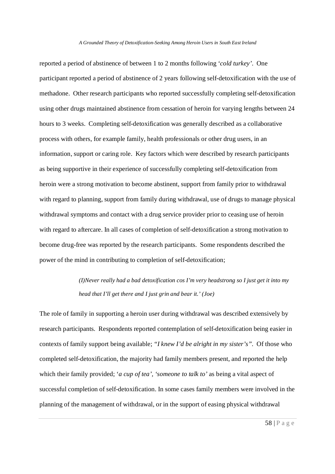reported a period of abstinence of between 1 to 2 months following '*cold turkey'*. One participant reported a period of abstinence of 2 years following self-detoxification with the use of methadone. Other research participants who reported successfully completing self-detoxification using other drugs maintained abstinence from cessation of heroin for varying lengths between 24 hours to 3 weeks. Completing self-detoxification was generally described as a collaborative process with others, for example family, health professionals or other drug users, in an information, support or caring role. Key factors which were described by research participants as being supportive in their experience of successfully completing self-detoxification from heroin were a strong motivation to become abstinent, support from family prior to withdrawal with regard to planning, support from family during withdrawal, use of drugs to manage physical withdrawal symptoms and contact with a drug service provider prior to ceasing use of heroin with regard to aftercare. In all cases of completion of self-detoxification a strong motivation to become drug-free was reported by the research participants. Some respondents described the power of the mind in contributing to completion of self-detoxification;

> *(I)Never really had a bad detoxification cos I'm very headstrong so I just get it into my head that I'll get there and I just grin and bear it.' (Joe)*

The role of family in supporting a heroin user during withdrawal was described extensively by research participants. Respondents reported contemplation of self-detoxification being easier in contexts of family support being available; *"I knew I'd be alright in my sister's".* Of those who completed self-detoxification, the majority had family members present, and reported the help which their family provided; '*a cup of tea', 'someone to talk to'* as being a vital aspect of successful completion of self-detoxification. In some cases family members were involved in the planning of the management of withdrawal, or in the support of easing physical withdrawal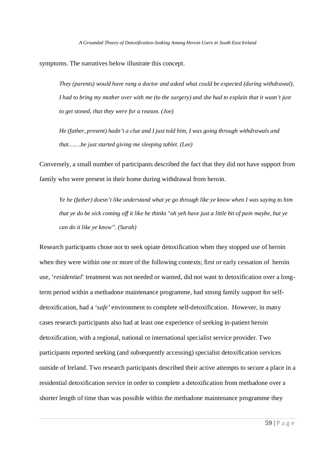symptoms. The narratives below illustrate this concept.

*They (parents) would have rang a doctor and asked what could be expected (during withdrawal), I had to bring my mother over with me (to the surgery) and she had to explain that it wasn't just to get stoned, that they were for a reason. (Joe)*

*He (father, present) hadn't a clue and I just told him, I was going through withdrawals and that…….he just started giving me sleeping tablet. (Lee)*

Conversely, a small number of participants described the fact that they did not have support from family who were present in their home during withdrawal from heroin.

*Ye he (father) doesn't like understand what ye go through like ye know when I was saying to him that ye do be sick coming off it like he thinks "oh yeh have just a little bit of pain maybe, but ye can do it like ye know". (Sarah)*

Research participants chose not to seek opiate detoxification when they stopped use of heroin when they were within one or more of the following contexts; first or early cessation of heroin use, '*residential*' treatment was not needed or wanted, did not want to detoxification over a longterm period within a methadone maintenance programme, had strong family support for selfdetoxification, had a '*safe'* environment to complete self-detoxification. However, in many cases research participants also had at least one experience of seeking in-patient heroin detoxification, with a regional, national or international specialist service provider. Two participants reported seeking (and subsequently accessing) specialist detoxification services outside of Ireland. Two research participants described their active attempts to secure a place in a residential detoxification service in order to complete a detoxification from methadone over a shorter length of time than was possible within the methadone maintenance programme they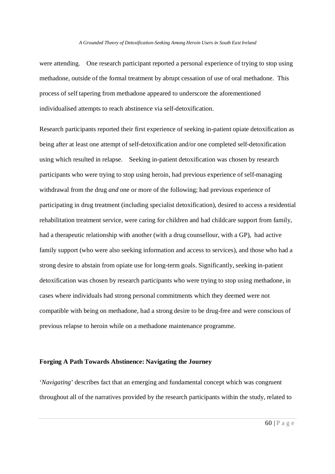were attending. One research participant reported a personal experience of trying to stop using methadone, outside of the formal treatment by abrupt cessation of use of oral methadone. This process of self tapering from methadone appeared to underscore the aforementioned individualised attempts to reach abstinence via self-detoxification.

Research participants reported their first experience of seeking in-patient opiate detoxification as being after at least one attempt of self-detoxification and/or one completed self-detoxification using which resulted in relapse. Seeking in-patient detoxification was chosen by research participants who were trying to stop using heroin, had previous experience of self-managing withdrawal from the drug *and* one or more of the following; had previous experience of participating in drug treatment (including specialist detoxification), desired to access a residential rehabilitation treatment service, were caring for children and had childcare support from family, had a therapeutic relationship with another (with a drug counsellour, with a GP), had active family support (who were also seeking information and access to services), and those who had a strong desire to abstain from opiate use for long-term goals. Significantly, seeking in-patient detoxification was chosen by research participants who were trying to stop using methadone, in cases where individuals had strong personal commitments which they deemed were not compatible with being on methadone, had a strong desire to be drug-free and were conscious of previous relapse to heroin while on a methadone maintenance programme.

# **Forging A Path Towards Abstinence: Navigating the Journey**

'*Navigating*' describes fact that an emerging and fundamental concept which was congruent throughout all of the narratives provided by the research participants within the study, related to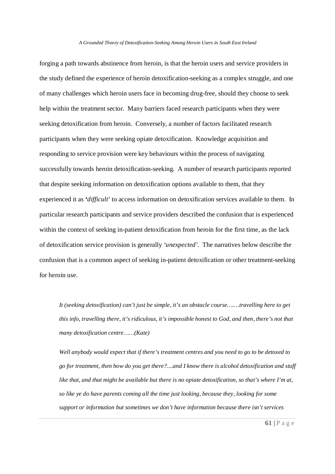forging a path towards abstinence from heroin, is that the heroin users and service providers in the study defined the experience of heroin detoxification-seeking as a complex struggle, and one of many challenges which heroin users face in becoming drug-free, should they choose to seek help within the treatment sector. Many barriers faced research participants when they were seeking detoxification from heroin. Conversely, a number of factors facilitated research participants when they were seeking opiate detoxification. Knowledge acquisition and responding to service provision were key behaviours within the process of navigating successfully towards heroin detoxification-seeking. A number of research participants reported that despite seeking information on detoxification options available to them, that they experienced it as **'***difficult*' to access information on detoxification services available to them. In particular research participants and service providers described the confusion that is experienced within the context of seeking in-patient detoxification from heroin for the first time, as the lack of detoxification service provision is generally *'unexpected'*. The narratives below describe the confusion that is a common aspect of seeking in-patient detoxification or other treatment-seeking for heroin use.

*It (seeking detoxification) can't just be simple, it's an obstacle course….…travelling here to get this info, travelling there, it's ridiculous, it's impossible honest to God, and then, there's not that many detoxification centre……(Kate)*

*Well anybody would expect that if there's treatment centres and you need to go to be detoxed to go for treatment, then how do you get there?....and I know there is alcohol detoxification and stuff like that, and that might be available but there is no opiate detoxification, so that's where I'm at, so like ye do have parents coming all the time just looking, because they, looking for some support or information but sometimes we don't have information because there isn't services*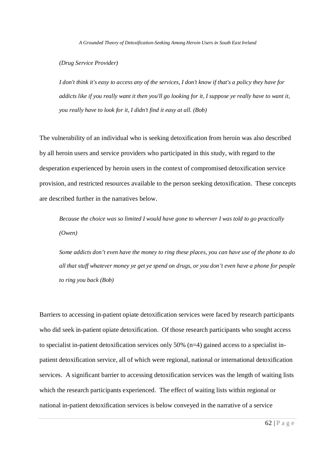*(Drug Service Provider)*

*I don't think it's easy to access any of the services, I don't know if that's a policy they have for addicts like if you really want it then you'll go looking for it, I suppose ye really have to want it, you really have to look for it, I didn't find it easy at all. (Bob)*

The vulnerability of an individual who is seeking detoxification from heroin was also described by all heroin users and service providers who participated in this study, with regard to the desperation experienced by heroin users in the context of compromised detoxification service provision, and restricted resources available to the person seeking detoxification. These concepts are described further in the narratives below.

*Because the choice was so limited I would have gone to wherever I was told to go practically (Owen)*

*Some addicts don't even have the money to ring these places, you can have use of the phone to do all that stuff whatever money ye get ye spend on drugs, or you don't even have a phone for people to ring you back (Bob)*

Barriers to accessing in-patient opiate detoxification services were faced by research participants who did seek in-patient opiate detoxification. Of those research participants who sought access to specialist in-patient detoxification services only 50% (n=4) gained access to a specialist inpatient detoxification service, all of which were regional, national or international detoxification services. A significant barrier to accessing detoxification services was the length of waiting lists which the research participants experienced. The effect of waiting lists within regional or national in-patient detoxification services is below conveyed in the narrative of a service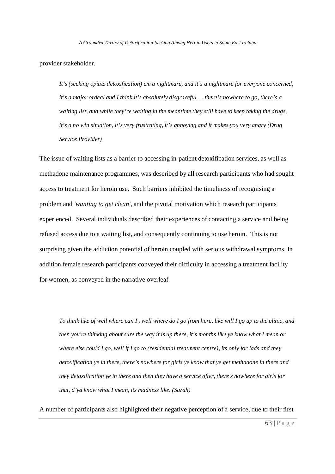provider stakeholder.

*It's (seeking opiate detoxification) em a nightmare, and it's a nightmare for everyone concerned, it's a major ordeal and I think it's absolutely disgraceful…..there's nowhere to go, there's a waiting list, and while they're waiting in the meantime they still have to keep taking the drugs, it's a no win situation, it's very frustrating, it's annoying and it makes you very angry (Drug Service Provider)*

The issue of waiting lists as a barrier to accessing in-patient detoxification services, as well as methadone maintenance programmes, was described by all research participants who had sought access to treatment for heroin use. Such barriers inhibited the timeliness of recognising a problem and *'wanting to get clean'*, and the pivotal motivation which research participants experienced. Several individuals described their experiences of contacting a service and being refused access due to a waiting list, and consequently continuing to use heroin. This is not surprising given the addiction potential of heroin coupled with serious withdrawal symptoms. In addition female research participants conveyed their difficulty in accessing a treatment facility for women, as conveyed in the narrative overleaf.

*To think like of well where can I , well where do I go from here, like will I go up to the clinic, and then you're thinking about sure the way it is up there, it's months like ye know what I mean or where else could I go, well if I go to (residential treatment centre), its only for lads and they detoxification ye in there, there's nowhere for girls ye know that ye get methadone in there and they detoxification ye in there and then they have a service after, there's nowhere for girls for that, d'ya know what I mean, its madness like. (Sarah)*

A number of participants also highlighted their negative perception of a service, due to their first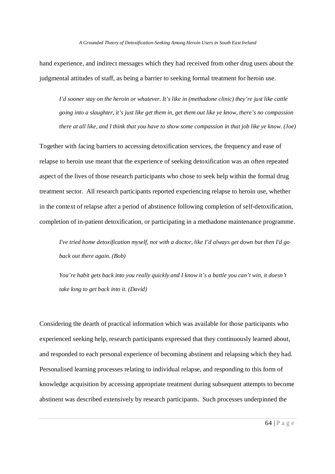hand experience, and indirect messages which they had received from other drug users about the judgmental attitudes of staff, as being a barrier to seeking formal treatment for heroin use.

*I'd sooner stay on the heroin or whatever. It's like in (methadone clinic) they're just like cattle going into a slaughter, it's just like get them in, get them out like ye know, there's no compassion there at all like, and I think that you have to show some compassion in that job like ye know. (Joe)*

Together with facing barriers to accessing detoxification services, the frequency and ease of relapse to heroin use meant that the experience of seeking detoxification was an often repeated aspect of the lives of those research participants who chose to seek help within the formal drug treatment sector. All research participants reported experiencing relapse to heroin use, whether in the context of relapse after a period of abstinence following completion of self-detoxification, completion of in-patient detoxification, or participating in a methadone maintenance programme.

*I've tried home detoxification myself, not with a doctor, like I'd always get down but then I'd go back out there again. (Bob)*

*You're habit gets back into you really quickly and I know it's a battle you can't win, it doesn't take long to get back into it. (David)*

Considering the dearth of practical information which was available for those participants who experienced seeking help, research participants expressed that they continuously learned about, and responded to each personal experience of becoming abstinent and relapsing which they had. Personalised learning processes relating to individual relapse, and responding to this form of knowledge acquisition by accessing appropriate treatment during subsequent attempts to become abstinent was described extensively by research participants. Such processes underpinned the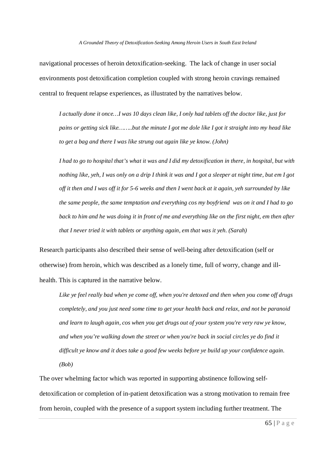navigational processes of heroin detoxification-seeking. The lack of change in user social environments post detoxification completion coupled with strong heroin cravings remained central to frequent relapse experiences, as illustrated by the narratives below.

*I actually done it once…I was 10 days clean like, I only had tablets off the doctor like, just for pains or getting sick like……..but the minute I got me dole like I got it straight into my head like to get a bag and there I was like strung out again like ye know. (John)*

*I had to go to hospital that's what it was and I did my detoxification in there, in hospital, but with nothing like, yeh, I was only on a drip I think it was and I got a sleeper at night time, but em I got off it then and I was off it for 5-6 weeks and then I went back at it again, yeh surrounded by like the same people, the same temptation and everything cos my boyfriend was on it and I had to go back to him and he was doing it in front of me and everything like on the first night, em then after that I never tried it with tablets or anything again, em that was it yeh. (Sarah)*

Research participants also described their sense of well-being after detoxification (self or otherwise) from heroin, which was described as a lonely time, full of worry, change and illhealth. This is captured in the narrative below.

*Like ye feel really bad when ye come off, when you're detoxed and then when you come off drugs completely, and you just need some time to get your health back and relax, and not be paranoid and learn to laugh again, cos when you get drugs out of your system you're very raw ye know, and when you're walking down the street or when you're back in social circles ye do find it difficult ye know and it does take a good few weeks before ye build up your confidence again. (Bob)*

The over whelming factor which was reported in supporting abstinence following selfdetoxification or completion of in-patient detoxification was a strong motivation to remain free from heroin, coupled with the presence of a support system including further treatment. The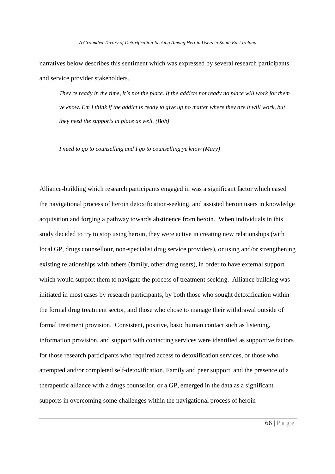narratives below describes this sentiment which was expressed by several research participants and service provider stakeholders.

*They're ready in the time, it's not the place. If the addicts not ready no place will work for them ye know. Em I think if the addict is ready to give up no matter where they are it will work, but they need the supports in place as well. (Bob)*

*I need to go to counselling and I go to counselling ye know (Mary)*

Alliance-building which research participants engaged in was a significant factor which eased the navigational process of heroin detoxification-seeking, and assisted heroin users in knowledge acquisition and forging a pathway towards abstinence from heroin. When individuals in this study decided to try to stop using heroin, they were active in creating new relationships (with local GP, drugs counsellour, non-specialist drug service providers), or using and/or strengthening existing relationships with others (family, other drug users), in order to have external support which would support them to navigate the process of treatment-seeking. Alliance building was initiated in most cases by research participants, by both those who sought detoxification within the formal drug treatment sector, and those who chose to manage their withdrawal outside of formal treatment provision. Consistent, positive, basic human contact such as listening, information provision, and support with contacting services were identified as supportive factors for those research participants who required access to detoxification services, or those who attempted and/or completed self-detoxification. Family and peer support, and the presence of a therapeutic alliance with a drugs counsellor, or a GP, emerged in the data as a significant supports in overcoming some challenges within the navigational process of heroin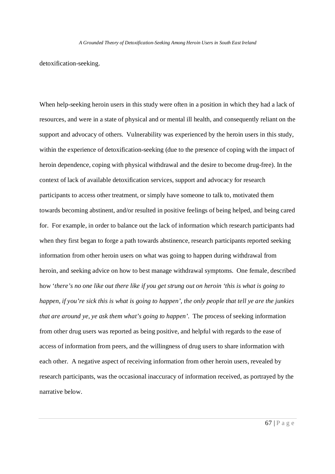detoxification-seeking.

When help-seeking heroin users in this study were often in a position in which they had a lack of resources, and were in a state of physical and or mental ill health, and consequently reliant on the support and advocacy of others. Vulnerability was experienced by the heroin users in this study, within the experience of detoxification-seeking (due to the presence of coping with the impact of heroin dependence, coping with physical withdrawal and the desire to become drug-free). In the context of lack of available detoxification services, support and advocacy for research participants to access other treatment, or simply have someone to talk to, motivated them towards becoming abstinent, and/or resulted in positive feelings of being helped, and being cared for. For example, in order to balance out the lack of information which research participants had when they first began to forge a path towards abstinence, research participants reported seeking information from other heroin users on what was going to happen during withdrawal from heroin, and seeking advice on how to best manage withdrawal symptoms. One female, described how '*there's no one like out there like if you get strung out on heroin 'this is what is going to happen, if you're sick this is what is going to happen', the only people that tell ye are the junkies that are around ye, ye ask them what's going to happen'.* The process of seeking information from other drug users was reported as being positive, and helpful with regards to the ease of access of information from peers, and the willingness of drug users to share information with each other. A negative aspect of receiving information from other heroin users, revealed by research participants, was the occasional inaccuracy of information received, as portrayed by the narrative below.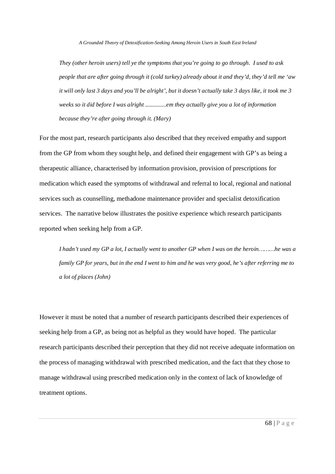*They (other heroin users) tell ye the symptoms that you're going to go through. I used to ask people that are after going through it (cold turkey) already about it and they'd, they'd tell me 'aw it will only last 3 days and you'll be alright', but it doesn't actually take 3 days like, it took me 3 weeks so it did before I was alright ..............em they actually give you a lot of information because they're after going through it. (Mary)*

For the most part, research participants also described that they received empathy and support from the GP from whom they sought help, and defined their engagement with GP's as being a therapeutic alliance, characterised by information provision, provision of prescriptions for medication which eased the symptoms of withdrawal and referral to local, regional and national services such as counselling, methadone maintenance provider and specialist detoxification services. The narrative below illustrates the positive experience which research participants reported when seeking help from a GP.

*I hadn't used my GP a lot, I actually went to another GP when I was on the heroin………he was a family GP for years, but in the end I went to him and he was very good, he's after referring me to a lot of places (John)*

However it must be noted that a number of research participants described their experiences of seeking help from a GP, as being not as helpful as they would have hoped. The particular research participants described their perception that they did not receive adequate information on the process of managing withdrawal with prescribed medication, and the fact that they chose to manage withdrawal using prescribed medication only in the context of lack of knowledge of treatment options.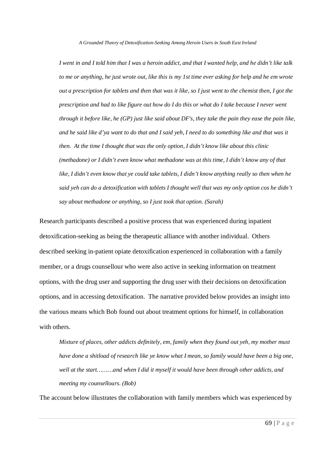*I went in and I told him that I was a heroin addict, and that I wanted help, and he didn't like talk to me or anything, he just wrote out, like this is my 1st time ever asking for help and he em wrote out a prescription for tablets and then that was it like, so I just went to the chemist then, I got the prescription and had to like figure out how do I do this or what do I take because I never went through it before like, he (GP) just like said about DF's, they take the pain they ease the pain like, and he said like d'ya want to do that and I said yeh, I need to do something like and that was it then. At the time I thought that was the only option, I didn't know like about this clinic (methadone) or I didn't even know what methadone was at this time, I didn't know any of that like, I didn't even know that ye could take tablets, I didn't know anything really so then when he said yeh can do a detoxification with tablets I thought well that was my only option cos he didn't say about methadone or anything, so I just took that option. (Sarah)*

Research participants described a positive process that was experienced during inpatient detoxification-seeking as being the therapeutic alliance with another individual. Others described seeking in-patient opiate detoxification experienced in collaboration with a family member, or a drugs counsellour who were also active in seeking information on treatment options, with the drug user and supporting the drug user with their decisions on detoxification options, and in accessing detoxification. The narrative provided below provides an insight into the various means which Bob found out about treatment options for himself, in collaboration with others.

*Mixture of places, other addicts definitely, em, family when they found out yeh, my mother must have done a shitload of research like ye know what I mean, so family would have been a big one, well at the start………and when I did it myself it would have been through other addicts, and meeting my counsellours. (Bob)*

The account below illustrates the collaboration with family members which was experienced by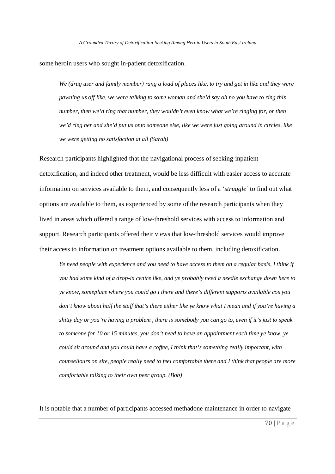some heroin users who sought in-patient detoxification.

*We (drug user and family member) rang a load of places like, to try and get in like and they were pawning us off like, we were talking to some woman and she'd say oh no you have to ring this number, then we'd ring that number, they wouldn't even know what we're ringing for, or then we'd ring her and she'd put us onto someone else, like we were just going around in circles, like we were getting no satisfaction at all (Sarah)*

Research participants highlighted that the navigational process of seeking-inpatient detoxification, and indeed other treatment, would be less difficult with easier access to accurate information on services available to them, and consequently less of a '*struggle'* to find out what options are available to them, as experienced by some of the research participants when they lived in areas which offered a range of low-threshold services with access to information and support. Research participants offered their views that low-threshold services would improve their access to information on treatment options available to them, including detoxification.

*Ye need people with experience and you need to have access to them on a regular basis, I think if you had some kind of a drop-in centre like, and ye probably need a needle exchange down here to ye know, someplace where you could go I there and there's different supports available cos you don't know about half the stuff that's there either like ye know what I mean and if you're having a shitty day or you're having a problem , there is somebody you can go to, even if it's just to speak to someone for 10 or 15 minutes, you don't need to have an appointment each time ye know, ye could sit around and you could have a coffee, I think that's something really important, with counsellours on site, people really need to feel comfortable there and I think that people are more comfortable talking to their own peer group. (Bob)*

It is notable that a number of participants accessed methadone maintenance in order to navigate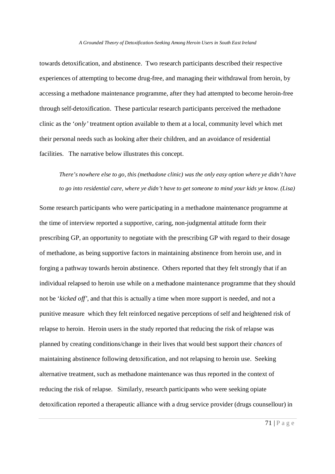towards detoxification, and abstinence. Two research participants described their respective experiences of attempting to become drug-free, and managing their withdrawal from heroin, by accessing a methadone maintenance programme, after they had attempted to become heroin-free through self-detoxification. These particular research participants perceived the methadone clinic as the '*only'* treatment option available to them at a local, community level which met their personal needs such as looking after their children, and an avoidance of residential facilities. The narrative below illustrates this concept.

*There's nowhere else to go, this (methadone clinic) was the only easy option where ye didn't have to go into residential care, where ye didn't have to get someone to mind your kids ye know. (Lisa)*

Some research participants who were participating in a methadone maintenance programme at the time of interview reported a supportive, caring, non-judgmental attitude form their prescribing GP, an opportunity to negotiate with the prescribing GP with regard to their dosage of methadone, as being supportive factors in maintaining abstinence from heroin use, and in forging a pathway towards heroin abstinence. Others reported that they felt strongly that if an individual relapsed to heroin use while on a methadone maintenance programme that they should not be '*kicked off'*, and that this is actually a time when more support is needed, and not a punitive measure which they felt reinforced negative perceptions of self and heightened risk of relapse to heroin. Heroin users in the study reported that reducing the risk of relapse was planned by creating conditions/change in their lives that would best support their *chances* of maintaining abstinence following detoxification, and not relapsing to heroin use. Seeking alternative treatment, such as methadone maintenance was thus reported in the context of reducing the risk of relapse. Similarly, research participants who were seeking opiate detoxification reported a therapeutic alliance with a drug service provider (drugs counsellour) in

 $\overline{71 | P \text{ a } g}$  e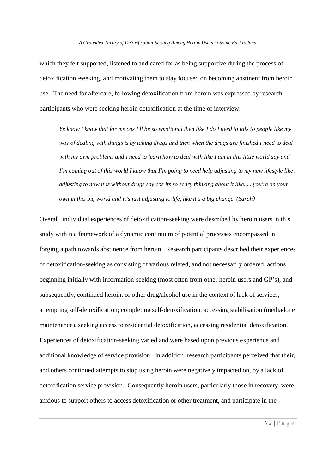which they felt supported, listened to and cared for as being supportive during the process of detoxification -seeking, and motivating them to stay focused on becoming abstinent from heroin use. The need for aftercare, following detoxification from heroin was expressed by research participants who were seeking heroin detoxification at the time of interview.

*Ye know I know that for me cos I'll be so emotional then like I do I need to talk to people like my way of dealing with things is by taking drugs and then when the drugs are finished I need to deal with my own problems and I need to learn how to deal with like I am in this little world say and I'm coming out of this world I know that I'm going to need help adjusting to my new lifestyle like, adjusting to now it is without drugs say cos its so scary thinking about it like......you're on your own in this big world and it's just adjusting to life, like it's a big change. (Sarah)*

Overall, individual experiences of detoxification-seeking were described by heroin users in this study within a framework of a dynamic continuum of potential processes encompassed in forging a path towards abstinence from heroin. Research participants described their experiences of detoxification-seeking as consisting of various related, and not necessarily ordered, actions beginning initially with information-seeking (most often from other heroin users and GP's); and subsequently, continued heroin, or other drug/alcohol use in the context of lack of services, attempting self-detoxification; completing self-detoxification, accessing stabilisation (methadone maintenance), seeking access to residential detoxification, accessing residential detoxification. Experiences of detoxification-seeking varied and were based upon previous experience and additional knowledge of service provision. In addition, research participants perceived that their, and others continued attempts to stop using heroin were negatively impacted on, by a lack of detoxification service provision. Consequently heroin users, particularly those in recovery, were anxious to support others to access detoxification or other treatment, and participate in the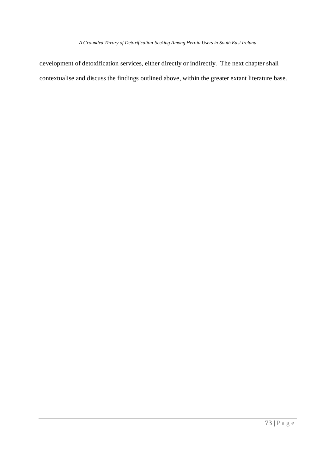development of detoxification services, either directly or indirectly. The next chapter shall contextualise and discuss the findings outlined above, within the greater extant literature base.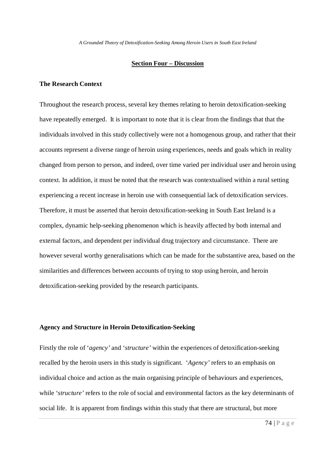### **Section Four – Discussion**

# **The Research Context**

Throughout the research process, several key themes relating to heroin detoxification-seeking have repeatedly emerged. It is important to note that it is clear from the findings that that the individuals involved in this study collectively were not a homogenous group, and rather that their accounts represent a diverse range of heroin using experiences, needs and goals which in reality changed from person to person, and indeed, over time varied per individual user and heroin using context. In addition, it must be noted that the research was contextualised within a rural setting experiencing a recent increase in heroin use with consequential lack of detoxification services. Therefore, it must be asserted that heroin detoxification-seeking in South East Ireland is a complex, dynamic help-seeking phenomenon which is heavily affected by both internal and external factors, and dependent per individual drug trajectory and circumstance. There are however several worthy generalisations which can be made for the substantive area, based on the similarities and differences between accounts of trying to stop using heroin, and heroin detoxification-seeking provided by the research participants.

## **Agency and Structure in Heroin Detoxification-Seeking**

Firstly the role of '*agency'* and '*structure'* within the experiences of detoxification-seeking recalled by the heroin users in this study is significant. '*Agency'* refers to an emphasis on individual choice and action as the main organising principle of behaviours and experiences, while '*structure'* refers to the role of social and environmental factors as the key determinants of social life. It is apparent from findings within this study that there are structural, but more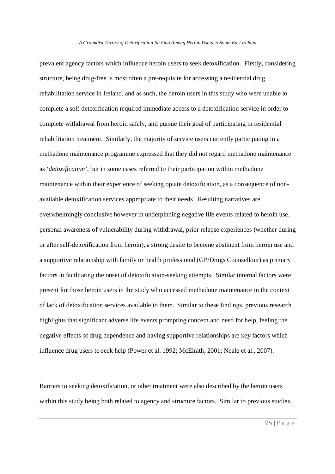prevalent agency factors which influence heroin users to seek detoxification. Firstly, considering structure, being drug-free is most often a pre-requisite for accessing a residential drug rehabilitation service in Ireland, and as such, the heroin users in this study who were unable to complete a self-detoxification required immediate access to a detoxification service in order to complete withdrawal from heroin safely, and pursue their goal of participating in residential rehabilitation treatment. Similarly, the majority of service users currently participating in a methadone maintenance programme expressed that they did not regard methadone maintenance as '*detoxification*', but in some cases referred to their participation within methadone maintenance within their experience of seeking opiate detoxification, as a consequence of nonavailable detoxification services appropriate to their needs. Resulting narratives are overwhelmingly conclusive however in underpinning negative life events related to heroin use, personal awareness of vulnerability during withdrawal, prior relapse experiences (whether during or after self-detoxification from heroin), a strong desire to become abstinent from heroin use and a supportive relationship with family or health professional (GP/Drugs Counsellour) as primary factors in facilitating the onset of detoxification-seeking attempts. Similar internal factors were present for those heroin users in the study who accessed methadone maintenance in the context of lack of detoxification services available to them. Similar to these findings, previous research highlights that significant adverse life events prompting concern and need for help, feeling the negative effects of drug dependence and having supportive relationships are key factors which influence drug users to seek help (Power et al. 1992; McElrath, 2001; Neale et al., 2007).

Barriers to seeking detoxification, or other treatment were also described by the heroin users within this study being both related to agency and structure factors. Similar to previous studies,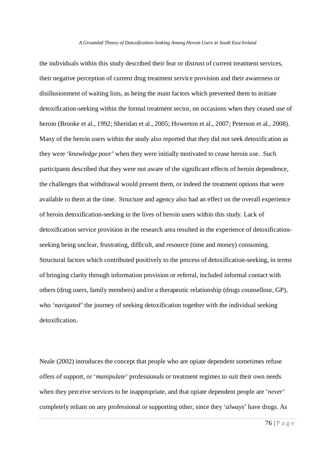the individuals within this study described their fear or distrust of current treatment services, their negative perception of current drug treatment service provision and their awareness or disillusionment of waiting lists, as being the main factors which prevented them to initiate detoxification-seeking within the formal treatment sector, on occasions when they ceased use of heroin (Brooke et al., 1992; Sheridan et al., 2005; Howerton et al., 2007; Peterson et al., 2008). Many of the heroin users within the study also reported that they did not seek detoxification as they were '*knowledge poor'* when they were initially motivated to cease heroin use. Such participants described that they were not aware of the significant effects of heroin dependence, the challenges that withdrawal would present them, or indeed the treatment options that were available to them at the time. Structure and agency also had an effect on the overall experience of heroin detoxification-seeking in the lives of heroin users within this study. Lack of detoxification service provision in the research area resulted in the experience of detoxificationseeking being unclear, frustrating, difficult, and resource (time and money) consuming. Structural factors which contributed positively to the process of detoxification-seeking, in terms of bringing clarity through information provision or referral, included informal contact with others (drug users, family members) and/or a therapeutic relationship (drugs counsellour, GP), who *'navigated'* the journey of seeking detoxification together with the individual seeking detoxification.

Neale (2002) introduces the concept that people who are opiate dependent sometimes refuse offers of support, or '*manipulate*' professionals or treatment regimes to suit their own needs when they perceive services to be inappropriate, and that opiate dependent people are '*never*' completely reliant on any professional or supporting other, since they '*always*' have drugs. As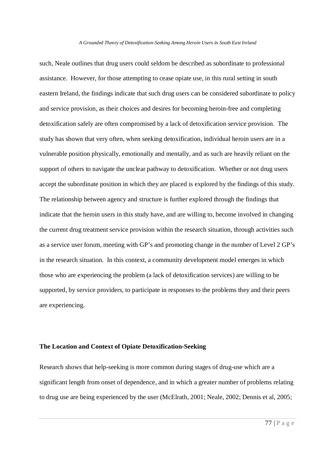such, Neale outlines that drug users could seldom be described as subordinate to professional assistance. However, for those attempting to cease opiate use, in this rural setting in south eastern Ireland, the findings indicate that such drug users can be considered subordinate to policy and service provision, as their choices and desires for becoming heroin-free and completing detoxification safely are often compromised by a lack of detoxification service provision. The study has shown that very often, when seeking detoxification, individual heroin users are in a vulnerable position physically, emotionally and mentally, and as such are heavily reliant on the support of others to navigate the unclear pathway to detoxification. Whether or not drug users accept the subordinate position in which they are placed is explored by the findings of this study. The relationship between agency and structure is further explored through the findings that indicate that the heroin users in this study have, and are willing to, become involved in changing the current drug treatment service provision within the research situation, through activities such as a service user forum, meeting with GP's and promoting change in the number of Level 2 GP's in the research situation. In this context, a community development model emerges in which those who are experiencing the problem (a lack of detoxification services) are willing to be supported, by service providers, to participate in responses to the problems they and their peers are experiencing.

## **The Location and Context of Opiate Detoxification-Seeking**

Research shows that help-seeking is more common during stages of drug-use which are a significant length from onset of dependence, and in which a greater number of problems relating to drug use are being experienced by the user (McElrath, 2001; Neale, 2002; Dennis et al, 2005;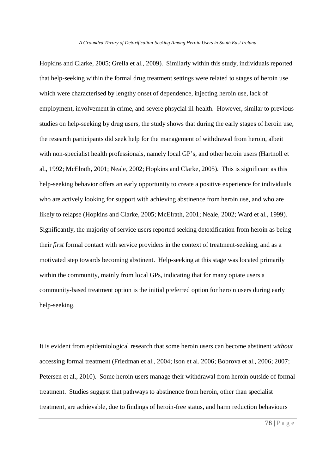Hopkins and Clarke, 2005; Grella et al., 2009). Similarly within this study, individuals reported that help-seeking within the formal drug treatment settings were related to stages of heroin use which were characterised by lengthy onset of dependence, injecting heroin use, lack of employment, involvement in crime, and severe phsycial ill-health. However, similar to previous studies on help-seeking by drug users, the study shows that during the early stages of heroin use, the research participants did seek help for the management of withdrawal from heroin, albeit with non-specialist health professionals, namely local GP's, and other heroin users (Hartnoll et al., 1992; McElrath, 2001; Neale, 2002; Hopkins and Clarke, 2005). This is significant as this help-seeking behavior offers an early opportunity to create a positive experience for individuals who are actively looking for support with achieving abstinence from heroin use, and who are likely to relapse (Hopkins and Clarke, 2005; McElrath, 2001; Neale, 2002; Ward et al., 1999). Significantly, the majority of service users reported seeking detoxification from heroin as being their *first* formal contact with service providers in the context of treatment-seeking, and as a motivated step towards becoming abstinent. Help-seeking at this stage was located primarily within the community, mainly from local GPs, indicating that for many opiate users a community-based treatment option is the initial preferred option for heroin users during early help-seeking.

It is evident from epidemiological research that some heroin users can become abstinent *without* accessing formal treatment (Friedman et al., 2004; Ison et al. 2006; Bobrova et al., 2006; 2007; Petersen et al., 2010). Some heroin users manage their withdrawal from heroin outside of formal treatment. Studies suggest that pathways to abstinence from heroin, other than specialist treatment, are achievable, due to findings of heroin-free status, and harm reduction behaviours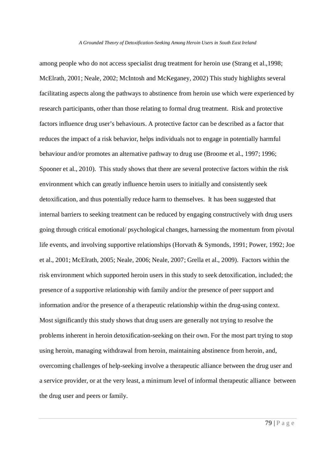among people who do not access specialist drug treatment for heroin use (Strang et al.,1998; McElrath, 2001; Neale, 2002; McIntosh and McKeganey, 2002) This study highlights several facilitating aspects along the pathways to abstinence from heroin use which were experienced by research participants, other than those relating to formal drug treatment. Risk and protective factors influence drug user's behaviours. A protective factor can be described as a factor that reduces the impact of a risk behavior, helps individuals not to engage in potentially harmful behaviour and/or promotes an alternative pathway to drug use (Broome et al., 1997; 1996; Spooner et al., 2010). This study shows that there are several protective factors within the risk environment which can greatly influence heroin users to initially and consistently seek detoxification, and thus potentially reduce harm to themselves. It has been suggested that internal barriers to seeking treatment can be reduced by engaging constructively with drug users going through critical emotional/ psychological changes, harnessing the momentum from pivotal life events, and involving supportive relationships (Horvath & Symonds, 1991; Power, 1992; Joe et al., 2001; McElrath, 2005; Neale, 2006; Neale, 2007; Grella et al., 2009). Factors within the risk environment which supported heroin users in this study to seek detoxification, included; the presence of a supportive relationship with family and/or the presence of peer support and information and/or the presence of a therapeutic relationship within the drug-using context. Most significantly this study shows that drug users are generally not trying to resolve the problems inherent in heroin detoxification-seeking on their own. For the most part trying to stop using heroin, managing withdrawal from heroin, maintaining abstinence from heroin, and, overcoming challenges of help-seeking involve a therapeutic alliance between the drug user and a service provider, or at the very least, a minimum level of informal therapeutic alliance between the drug user and peers or family.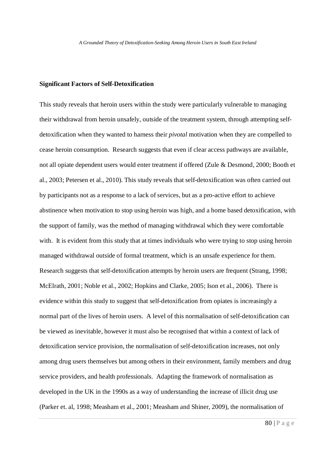## **Significant Factors of Self-Detoxification**

This study reveals that heroin users within the study were particularly vulnerable to managing their withdrawal from heroin unsafely, outside of the treatment system, through attempting selfdetoxification when they wanted to harness their *pivotal* motivation when they are compelled to cease heroin consumption. Research suggests that even if clear access pathways are available, not all opiate dependent users would enter treatment if offered (Zule & Desmond, 2000; Booth et al., 2003; Petersen et al., 2010). This study reveals that self-detoxification was often carried out by participants not as a response to a lack of services, but as a pro-active effort to achieve abstinence when motivation to stop using heroin was high, and a home based detoxification, with the support of family, was the method of managing withdrawal which they were comfortable with. It is evident from this study that at times individuals who were trying to stop using heroin managed withdrawal outside of formal treatment, which is an unsafe experience for them. Research suggests that self-detoxification attempts by heroin users are frequent (Strang, 1998; McElrath, 2001; Noble et al., 2002; Hopkins and Clarke, 2005; Ison et al., 2006). There is evidence within this study to suggest that self-detoxification from opiates is increasingly a normal part of the lives of heroin users. A level of this normalisation of self-detoxification can be viewed as inevitable, however it must also be recognised that within a context of lack of detoxification service provision, the normalisation of self-detoxification increases, not only among drug users themselves but among others in their environment, family members and drug service providers, and health professionals. Adapting the framework of normalisation as developed in the UK in the 1990s as a way of understanding the increase of illicit drug use (Parker et. al, 1998; Measham et al., 2001; Measham and Shiner, 2009), the normalisation of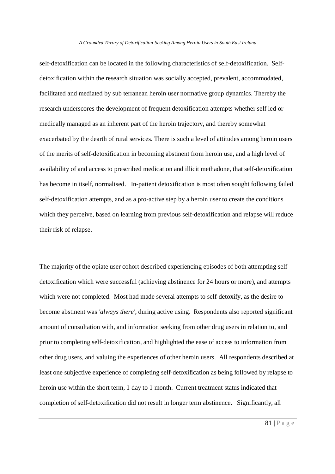self-detoxification can be located in the following characteristics of self-detoxification. Selfdetoxification within the research situation was socially accepted, prevalent, accommodated, facilitated and mediated by sub terranean heroin user normative group dynamics. Thereby the research underscores the development of frequent detoxification attempts whether self led or medically managed as an inherent part of the heroin trajectory, and thereby somewhat exacerbated by the dearth of rural services. There is such a level of attitudes among heroin users of the merits of self-detoxification in becoming abstinent from heroin use, and a high level of availability of and access to prescribed medication and illicit methadone, that self-detoxification has become in itself, normalised. In-patient detoxification is most often sought following failed self-detoxification attempts, and as a pro-active step by a heroin user to create the conditions which they perceive, based on learning from previous self-detoxification and relapse will reduce their risk of relapse.

The majority of the opiate user cohort described experiencing episodes of both attempting selfdetoxification which were successful (achieving abstinence for 24 hours or more), and attempts which were not completed. Most had made several attempts to self-detoxify, as the desire to become abstinent was *'always there'*, during active using. Respondents also reported significant amount of consultation with, and information seeking from other drug users in relation to, and prior to completing self-detoxification, and highlighted the ease of access to information from other drug users, and valuing the experiences of other heroin users.All respondents described at least one subjective experience of completing self-detoxification as being followed by relapse to heroin use within the short term, 1 day to 1 month. Current treatment status indicated that completion of self-detoxification did not result in longer term abstinence. Significantly, all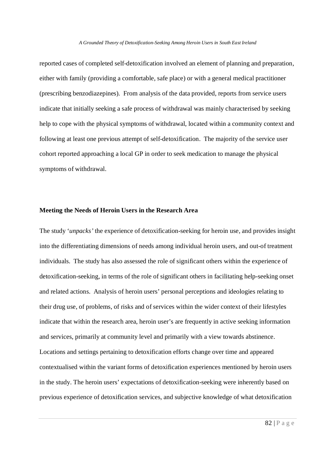reported cases of completed self-detoxification involved an element of planning and preparation, either with family (providing a comfortable, safe place) or with a general medical practitioner (prescribing benzodiazepines). From analysis of the data provided, reports from service users indicate that initially seeking a safe process of withdrawal was mainly characterised by seeking help to cope with the physical symptoms of withdrawal, located within a community context and following at least one previous attempt of self-detoxification. The majority of the service user cohort reported approaching a local GP in order to seek medication to manage the physical symptoms of withdrawal.

## **Meeting the Needs of Heroin Users in the Research Area**

The study '*unpacks'* the experience of detoxification-seeking for heroin use, and provides insight into the differentiating dimensions of needs among individual heroin users, and out-of treatment individuals. The study has also assessed the role of significant others within the experience of detoxification-seeking, in terms of the role of significant others in facilitating help-seeking onset and related actions. Analysis of heroin users' personal perceptions and ideologies relating to their drug use, of problems, of risks and of services within the wider context of their lifestyles indicate that within the research area, heroin user's are frequently in active seeking information and services, primarily at community level and primarily with a view towards abstinence. Locations and settings pertaining to detoxification efforts change over time and appeared contextualised within the variant forms of detoxification experiences mentioned by heroin users in the study. The heroin users' expectations of detoxification-seeking were inherently based on previous experience of detoxification services, and subjective knowledge of what detoxification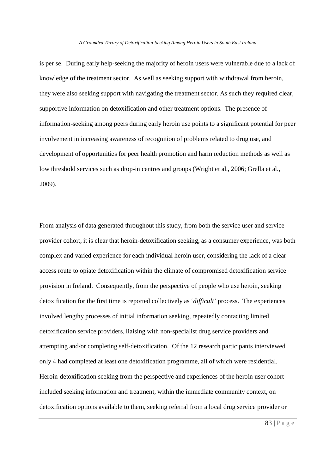is per se. During early help-seeking the majority of heroin users were vulnerable due to a lack of knowledge of the treatment sector. As well as seeking support with withdrawal from heroin, they were also seeking support with navigating the treatment sector. As such they required clear, supportive information on detoxification and other treatment options.The presence of information-seeking among peers during early heroin use points to a significant potential for peer involvement in increasing awareness of recognition of problems related to drug use, and development of opportunities for peer health promotion and harm reduction methods as well as low threshold services such as drop-in centres and groups (Wright et al., 2006; Grella et al., 2009).

From analysis of data generated throughout this study, from both the service user and service provider cohort, it is clear that heroin-detoxification seeking, as a consumer experience, was both complex and varied experience for each individual heroin user, considering the lack of a clear access route to opiate detoxification within the climate of compromised detoxification service provision in Ireland. Consequently, from the perspective of people who use heroin, seeking detoxification for the first time is reported collectively as '*difficult'* process. The experiences involved lengthy processes of initial information seeking, repeatedly contacting limited detoxification service providers, liaising with non-specialist drug service providers and attempting and/or completing self-detoxification. Of the 12 research participants interviewed only 4 had completed at least one detoxification programme, all of which were residential. Heroin-detoxification seeking from the perspective and experiences of the heroin user cohort included seeking information and treatment, within the immediate community context, on detoxification options available to them, seeking referral from a local drug service provider or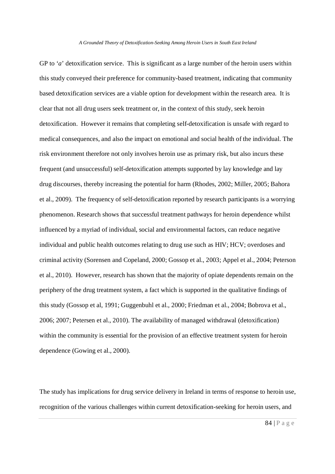GP to '*a*' detoxification service. This is significant as a large number of the heroin users within this study conveyed their preference for community-based treatment, indicating that community based detoxification services are a viable option for development within the research area. It is clear that not all drug users seek treatment or, in the context of this study, seek heroin detoxification. However it remains that completing self-detoxification is unsafe with regard to medical consequences, and also the impact on emotional and social health of the individual. The risk environment therefore not only involves heroin use as primary risk, but also incurs these frequent (and unsuccessful) self-detoxification attempts supported by lay knowledge and lay drug discourses, thereby increasing the potential for harm (Rhodes, 2002; Miller, 2005; Bahora et al., 2009). The frequency of self-detoxification reported by research participants is a worrying phenomenon. Research shows that successful treatment pathways for heroin dependence whilst influenced by a myriad of individual, social and environmental factors, can reduce negative individual and public health outcomes relating to drug use such as HIV; HCV; overdoses and criminal activity (Sorensen and Copeland, 2000; Gossop et al., 2003; Appel et al., 2004; Peterson et al., 2010). However, research has shown that the majority of opiate dependents remain on the periphery of the drug treatment system, a fact which is supported in the qualitative findings of this study (Gossop et al, 1991; Guggenbuhl et al., 2000; Friedman et al., 2004; Bobrova et al., 2006; 2007; Petersen et al., 2010). The availability of managed withdrawal (detoxification) within the community is essential for the provision of an effective treatment system for heroin dependence (Gowing et al., 2000).

The study has implications for drug service delivery in Ireland in terms of response to heroin use, recognition of the various challenges within current detoxification-seeking for heroin users, and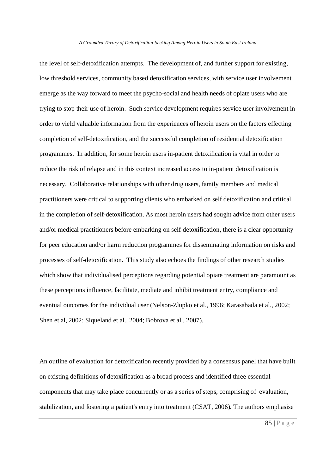the level of self-detoxification attempts. The development of, and further support for existing, low threshold services, community based detoxification services, with service user involvement emerge as the way forward to meet the psycho-social and health needs of opiate users who are trying to stop their use of heroin. Such service development requires service user involvement in order to yield valuable information from the experiences of heroin users on the factors effecting completion of self-detoxification, and the successful completion of residential detoxification programmes. In addition, for some heroin users in-patient detoxification is vital in order to reduce the risk of relapse and in this context increased access to in-patient detoxification is necessary. Collaborative relationships with other drug users, family members and medical practitioners were critical to supporting clients who embarked on self detoxification and critical in the completion of self-detoxification. As most heroin users had sought advice from other users and/or medical practitioners before embarking on self-detoxification, there is a clear opportunity for peer education and/or harm reduction programmes for disseminating information on risks and processes of self-detoxification. This study also echoes the findings of other research studies which show that individualised perceptions regarding potential opiate treatment are paramount as these perceptions influence, facilitate, mediate and inhibit treatment entry, compliance and eventual outcomes for the individual user (Nelson-Zlupko et al., 1996; Karasabada et al., 2002; Shen et al, 2002; Siqueland et al., 2004; Bobrova et al., 2007).

An outline of evaluation for detoxification recently provided by a consensus panel that have built on existing definitions of detoxification as a broad process and identified three essential components that may take place concurrently or as a series of steps, comprising of evaluation, stabilization, and fostering a patient's entry into treatment (CSAT, 2006). The authors emphasise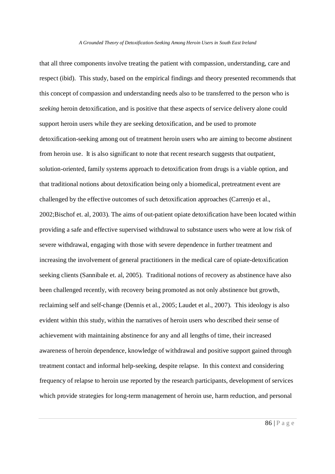that all three components involve treating the patient with compassion, understanding, care and respect (ibid). This study, based on the empirical findings and theory presented recommends that this concept of compassion and understanding needs also to be transferred to the person who is *seeking* heroin detoxification, and is positive that these aspects of service delivery alone could support heroin users while they are seeking detoxification, and be used to promote detoxification-seeking among out of treatment heroin users who are aiming to become abstinent from heroin use. It is also significant to note that recent research suggests that outpatient, solution-oriented, family systems approach to detoxification from drugs is a viable option, and that traditional notions about detoxification being only a biomedical, pretreatment event are challenged by the effective outcomes of such detoxification approaches (Carrenjo et al., 2002;Bischof et. al, 2003). The aims of out-patient opiate detoxification have been located within providing a safe and effective supervised withdrawal to substance users who were at low risk of severe withdrawal, engaging with those with severe dependence in further treatment and increasing the involvement of general practitioners in the medical care of opiate-detoxification seeking clients (Sannibale et. al, 2005). Traditional notions of recovery as abstinence have also been challenged recently, with recovery being promoted as not only abstinence but growth, reclaiming self and self-change (Dennis et al., 2005; Laudet et al., 2007). This ideology is also evident within this study, within the narratives of heroin users who described their sense of achievement with maintaining abstinence for any and all lengths of time, their increased awareness of heroin dependence, knowledge of withdrawal and positive support gained through treatment contact and informal help-seeking, despite relapse. In this context and considering frequency of relapse to heroin use reported by the research participants, development of services which provide strategies for long-term management of heroin use, harm reduction, and personal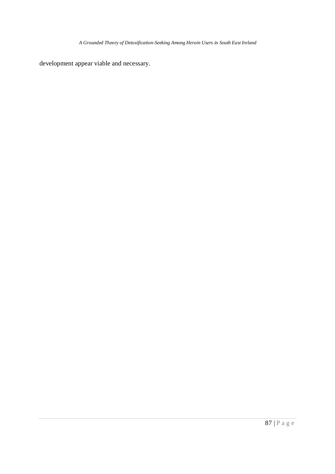development appear viable and necessary.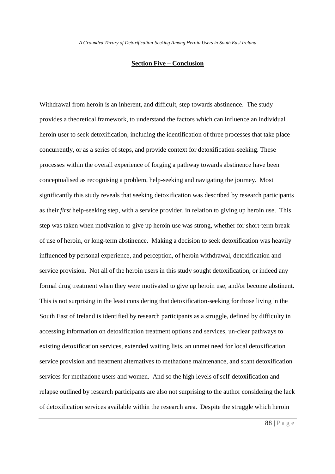## **Section Five – Conclusion**

Withdrawal from heroin is an inherent, and difficult, step towards abstinence. The study provides a theoretical framework, to understand the factors which can influence an individual heroin user to seek detoxification, including the identification of three processes that take place concurrently, or as a series of steps, and provide context for detoxification-seeking. These processes within the overall experience of forging a pathway towards abstinence have been conceptualised as recognising a problem, help-seeking and navigating the journey. Most significantly this study reveals that seeking detoxification was described by research participants as their *first* help-seeking step, with a service provider, in relation to giving up heroin use. This step was taken when motivation to give up heroin use was strong, whether for short-term break of use of heroin, or long-term abstinence. Making a decision to seek detoxification was heavily influenced by personal experience, and perception, of heroin withdrawal, detoxification and service provision. Not all of the heroin users in this study sought detoxification, or indeed any formal drug treatment when they were motivated to give up heroin use, and/or become abstinent. This is not surprising in the least considering that detoxification-seeking for those living in the South East of Ireland is identified by research participants as a struggle, defined by difficulty in accessing information on detoxification treatment options and services, un-clear pathways to existing detoxification services, extended waiting lists, an unmet need for local detoxification service provision and treatment alternatives to methadone maintenance, and scant detoxification services for methadone users and women. And so the high levels of self-detoxification and relapse outlined by research participants are also not surprising to the author considering the lack of detoxification services available within the research area. Despite the struggle which heroin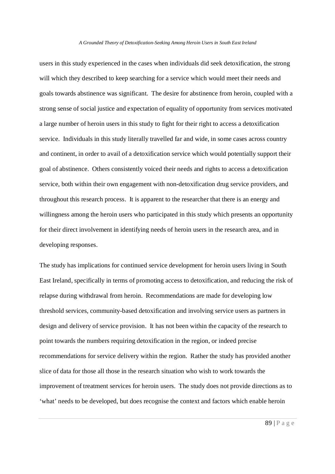users in this study experienced in the cases when individuals did seek detoxification, the strong will which they described to keep searching for a service which would meet their needs and goals towards abstinence was significant. The desire for abstinence from heroin, coupled with a strong sense of social justice and expectation of equality of opportunity from services motivated a large number of heroin users in this study to fight for their right to access a detoxification service. Individuals in this study literally travelled far and wide, in some cases across country and continent, in order to avail of a detoxification service which would potentially support their goal of abstinence. Others consistently voiced their needs and rights to access a detoxification service, both within their own engagement with non-detoxification drug service providers, and throughout this research process. It is apparent to the researcher that there is an energy and willingness among the heroin users who participated in this study which presents an opportunity for their direct involvement in identifying needs of heroin users in the research area, and in developing responses.

The study has implications for continued service development for heroin users living in South East Ireland, specifically in terms of promoting access to detoxification, and reducing the risk of relapse during withdrawal from heroin. Recommendations are made for developing low threshold services, community-based detoxification and involving service users as partners in design and delivery of service provision. It has not been within the capacity of the research to point towards the numbers requiring detoxification in the region, or indeed precise recommendations for service delivery within the region. Rather the study has provided another slice of data for those all those in the research situation who wish to work towards the improvement of treatment services for heroin users. The study does not provide directions as to 'what' needs to be developed, but does recognise the context and factors which enable heroin

89 | P a g e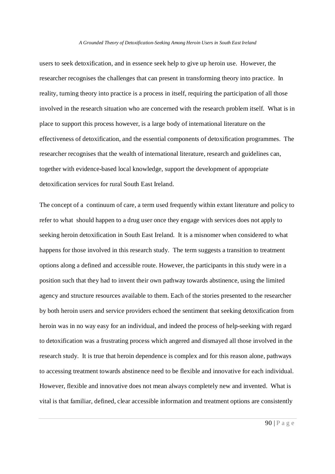users to seek detoxification, and in essence seek help to give up heroin use. However, the researcher recognises the challenges that can present in transforming theory into practice. In reality, turning theory into practice is a process in itself, requiring the participation of all those involved in the research situation who are concerned with the research problem itself. What is in place to support this process however, is a large body of international literature on the effectiveness of detoxification, and the essential components of detoxification programmes. The researcher recognises that the wealth of international literature, research and guidelines can, together with evidence-based local knowledge, support the development of appropriate detoxification services for rural South East Ireland.

The concept of a continuum of care, a term used frequently within extant literature and policy to refer to what should happen to a drug user once they engage with services does not apply to seeking heroin detoxification in South East Ireland. It is a misnomer when considered to what happens for those involved in this research study. The term suggests a transition to treatment options along a defined and accessible route. However, the participants in this study were in a position such that they had to invent their own pathway towards abstinence, using the limited agency and structure resources available to them. Each of the stories presented to the researcher by both heroin users and service providers echoed the sentiment that seeking detoxification from heroin was in no way easy for an individual, and indeed the process of help-seeking with regard to detoxification was a frustrating process which angered and dismayed all those involved in the research study. It is true that heroin dependence is complex and for this reason alone, pathways to accessing treatment towards abstinence need to be flexible and innovative for each individual. However, flexible and innovative does not mean always completely new and invented. What is vital is that familiar, defined, clear accessible information and treatment options are consistently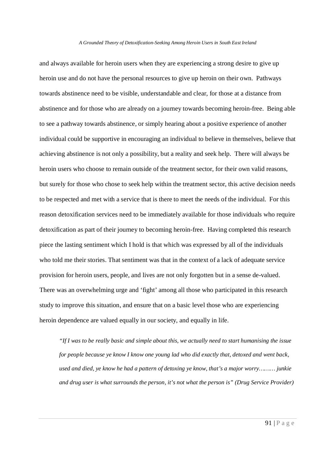and always available for heroin users when they are experiencing a strong desire to give up heroin use and do not have the personal resources to give up heroin on their own. Pathways towards abstinence need to be visible, understandable and clear, for those at a distance from abstinence and for those who are already on a journey towards becoming heroin-free. Being able to see a pathway towards abstinence, or simply hearing about a positive experience of another individual could be supportive in encouraging an individual to believe in themselves, believe that achieving abstinence is not only a possibility, but a reality and seek help. There will always be heroin users who choose to remain outside of the treatment sector, for their own valid reasons, but surely for those who chose to seek help within the treatment sector, this active decision needs to be respected and met with a service that is there to meet the needs of the individual. For this reason detoxification services need to be immediately available for those individuals who require detoxification as part of their journey to becoming heroin-free. Having completed this research piece the lasting sentiment which I hold is that which was expressed by all of the individuals who told me their stories. That sentiment was that in the context of a lack of adequate service provision for heroin users, people, and lives are not only forgotten but in a sense de-valued. There was an overwhelming urge and 'fight' among all those who participated in this research study to improve this situation, and ensure that on a basic level those who are experiencing heroin dependence are valued equally in our society, and equally in life.

*"If I was to be really basic and simple about this, we actually need to start humanising the issue for people because ye know I know one young lad who did exactly that, detoxed and went back, used and died, ye know he had a pattern of detoxing ye know, that's a major worry……… junkie and drug user is what surrounds the person, it's not what the person is" (Drug Service Provider)*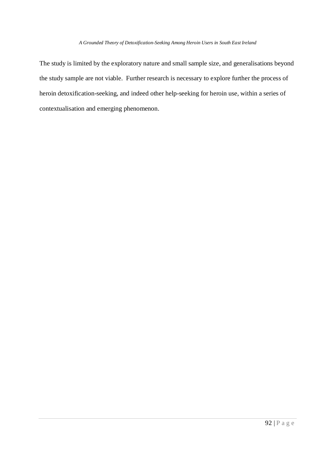The study is limited by the exploratory nature and small sample size, and generalisations beyond the study sample are not viable. Further research is necessary to explore further the process of heroin detoxification-seeking, and indeed other help-seeking for heroin use, within a series of contextualisation and emerging phenomenon.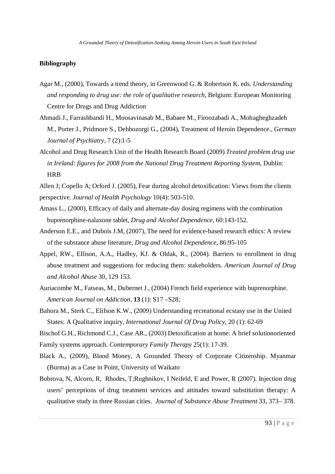## **Bibliography**

- Agar M., (2000), Towards a trend theory, in Greenwood G. & Robertson K. eds. *Understanding and responding to drug use: the role of qualitative research*, Belgium: European Monitoring Centre for Drugs and Drug Addiction
- Ahmadi J., Farrashbandi H., Moosavinasab M., Babaee M., Firoozabadi A., Mohagheghzadeh M., Porter J., Pridmore S., Dehbozorgi G., (2004), Treatment of Heroin Dependence., *German Journal of Psychiatry,* 7 (2):1-5
- Alcohol and Drug Research Unit of the Health Research Board (2009) *Treated problem drug use in Ireland: figures for 2008 from the National Drug Treatment Reporting System, Dublin:* HRB

Allen J; Copello A; Orford J. (2005), Fear during alcohol detoxification: Views from the clients perspective. *Journal of Health Psychology* 10(4): 503-510.

- Amass L., (2000), Efficacy of daily and alternate-day dosing regimens with the combination buprenorphine-nalaxone tablet, *Drug and Alcohol Dependence,* 60:143-152.
- Anderson E.E., and Dubois J.M, (2007), The need for evidence-based research ethics: A review of the substance abuse literature, *Drug and Alcohol Dependence*, 86:95-105
- Appel, RW., Ellison, A.A., Hadley, KJ. & Oldak, R., (2004). Barriers to enrollment in drug abuse treatment and suggestions for reducing them: stakeholders. *American Journal of Drug and Alcohol Abuse* 30, 129 153.
- Auriacombe M., Fatseas, M., Dubernet J., (2004) French field experience with buprenorphine. *American Journal on Addiction*, **13** (1): S17 –S28;
- Bahora M., Sterk C., Elifson K.W., (2009) Understanding recreational ecstasy use in the United States: A Qualitative inquiry, *International Journal Of Drug Policy,* 20 (1): 62-69

Bischof G.H., Richmond C.J., Case AR., (2003) Detoxification at home: A brief solutionoriented Family systems approach. *Contemporary Family Therapy* 25(1): 17-39.

- Black A., (2009), Blood Money, A Grounded Theory of Corporate Citizenship. Myanmar (Burma) as a Case in Point, University of Waikato
- Bobrova, N, Alcorn, R, Rhodes, T;Rughnikov, I Neifeld, E and Power, R (2007). Injection drug users' perceptions of drug treatment services and attitudes toward substitution therapy: A qualitative study in three Russian cities. *Journal of Substance Abuse Treatment* 33, 373– 378.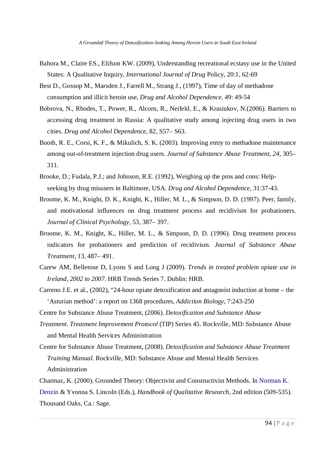- Bahora M., Claire ES., Elifson KW. (2009), Understanding recreational ecstasy use in the United States: A Qualitative Inquiry, *International Journal of Drug* Policy, 20:1, 62-69
- Best D., Gossop M., Marsden J., Farrell M., Strang J., (1997), Time of day of methadone consumption and illicit heroin use, *Drug and Alcohol Dependence,* 49: 49-54
- Bobrova, N., Rhodes, T., Power, R., Alcorn, R., Neifeld, E., & Krasiukov, N.(2006). Barriers to accessing drug treatment in Russia: A qualitative study among injecting drug users in two cities. *Drug and Alcohol Dependence*, 82, S57– S63.
- Booth, R. E., Corsi, K. F., & Mikulich, S. K. (2003). Improving entry to methadone maintenance among out-of-treatment injection drug users. *Journal of Substance Abuse Treatment*, *24*, 305– 311.
- Brooke, D.; Fudala, P.J.; and Johnson, R.E. (1992), Weighing up the pros and cons: Helpseeking by drug misusers in Baltimore, USA. *Drug and Alcohol Dependence,* 31:37-43.
- Broome, K. M., Knight, D. K., Knight, K., Hiller, M. L., & Simpson, D. D. (1997). Peer, family, and motivational influences on drug treatment process and recidivism for probationers. *Journal of Clinical Psychology,* 53, 387– 397.
- Broome, K. M., Knight, K., Hiller, M. L., & Simpson, D. D. (1996). Drug treatment process indicators for probationers and prediction of recidivism. *Journal of Substance Abuse Treatment*, 13, 487– 491.
- Carew AM, Bellerose D, Lyons S and Long J (2009). *Trends in treated problem opiate use in Ireland, 2002 to 2007.* HRB Trends Series 7. Dublin: HRB.
- Carreno J.E. et al., (2002), "24-hour opiate detoxification and antagonist induction at home the 'Asturian method': a report on 1368 procedures, *Addiction Biology*, 7:243-250
- Centre for Substance Abuse Treatment, (2006). *Detoxification and Substance Abuse*
- *Treatment. Treatment Improvement Protocol* (TIP) Series 45. Rockville, MD: Substance Abuse and Mental Health Services Administration
- Centre for Substance Abuse Treatment, (2008). *Detoxification and Substance Abuse Treatment Training Manual.* Rockville, MD: Substance Abuse and Mental Health Services Administration
- Charmaz, K. (2000). Grounded Theory: Objectivist and Constructivist Methods. In Norman K.

Denzin & Yvonna S. Lincoln (Eds.), *Handbook of Qualitative Research*, 2nd edition (509-535).

Thousand Oaks, Ca.: Sage.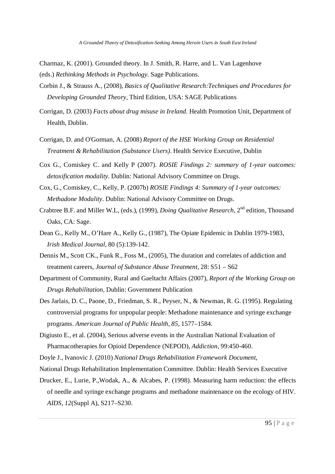- Charmaz, K. (2001). Grounded theory. In J. Smith, R. Harre, and L. Van Lagenhove (eds.) *Rethinking Methods in Psychology*. Sage Publications.
- Corbin J., & Strauss A., (2008), *Basics of Qualitative Research:Techniques and Procedures for Developing Grounded Theory*, Third Edition, USA: SAGE Publications
- Corrigan, D. (2003) *Facts about drug misuse in Ireland*. Health Promotion Unit, Department of Health, Dublin.
- Corrigan, D. and O'Gorman, A. (2008) *Report of the HSE Working Group on Residential Treatment & Rehabilitation (Substance Users)*. Health Service Executive, Dublin
- Cox G., Comiskey C. and Kelly P (2007). *ROSIE Findings 2: summary of 1-year outcomes: detoxification modality.* Dublin: National Advisory Committee on Drugs.
- Cox, G., Comiskey, C., Kelly, P. (2007b) *ROSIE Findings 4: Summary of 1-year outcomes: Methadone Modality*. Dublin: National Advisory Committee on Drugs.
- Crabtree B.F. and Miller W.L, (eds.), (1999), *Doing Qualitative Research*, 2nd edition, Thousand Oaks, CA: Sage.
- Dean G., Kelly M., O'Hare A., Kelly G., (1987), The Opiate Epidemic in Dublin 1979-1983, *Irish Medical Journal*, 80 (5):139-142.
- Dennis M., Scott CK., Funk R., Foss M., (2005), The duration and correlates of addiction and treatment careers, *Journal of Substance Abuse Treatment,* 28: S51 – S62
- Department of Community, Rural and Gaeltacht Affairs (2007), *Report of the Working Group on Drugs Rehabilitation,* Dublin: Government Publication
- Des Jarlais, D. C., Paone, D., Friedman, S. R., Peyser, N., & Newman, R. G. (1995). Regulating controversial programs for unpopular people: Methadone maintenance and syringe exchange programs. *American Journal of Public Health*, *85*, 1577–1584.
- Digiusto E., et al. (2004), Serious adverse events in the Australian National Evaluation of Pharmacotherapies for Opioid Dependence (NEPOD), *Addiction*, 99:450-460.

Doyle J., Ivanovic J. (2010) *National Drugs Rehabilitation Framework Document*,

- National Drugs Rehabilitation Implementation Committee. Dublin: Health Services Executive
- Drucker, E., Lurie, P.,Wodak, A., & Alcabes, P. (1998). Measuring harm reduction: the effects of needle and syringe exchange programs and methadone maintenance on the ecology of HIV. *AIDS*, *12*(Suppl A), S217–S230.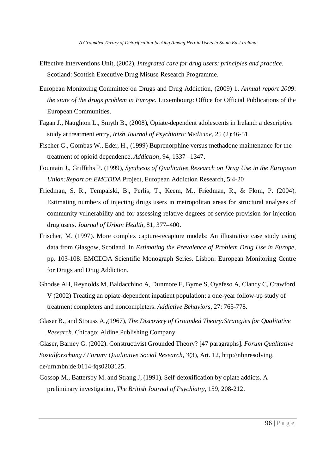- Effective Interventions Unit, (2002), *Integrated care for drug users: principles and practice.* Scotland: Scottish Executive Drug Misuse Research Programme.
- European Monitoring Committee on Drugs and Drug Addiction, (2009) 1. *Annual report 2009*: *the state of the drugs problem in Europe.* Luxembourg: Office for Official Publications of the European Communities.
- Fagan J., Naughton L., Smyth B., (2008), Opiate-dependent adolescents in Ireland: a descriptive study at treatment entry, *Irish Journal of Psychiatric Medicine*, 25 (2):46-51.
- Fischer G., Gombas W., Eder, H., (1999) Buprenorphine versus methadone maintenance for the treatment of opioid dependence. *Addiction*, 94, 1337 –1347.
- Fountain J., Griffiths P. (1999), *Synthesis of Qualitative Research on Drug Use in the European Union:Report on EMCDDA* Project, European Addiction Research, 5:4-20
- Friedman, S. R., Tempalski, B., Perlis, T., Keem, M., Friedman, R., & Flom, P. (2004). Estimating numbers of injecting drugs users in metropolitan areas for structural analyses of community vulnerability and for assessing relative degrees of service provision for injection drug users. *Journal of Urban Health*, 81, 377–400.
- Frischer, M. (1997). More complex capture-recapture models: An illustrative case study using data from Glasgow, Scotland. In *Estimating the Prevalence of Problem Drug Use in Europe*, pp. 103-108. EMCDDA Scientific Monograph Series. Lisbon: European Monitoring Centre for Drugs and Drug Addiction.
- Ghodse AH, Reynolds M, Baldacchino A, Dunmore E, Byrne S, Oyefeso A, Clancy C, Crawford V (2002) Treating an opiate-dependent inpatient population: a one-year follow-up study of treatment completers and noncompleters. *Addictive Behaviors*, 27: 765-778.
- Glaser B., and Strauss A.,(1967), *The Discovery of Grounded Theory:Strategies for Qualitative Research.* Chicago: Aldine Publishing Company

Glaser, Barney G. (2002). Constructivist Grounded Theory? [47 paragraphs]. *Forum Qualitative*

*Sozialforschung / Forum: Qualitative Social Research*, *3*(3), Art. 12, http://nbnresolving.

- de/urn:nbn:de:0114-fqs0203125.
- Gossop M., Battersby M. and Strang J, (1991). Self-detoxification by opiate addicts. A preliminary investigation, *The British Journal of Psychiatry,* 159, 208-212.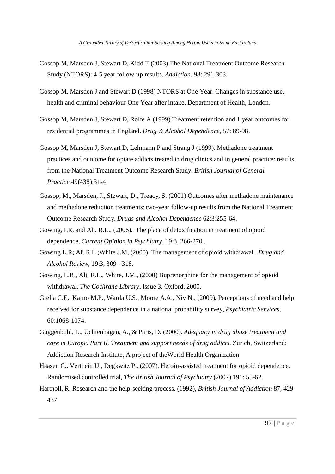- Gossop M, Marsden J, Stewart D, Kidd T (2003) The National Treatment Outcome Research Study (NTORS): 4-5 year follow-up results. *Addiction*, 98: 291-303.
- Gossop M, Marsden J and Stewart D (1998) NTORS at One Year. Changes in substance use, health and criminal behaviour One Year after intake. Department of Health, London.
- Gossop M, Marsden J, Stewart D, Rolfe A (1999) Treatment retention and 1 year outcomes for residential programmes in England. *Drug & Alcohol Dependence*, 57: 89-98.
- Gossop M, Marsden J, Stewart D, Lehmann P and Strang J (1999). Methadone treatment practices and outcome for opiate addicts treated in drug clinics and in general practice: results from the National Treatment Outcome Research Study. *British Journal of General Practice.*49(438):31-4.
- Gossop, M., Marsden, J., Stewart, D., Treacy, S. (2001) Outcomes after methadone maintenance and methadone reduction treatments: two-year follow-up results from the National Treatment Outcome Research Study. *Drugs and Alcohol Dependence* 62:3:255-64.
- Gowing, LR. and Ali, R.L., (2006). The place of detoxification in treatment of opioid dependence, *Current Opinion in Psychiatry,* 19:3, 266-270 .
- Gowing L.R; Ali R.L ;White J.M, (2000), The management of opioid withdrawal . *Drug and Alcohol Review*, 19:3, 309 - 318.
- Gowing, L.R., Ali, R.L., White, J.M., (2000) Buprenorphine for the management of opioid withdrawal. *The Cochrane Library*, Issue 3, Oxford, 2000.
- Grella C.E., Karno M.P., Warda U.S., Moore A.A., Niv N., (2009), Perceptions of need and help received for substance dependence in a national probability survey, *Psychiatric Services,*  60:1068-1074.
- Guggenbuhl, L., Uchtenhagen, A., & Paris, D. (2000). *Adequacy in drug abuse treatment and care in Europe. Part II. Treatment and support needs of drug addicts*. Zurich, Switzerland: Addiction Research Institute, A project of theWorld Health Organization
- Haasen C., Verthein U., Degkwitz P., (2007), Heroin-assisted treatment for opioid dependence, Randomised controlled trial, *The British Journal of Psychiatry* (2007) 191: 55-62.
- Hartnoll, R. Research and the help-seeking process. (1992), *British Journal of Addiction* 87, 429- 437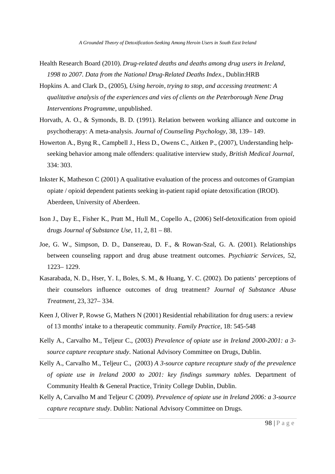- Health Research Board (2010). *Drug-related deaths and deaths among drug users in Ireland, 1998 to 2007. Data from the National Drug-Related Deaths Index.*, Dublin:HRB
- Hopkins A. and Clark D., (2005), *Using heroin, trying to stop, and accessing treatment: A qualitative analysis of the experiences and vies of clients on the Peterborough Nene Drug Interventions Programme*, unpublished.
- Horvath, A. O., & Symonds, B. D. (1991). Relation between working alliance and outcome in psychotherapy: A meta-analysis. *Journal of Counseling Psychology*, 38, 139– 149.
- Howerton A., Byng R., Campbell J., Hess D., Owens C., Aitken P., (2007), Understanding helpseeking behavior among male offenders: qualitative interview study, *British Medical Journal,*  334: 303.
- Inkster K, Matheson C (2001) A qualitative evaluation of the process and outcomes of Grampian opiate / opioid dependent patients seeking in-patient rapid opiate detoxification (IROD). Aberdeen, University of Aberdeen.
- Ison J., Day E., Fisher K., Pratt M., Hull M., Copello A., (2006) Self-detoxification from opioid drugs *Journal of Substance Use*, 11, 2, 81 – 88.
- Joe, G. W., Simpson, D. D., Dansereau, D. F., & Rowan-Szal, G. A. (2001). Relationships between counseling rapport and drug abuse treatment outcomes. *Psychiatric Services*, 52, 1223– 1229.
- Kasarabada, N. D., Hser, Y. I., Boles, S. M., & Huang, Y. C. (2002). Do patients' perceptions of their counselors influence outcomes of drug treatment? *Journal of Substance Abuse Treatment,* 23, 327– 334.
- Keen J, Oliver P, Rowse G, Mathers N (2001) Residential rehabilitation for drug users: a review of 13 months' intake to a therapeutic community. *Family Practice*, 18: 545-548
- Kelly A., Carvalho M., Teljeur C., (2003) *Prevalence of opiate use in Ireland 2000-2001: a 3 source capture recapture study.* National Advisory Committee on Drugs, Dublin.
- Kelly A., Carvalho M., Teljeur C., (2003) *A 3-source capture recapture study of the prevalence of opiate use in Ireland 2000 to 2001: key findings summary tables.* Department of Community Health & General Practice, Trinity College Dublin, Dublin.
- Kelly A, Carvalho M and Teljeur C (2009). *Prevalence of opiate use in Ireland 2006: a 3-source capture recapture study.* Dublin: National Advisory Committee on Drugs.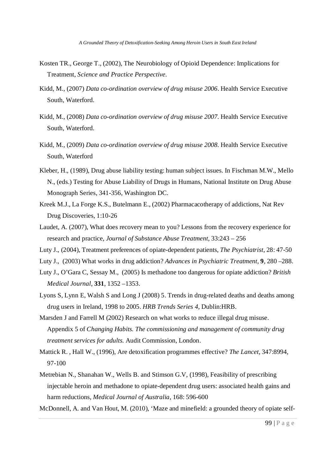- Kosten TR., George T., (2002), The Neurobiology of Opioid Dependence: Implications for Treatment, *Science and Practice Perspective.*
- Kidd, M., (2007) *Data co-ordination overview of drug misuse 2006*. Health Service Executive South, Waterford.
- Kidd, M., (2008) *Data co-ordination overview of drug misuse 2007.* Health Service Executive South, Waterford.
- Kidd, M., (2009) *Data co-ordination overview of drug misuse 2008.* Health Service Executive South, Waterford
- Kleber, H., (1989), Drug abuse liability testing: human subject issues. In Fischman M.W., Mello N., (eds.) Testing for Abuse Liability of Drugs in Humans, National Institute on Drug Abuse Monograph Series, 341-356, Washington DC.
- Kreek M.J., La Forge K.S., Butelmann E., (2002) Pharmacacotherapy of addictions, Nat Rev Drug Discoveries, 1:10-26
- Laudet, A. (2007), What does recovery mean to you? Lessons from the recovery experience for research and practice, *Journal of Substance Abuse Treatment,* 33:243 – 256
- Luty J., (2004), Treatment preferences of opiate-dependent patients, *The Psychiatrist*, 28: 47-50
- Luty J., (2003) What works in drug addiction? *Advances in Psychiatric Treatment*, **9**, 280 –288.
- Luty J., O'Gara C, Sessay M., (2005) Is methadone too dangerous for opiate addiction? *British Medical Journal*, **331**, 1352 –1353.
- Lyons S, Lynn E, Walsh S and Long J (2008) 5. Trends in drug-related deaths and deaths among drug users in Ireland, 1998 to 2005. *HRB Trends Series 4*, Dublin:HRB.
- Marsden J and Farrell M (2002) Research on what works to reduce illegal drug misuse. Appendix 5 of *Changing Habits. The commissioning and management of community drug treatment services for adults.* Audit Commission, London.
- Mattick R. , Hall W., (1996), Are detoxification programmes effective? *The Lancet*, 347:8994, 97-100
- Metrebian N., Shanahan W., Wells B. and Stimson G.V, (1998), Feasibility of prescribing injectable heroin and methadone to opiate-dependent drug users: associated health gains and harm reductions, *Medical Journal of Australia,* 168: 596-600
- McDonnell, A. and Van Hout, M. (2010), 'Maze and minefield: a grounded theory of opiate self-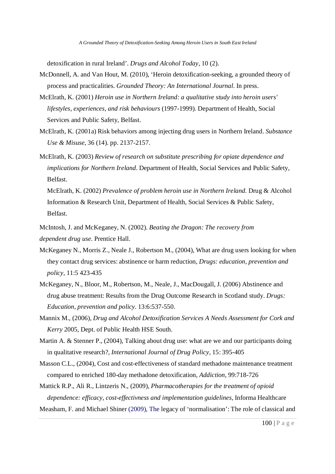detoxification in rural Ireland'. *Drugs and Alcohol Today*, 10 (2).

- McDonnell, A. and Van Hout, M. (2010), 'Heroin detoxification-seeking, a grounded theory of process and practicalities. *Grounded Theory: An International Journal.* In press.
- McElrath, K. (2001) *Heroin use in Northern Ireland: a qualitative study into heroin users' lifestyles, experiences, and risk behaviours* (1997-1999). Department of Health, Social Services and Public Safety, Belfast.
- McElrath, K. (2001a) Risk behaviors among injecting drug users in Northern Ireland. *Substance Use & Misuse,* 36 (14). pp. 2137-2157.
- McElrath, K. (2003) *Review of research on substitute prescribing for opiate dependence and implications for Northern Ireland*. Department of Health, Social Services and Public Safety, Belfast.

McElrath, K. (2002) *Prevalence of problem heroin use in Northern Ireland.* Drug & Alcohol Information & Research Unit, Department of Health, Social Services & Public Safety, Belfast.

- McIntosh, J. and McKeganey, N. (2002). *Beating the Dragon: The recovery from dependent drug use.* Prentice Hall.
- McKeganey N., Morris Z., Neale J., Robertson M., (2004), What are drug users looking for when they contact drug services: abstinence or harm reduction, *Drugs: education, prevention and policy,* 11:5 423-435
- McKeganey, N., Bloor, M., Robertson, M., Neale, J., MacDougall, J. (2006) Abstinence and drug abuse treatment: Results from the Drug Outcome Research in Scotland study. *Drugs: Education, prevention and policy.* 13:6:537-550.
- Mannix M., (2006), *Drug and Alcohol Detoxification Services A Needs Assessment for Cork and Kerry* 2005, Dept. of Public Health HSE South.
- Martin A. & Stenner P., (2004), Talking about drug use: what are we and our participants doing in qualitative research?, *International Journal of Drug Policy,* 15: 395-405
- Masson C.L., (2004), Cost and cost-effectiveness of standard methadone maintenance treatment compared to enriched 180-day methadone detoxification, *Addiction*, 99:718-726
- Mattick R.P., Ali R., Lintzeris N., (2009), *Pharmacotherapies for the treatment of opioid dependence: efficacy, cost-effectivness and implementation guidelines,* Informa Healthcare
- Measham, F. and Michael Shiner (2009), The legacy of 'normalisation': The role of classical and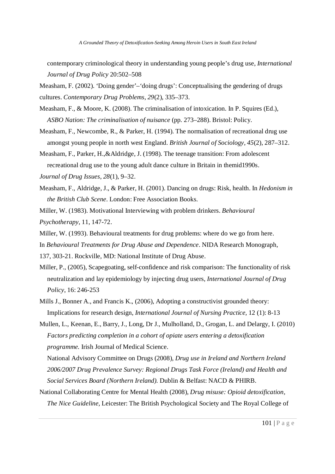contemporary criminological theory in understanding young people's drug use, *International Journal of Drug Policy* 20:502–508

Measham, F. (2002). 'Doing gender'–'doing drugs': Conceptualising the gendering of drugs cultures. *Contemporary Drug Problems*, *29*(2), 335–373.

- Measham, F., & Moore, K. (2008). The criminalisation of intoxication. In P. Squires (Ed.), *ASBO Nation: The criminalisation of nuisance* (pp. 273–288). Bristol: Policy.
- Measham, F., Newcombe, R., & Parker, H. (1994). The normalisation of recreational drug use amongst young people in north west England. *British Journal of Sociology*, *45*(2), 287–312.
- Measham, F., Parker, H.,&Aldridge, J. (1998). The teenage transition: From adolescent recreational drug use to the young adult dance culture in Britain in themid1990s.

*Journal of Drug Issues*, *28*(1), 9–32.

- Measham, F., Aldridge, J., & Parker, H. (2001). Dancing on drugs: Risk, health. In *Hedonism in the British Club Scene*. London: Free Association Books.
- Miller, W. (1983). Motivational Interviewing with problem drinkers. *Behavioural Psychotherapy*, 11, 147-72.
- Miller, W. (1993). Behavioural treatments for drug problems: where do we go from here.

In *Behavioural Treatments for Drug Abuse and Dependence*. NIDA Research Monograph,

137, 303-21. Rockville, MD: National Institute of Drug Abuse.

- Miller, P., (2005), Scapegoating, self-confidence and risk comparison: The functionality of risk neutralization and lay epidemiology by injecting drug users, *International Journal of Drug Policy*, 16: 246-253
- Mills J., Bonner A., and Francis K., (2006), Adopting a constructivist grounded theory: Implications for research design, *International Journal of Nursing Practice,* 12 (1): 8-13
- Mullen, L., Keenan, E., Barry, J., Long, Dr J., Mulholland, D., Grogan, L. and Delargy, I. (2010) *Factors predicting completion in a cohort of opiate users entering a detoxification programme.* Irish Journal of Medical Science.

National Advisory Committee on Drugs (2008), *Drug use in Ireland and Northern Ireland 2006/2007 Drug Prevalence Survey: Regional Drugs Task Force (Ireland) and Health and Social Services Board (Northern Ireland).* Dublin & Belfast: NACD & PHIRB.

National Collaborating Centre for Mental Health (2008), *Drug misuse: Opioid detoxification, The Nice Guideline,* Leicester: The British Psychological Society and The Royal College of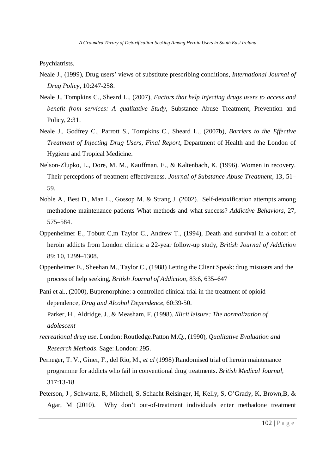Psychiatrists.

- Neale J., (1999), Drug users' views of substitute prescribing conditions, *International Journal of Drug Policy,* 10:247-258.
- Neale J., Tompkins C., Sheard L., (2007), *Factors that help injecting drugs users to access and benefit from services: A qualitative Study,* Substance Abuse Treatment, Prevention and Policy, 2:31.
- Neale J., Godfrey C., Parrott S., Tompkins C., Sheard L., (2007b), *Barriers to the Effective Treatment of Injecting Drug Users, Final Report*, Department of Health and the London of Hygiene and Tropical Medicine.
- Nelson-Zlupko, L., Dore, M. M., Kauffman, E., & Kaltenbach, K. (1996). Women in recovery. Their perceptions of treatment effectiveness. *Journal of Substance Abuse Treatment*, 13, 51– 59.
- Noble A., Best D., Man L., Gossop M. & Strang J. (2002). Self-detoxification attempts among methadone maintenance patients What methods and what success? *Addictive Behaviors,* 27, 575–584.
- Oppenheimer E., Tobutt C,m Taylor C., Andrew T., (1994), Death and survival in a cohort of heroin addicts from London clinics: a 22-year follow-up study, *British Journal of Addiction* 89: 10, 1299–1308.
- Oppenheimer E., Sheehan M., Taylor C., (1988) Letting the Client Speak: drug misusers and the process of help seeking, *British Journal of Addiction,* 83:6, 635–647
- Pani et al., (2000), Buprenorphine: a controlled clinical trial in the treatment of opioid dependence, *Drug and Alcohol Dependence*, 60:39-50. Parker, H., Aldridge, J., & Measham, F. (1998). *Illicit leisure: The normalization of adolescent*
- *recreational drug use*. London: Routledge.Patton M.Q., (1990), *Qualitative Evaluation and Research Methods*. Sage: London: 295.
- Perneger, T. V., Giner, F., del Rio, M., *et al* (1998) Randomised trial of heroin maintenance programme for addicts who fail in conventional drug treatments. *British Medical Journal*, 317:13-18
- Peterson, J , Schwartz, R, Mitchell, S, Schacht Reisinger, H, Kelly, S, O'Grady, K, Brown,B, & Agar, M (2010). Why don't out-of-treatment individuals enter methadone treatment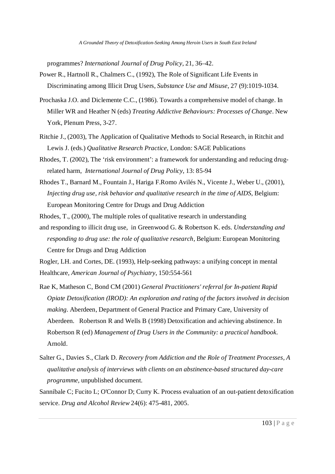programmes? *International Journal of Drug Policy*, 21, 36–42.

- Power R., Hartnoll R., Chalmers C., (1992), The Role of Significant Life Events in Discriminating among Illicit Drug Users, *Substance Use and Misuse*, 27 (9):1019-1034.
- Prochaska J.O. and Diclemente C.C., (1986). Towards a comprehensive model of change. In Miller WR and Heather N (eds) *Treating Addictive Behaviours: Processes of Change*. New York, Plenum Press, 3-27.
- Ritchie J., (2003), The Application of Qualitative Methods to Social Research, in Ritchit and Lewis J. (eds.) *Qualitative Research Practice,* London: SAGE Publications
- Rhodes, T. (2002), The 'risk environment': a framework for understanding and reducing drugrelated harm, *International Journal of Drug Policy*, 13: 85-94
- Rhodes T., Barnard M., Fountain J., Hariga F.Romo Avilés N., Vicente J., Weber U., (2001), *Injecting drug use, risk behavior and qualitative research in the time of AIDS*, Belgium: European Monitoring Centre for Drugs and Drug Addiction

Rhodes, T., (2000), The multiple roles of qualitative research in understanding

and responding to illicit drug use, in Greenwood G. & Robertson K. eds. *Understanding and responding to drug use: the role of qualitative research*, Belgium: European Monitoring Centre for Drugs and Drug Addiction

Rogler, LH. and Cortes, DE. (1993), Help-seeking pathways: a unifying concept in mental Healthcare, *American Journal of Psychiatry*, 150:554-561

- Rae K, Matheson C, Bond CM (2001) *General Practitioners' referral for In-patient Rapid Opiate Detoxification (IROD): An exploration and rating of the factors involved in decision making.* Aberdeen, Department of General Practice and Primary Care, University of Aberdeen. Robertson R and Wells B (1998) Detoxification and achieving abstinence. In Robertson R (ed) *Management of Drug Users in the Community: a practical handbook*. Arnold.
- Salter G., Davies S., Clark D. *Recovery from Addiction and the Role of Treatment Processes, A qualitative analysis of interviews with clients on an abstinence-based structured day-care programme,* unpublished document.
- Sannibale C; Fucito L; O'Connor D; Curry K. Process evaluation of an out-patient detoxification service. *Drug and Alcohol Review* 24(6): 475-481, 2005.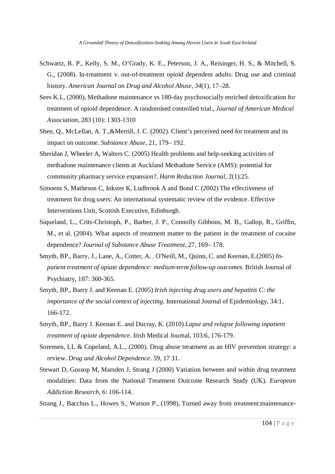- Schwartz, R. P., Kelly, S. M., O'Grady, K. E., Peterson, J. A., Reisinger, H. S., & Mitchell, S. G., (2008). In-treatment v. out-of-treatment opioid dependent adults: Drug use and criminal history. *American Journal on Drug and Alcohol Abuse*, *34*(1), 17–28.
- Sees K.L, (2000), Methadone maintenance vs 180-day psychosocially enriched detoxification for treatment of opioid dependence. A randomised controlled trial., *Journal of American Medical Association*, 283 (10): 1303-1310
- Shen, Q., McLellan, A. T.,&Merrill, J. C. (2002). Client's perceived need for treatment and its impact on outcome. *Substance Abuse*, 21, 179– 192.
- Sheridan J, Wheeler A, Walters C. (2005) Health problems and help-seeking activities of methadone maintenance clients at Auckland Methadone Service (AMS): potential for community pharmacy service expansion?, *Harm Reduction Journal*, 2(1):25.
- Simoens S, Matheson C, Inkster K, Ludbrook A and Bond C (2002) The effectiveness of treatment for drug users: An international systematic review of the evidence. Effective Interventions Unit, Scottish Executive, Edinburgh.
- Siqueland, L., Crits-Christoph, P., Barber, J. P., Connolly Gibbons, M. B., Gallop, R., Griffin, M., et al. (2004). What aspects of treatment matter to the patient in the treatment of cocaine dependence? *Journal of Substance Abuse Treatment*, 27, 169– 178.
- Smyth, BP., Barry, J., Lane, A., Cotter, A. . O'Neill, M., Quinn, C. and Keenan, E.(2005) *Inpatient treatment of opiate dependence: medium-term follow-up outcomes.* British Journal of Psychiatry, 187: 360-365.
- Smyth, BP., Barry J. and Keenan E. (2005) *Irish injecting drug users and hepatitis C: the importance of the social context of injecting.* International Journal of Epidemiology, 34:1, 166-172.
- Smyth, BP., Barry J. Keenan E. and Ducray, K. (2010) *Lapse and relapse following inpatient treatment of opiate dependence.* Irish Medical Journal, 103:6, 176-179.
- Sorensen, LL & Copeland, A.L., (2000). Drug abuse treatment as an HIV prevention strategy: a review. *Drug and Alcohol Dependence*. 59, 17 31.
- Stewart D, Gossop M, Marsden J, Strang J (2000) Variation between and within drug treatment modalities: Data from the National Treatment Outcome Research Study (UK). *European Addiction Research*, 6: 106-114.
- Strang J., Bacchus L., Howes S., Watson P., (1998), Turned away from treatment:maintenance-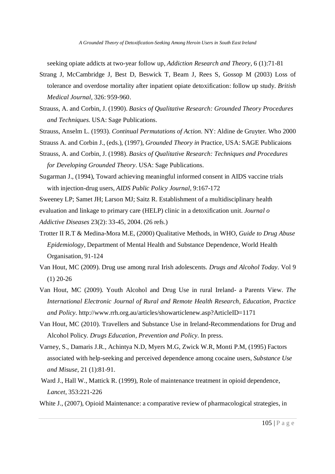seeking opiate addicts at two-year follow up, *Addiction Research and Theory*, 6 (1):71-81

- Strang J, McCambridge J, Best D, Beswick T, Bearn J, Rees S, Gossop M (2003) Loss of tolerance and overdose mortality after inpatient opiate detoxification: follow up study. *British Medical Journal,* 326: 959-960.
- Strauss, A. and Corbin, J. (1990). *Basics of Qualitative Research: Grounded Theory Procedures and Techniques.* USA: Sage Publications.
- Strauss, Anselm L. (1993). *Continual Permutations of Action.* NY: Aldine de Gruyter. Who 2000
- Strauss A. and Corbin J., (eds.), (1997), *Grounded Theory in* Practice, USA: SAGE Publicaions
- Strauss, A. and Corbin, J. (1998). *Basics of Qualitative Research: Techniques and Procedures for Developing Grounded Theory.* USA: Sage Publications.
- Sugarman J., (1994), Toward achieving meaningful informed consent in AIDS vaccine trials with injection-drug users, *AIDS Public Policy Journal,* 9:167-172
- Sweeney LP; Samet JH; Larson MJ; Saitz R. Establishment of a multidisciplinary health evaluation and linkage to primary care (HELP) clinic in a detoxification unit. *Journal o*
- *Addictive Diseases* 23(2): 33-45, 2004. (26 refs.)
- Trotter II R.T & Medina-Mora M.E, (2000) Qualitative Methods, in WHO, *Guide to Drug Abuse Epidemiology,* Department of Mental Health and Substance Dependence, World Health Organisation, 91-124
- Van Hout, MC (2009). Drug use among rural Irish adolescents. *Drugs and Alcohol Today.* Vol 9 (1) 20-26
- Van Hout, MC (2009). Youth Alcohol and Drug Use in rural Ireland- a Parents View. *The International Electronic Journal of Rural and Remote Health Research, Education, Practice and Policy.* http://www.rrh.org.au/articles/showarticlenew.asp?ArticleID=1171
- Van Hout, MC (2010). Travellers and Substance Use in Ireland-Recommendations for Drug and Alcohol Policy*. Drugs Education, Prevention and Policy.* In press.
- Varney, S., Damaris J.R., Achintya N.D, Myers M.G, Zwick W.R, Monti P.M, (1995) Factors associated with help-seeking and perceived dependence among cocaine users, *Substance Use and Misuse*, 21 (1):81-91.
- Ward J., Hall W., Mattick R. (1999), Role of maintenance treatment in opioid dependence, *Lancet*, 353:221-226
- White J., (2007), Opioid Maintenance: a comparative review of pharmacological strategies, in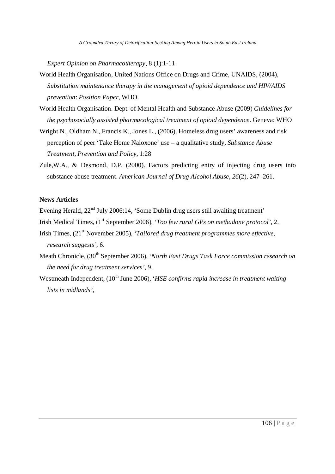*Expert Opinion on Pharmacotherapy*, 8 (1):1-11.

- World Health Organisation, United Nations Office on Drugs and Crime, UNAIDS, (2004), *Substitution maintenance therapy in the management of opioid dependence and HIV/AIDS prevention*: *Position Paper*, WHO.
- World Health Organisation. Dept. of Mental Health and Substance Abuse (2009) *Guidelines for the psychosocially assisted pharmacological treatment of opioid dependence*. Geneva: WHO
- Wright N., Oldham N., Francis K., Jones L., (2006), Homeless drug users' awareness and risk perception of peer 'Take Home Naloxone' use – a qualitative study, *Substance Abuse Treatment, Prevention and Policy,* 1:28
- Zule,W.A., & Desmond, D.P. (2000). Factors predicting entry of injecting drug users into substance abuse treatment. *American Journal of Drug Alcohol Abuse*, *26*(2), 247–261.

# **News Articles**

Evening Herald,  $22<sup>nd</sup>$  July 2006:14, 'Some Dublin drug users still awaiting treatment'

- Irish Medical Times, (1<sup>st</sup> September 2006), '*Too few rural GPs on methadone protocol*', 2.
- Irish Times, (21<sup>st</sup> November 2005), '*Tailored drug treatment programmes more effective*, *research suggests'*, 6.
- Meath Chronicle, (30<sup>th</sup> September 2006), *'North East Drugs Task Force commission research on the need for drug treatment services'*, 9.
- Westmeath Independent, (10<sup>th</sup> June 2006), *'HSE confirms rapid increase in treatment waiting lists in midlands'*,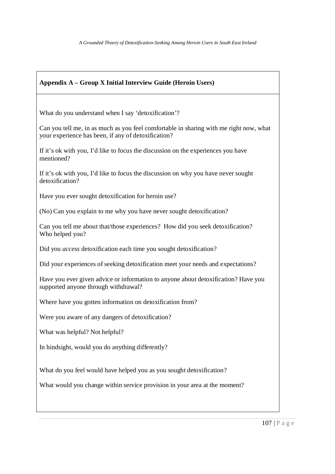| <b>Appendix A – Group X Initial Interview Guide (Heroin Users)</b>                                                                            |
|-----------------------------------------------------------------------------------------------------------------------------------------------|
|                                                                                                                                               |
| What do you understand when I say 'detoxification'?                                                                                           |
| Can you tell me, in as much as you feel comfortable in sharing with me right now, what<br>your experience has been, if any of detoxification? |
| If it's ok with you, I'd like to focus the discussion on the experiences you have<br>mentioned?                                               |
| If it's ok with you, I'd like to focus the discussion on why you have never sought<br>detoxification?                                         |
| Have you ever sought detoxification for heroin use?                                                                                           |
| (No) Can you explain to me why you have never sought detoxification?                                                                          |
| Can you tell me about that/those experiences? How did you seek detoxification?<br>Who helped you?                                             |
| Did you <i>access</i> detoxification each time you sought detoxification?                                                                     |
| Did your experiences of seeking detoxification meet your needs and expectations?                                                              |
| Have you ever given advice or information to anyone about detoxification? Have you<br>supported anyone through withdrawal?                    |
| Where have you gotten information on detoxification from?                                                                                     |
| Were you aware of any dangers of detoxification?                                                                                              |
| What was helpful? Not helpful?                                                                                                                |
| In hindsight, would you do anything differently?                                                                                              |
| What do you feel would have helped you as you sought detoxification?                                                                          |
| What would you change within service provision in your area at the moment?                                                                    |
|                                                                                                                                               |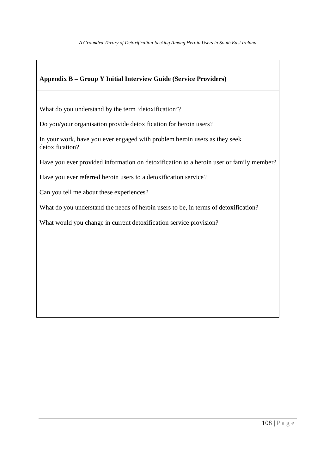# **Appendix B – Group Y Initial Interview Guide (Service Providers)**

What do you understand by the term 'detoxification'?

Do you/your organisation provide detoxification for heroin users?

In your work, have you ever engaged with problem heroin users as they seek detoxification?

Have you ever provided information on detoxification to a heroin user or family member?

Have you ever referred heroin users to a detoxification service?

Can you tell me about these experiences?

What do you understand the needs of heroin users to be, in terms of detoxification?

What would you change in current detoxification service provision?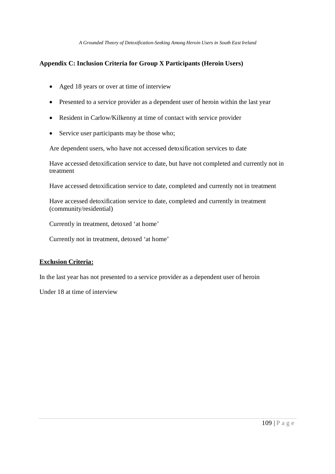*A Grounded Theory of Detoxification-Seeking Among Heroin Users in South East Ireland*

## **Appendix C: Inclusion Criteria for Group X Participants (Heroin Users)**

- Aged 18 years or over at time of interview
- Presented to a service provider as a dependent user of heroin within the last year
- Resident in Carlow/Kilkenny at time of contact with service provider
- Service user participants may be those who;

Are dependent users, who have not accessed detoxification services to date

Have accessed detoxification service to date, but have not completed and currently not in treatment

Have accessed detoxification service to date, completed and currently not in treatment

Have accessed detoxification service to date, completed and currently in treatment (community/residential)

Currently in treatment, detoxed 'at home'

Currently not in treatment, detoxed 'at home'

## **Exclusion Criteria:**

In the last year has not presented to a service provider as a dependent user of heroin

Under 18 at time of interview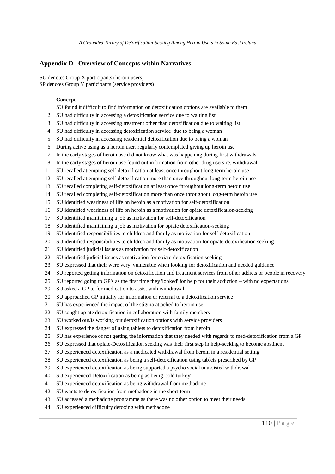## **Appendix D –Overview of Concepts within Narratives**

SU denotes Group X participants (heroin users) SP denotes Group Y participants (service providers)

## **Concept**

- SU found it difficult to find information on detoxification options are available to them
- SU had difficulty in accessing a detoxification service due to waiting list
- SU had difficulty in accessing treatment other than detoxification due to waiting list
- SU had difficulty in accessing detoxification service due to being a woman
- SU had difficulty in accessing residential detoxification due to being a woman
- During active using as a heroin user, regularly contemplated giving up heroin use
- In the early stages of heroin use did not know what was happening during first withdrawals
- In the early stages of heroin use found out information from other drug users re. withdrawal
- SU recalled attempting self-detoxification at least once throughout long-term heroin use
- SU recalled attempting self-detoxification more than once throughout long-term heroin use
- SU recalled completing self-detoxification at least once throughout long-term heroin use
- SU recalled completing self-detoxification more than once throughout long-term heroin use
- SU identified weariness of life on heroin as a motivation for self-detoxification
- SU identified weariness of life on heroin as a motivation for opiate detoxification-seeking
- SU identified maintaining a job as motivation for self-detoxification
- SU identified maintaining a job as motivation for opiate detoxification-seeking
- SU identified responsibilities to children and family as motivation for self-detoxification
- SU identified responsibilities to children and family as motivation for opiate-detoxification seeking
- SU identified judicial issues as motivation for self-detoxification
- SU identified judicial issues as motivation for opiate-detoxification seeking
- SU expressed that their were very vulnerable when looking for detoxification and needed guidance
- SU reported getting information on detoxification and treatment services from other addicts or people in recovery
- SU reported going to GP's as the first time they 'looked' for help for their addiction with no expectations
- SU asked a GP to for medication to assist with withdrawal
- SU approached GP initially for information or referral to a detoxification service
- SU has experienced the impact of the stigma attached to heroin use
- SU sought opiate detoxification in collaboration with family members
- SU worked out/is working out detoxification options with service providers
- SU expressed the danger of using tablets to detoxification from heroin
- SU has experience of not getting the information that they needed with regards to med-detoxification from a GP
- SU expressed that opiate-Detoxification seeking was their first step in help-seeking to become abstinent
- SU experienced detoxification as a medicated withdrawal from heroin in a residential setting
- SU experienced detoxification as being a self-detoxification using tablets prescribed by GP
- SU experienced detoxification as being supported a psycho social unassisted withdrawal
- 40 SU experienced Detoxification as being as being 'cold turkey'
- SU experienced detoxification as being withdrawal from methadone
- SU wants to detoxification from methadone in the short-term
- SU accessed a methadone programme as there was no other option to meet their needs
- SU experienced difficulty detoxing with methadone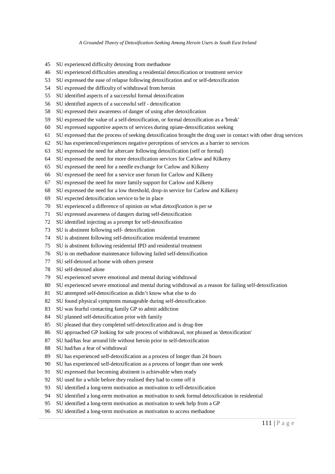*A Grounded Theory of Detoxification-Seeking Among Heroin Users in South East Ireland*

- SU experienced difficulty detoxing from methadone
- SU experienced difficulties attending a residential detoxification or treatment service
- SU expressed the ease of relapse following detoxification and or self-detoxification
- SU expressed the difficulty of withdrawal from heroin
- SU identified aspects of a successful formal detoxification
- SU identified aspects of a successful self detoxification
- SU expressed their awareness of danger of using after detoxification
- SU expressed the value of a self-detoxification, or formal detoxification as a 'break'
- SU expressed supportive aspects of services during opiate-detoxification seeking
- SU expressed that the process of seeking detoxification brought the drug user in contact with other drug services
- SU has experienced/experiences negative perceptions of services as a barrier to services
- SU expressed the need for aftercare following detoxification (self or formal)
- SU expressed the need for more detoxification services for Carlow and Kilkeny
- SU expressed the need for a needle exchange for Carlow and Kilkeny
- SU expressed the need for a service user forum for Carlow and Kilkeny
- SU expressed the need for more family support for Carlow and Kilkeny
- SU expressed the need for a low threshold, drop-in service for Carlow and Kilkeny
- SU expected detoxification service to be in place
- SU experienced a difference of opinion on what *detoxification* is per se
- SU expressed awareness of dangers during self-detoxification
- SU identified injecting as a prompt for self-detoxification
- SU is abstinent following self- detoxification
- SU is abstinent following self-detoxification residential treatment
- SU is abstinent following residential IPD and residential treatment
- SU is on methadone maintenance following failed self-detoxification
- SU self-detoxed at home with others present
- SU self-detoxed alone
- SU experienced severe emotional and mental during withdrawal
- SU experienced severe emotional and mental during withdrawal as a reason for failing self-detoxification
- SU attempted self-detoxification as didn't know what else to do
- SU found physical symptoms manageable during self-detoxification
- SU was fearful contacting family GP to admit addiction
- SU planned self-detoxification prior with family
- SU pleased that they completed self-detoxification and is drug-free
- SU approached GP looking for safe process of withdrawal, not phrased as 'detoxification'
- SU had/has fear around life without heroin prior to self-detoxification
- SU had/has a fear of withdrawal
- SU has experienced self-detoxification as a process of longer than 24 hours
- SU has experienced self-detoxification as a process of longer than one week
- SU expressed that becoming abstinent is achievable when ready
- SU used for a while before they realised they had to come off it
- SU identified a long-term motivation as motivation to self-detoxification
- SU identified a long-term motivation as motivation to seek formal detoxification in residential
- SU identified a long-term motivation as motivation to seek help from a GP
- SU identified a long-term motivation as motivation to access methadone